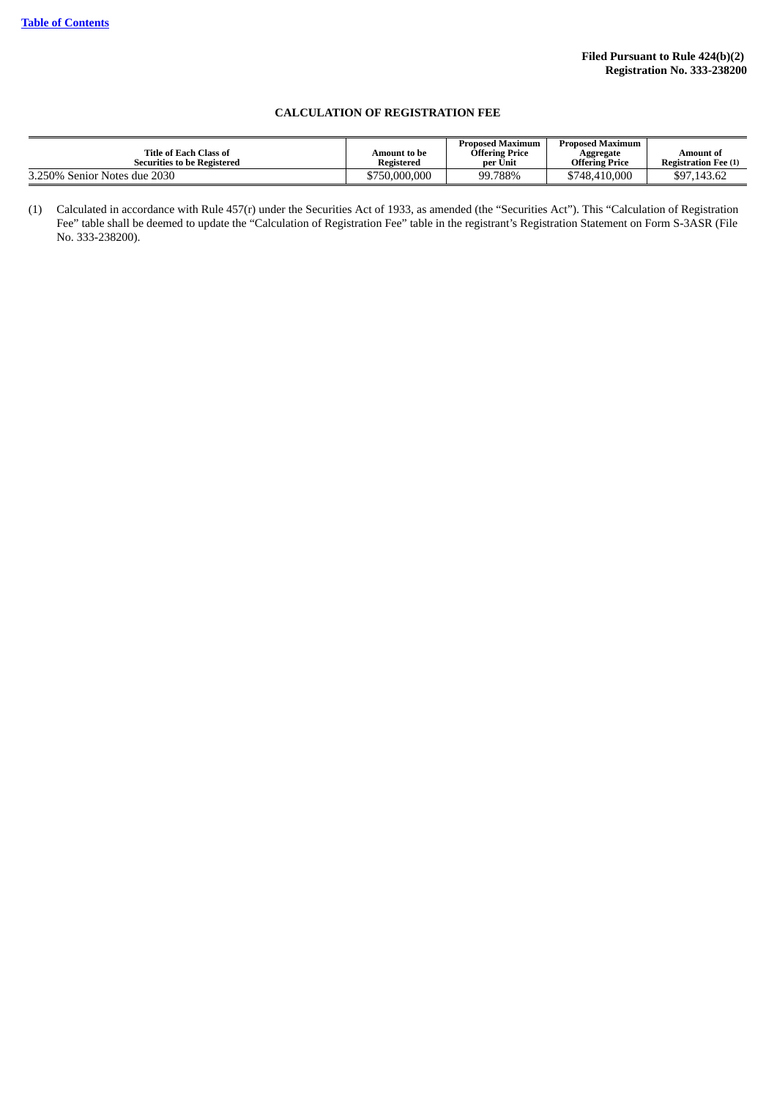## **CALCULATION OF REGISTRATION FEE**

| Title of Each Class of<br><b>Securities to be Registered</b> | Amount to be<br>Registered | <b>Proposed Maximum</b><br><b>Offering Price</b><br>per Unit | <b>Proposed Maximum</b><br>Aggregate<br>Offering Price | Amount of<br><b>Registration Fee (1)</b> |
|--------------------------------------------------------------|----------------------------|--------------------------------------------------------------|--------------------------------------------------------|------------------------------------------|
| 3.250% Senior Notes due 2030                                 | \$750,000,000              | 99.788%                                                      | \$748,410,000                                          | \$97,143.62                              |

<sup>(1)</sup> Calculated in accordance with Rule 457(r) under the Securities Act of 1933, as amended (the "Securities Act"). This "Calculation of Registration Fee" table shall be deemed to update the "Calculation of Registration Fee" table in the registrant's Registration Statement on Form S-3ASR (File No. 333-238200).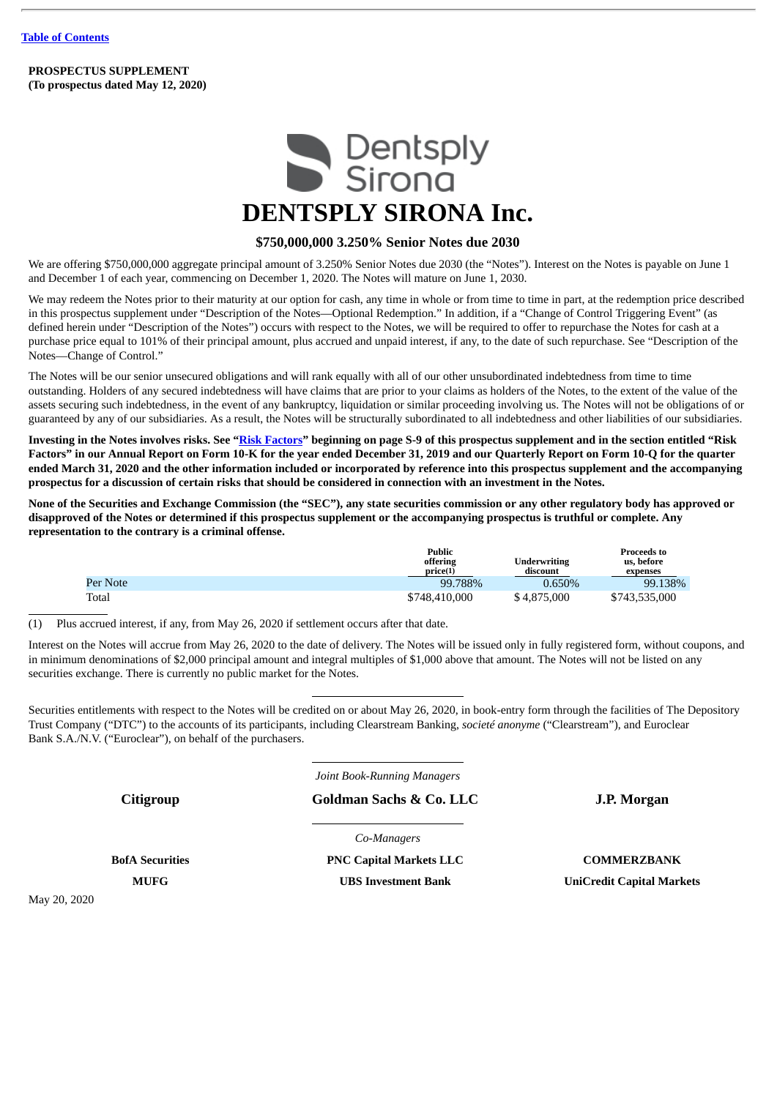**PROSPECTUS SUPPLEMENT (To prospectus dated May 12, 2020)**



# **DENTSPLY SIRONA Inc.**

## **\$750,000,000 3.250% Senior Notes due 2030**

We are offering \$750,000,000 aggregate principal amount of 3.250% Senior Notes due 2030 (the "Notes"). Interest on the Notes is payable on June 1 and December 1 of each year, commencing on December 1, 2020. The Notes will mature on June 1, 2030.

We may redeem the Notes prior to their maturity at our option for cash, any time in whole or from time to time in part, at the redemption price described in this prospectus supplement under "Description of the Notes—Optional Redemption." In addition, if a "Change of Control Triggering Event" (as defined herein under "Description of the Notes") occurs with respect to the Notes, we will be required to offer to repurchase the Notes for cash at a purchase price equal to 101% of their principal amount, plus accrued and unpaid interest, if any, to the date of such repurchase. See "Description of the Notes—Change of Control."

The Notes will be our senior unsecured obligations and will rank equally with all of our other unsubordinated indebtedness from time to time outstanding. Holders of any secured indebtedness will have claims that are prior to your claims as holders of the Notes, to the extent of the value of the assets securing such indebtedness, in the event of any bankruptcy, liquidation or similar proceeding involving us. The Notes will not be obligations of or guaranteed by any of our subsidiaries. As a result, the Notes will be structurally subordinated to all indebtedness and other liabilities of our subsidiaries.

Investing in the Notes involves risks. See "Risk [Factors"](#page-13-0) beginning on page S-9 of this prospectus supplement and in the section entitled "Risk Factors" in our Annual Report on Form 10-K for the year ended December 31, 2019 and our Quarterly Report on Form 10-Q for the quarter ended March 31, 2020 and the other information included or incorporated by reference into this prospectus supplement and the accompanying prospectus for a discussion of certain risks that should be considered in connection with an investment in the Notes.

None of the Securities and Exchange Commission (the "SEC"), any state securities commission or any other regulatory body has approved or disapproved of the Notes or determined if this prospectus supplement or the accompanying prospectus is truthful or complete. Any **representation to the contrary is a criminal offense.**

|          | <b>Public</b><br>offering<br>price(1) | <b>Underwriting</b><br>discount | <b>Proceeds to</b><br>us, before<br>expenses |
|----------|---------------------------------------|---------------------------------|----------------------------------------------|
| Per Note | 99.788%                               | 0.650%                          | 99.138%                                      |
| Total    | \$748,410,000                         | \$4,875,000                     | \$743,535,000                                |

(1) Plus accrued interest, if any, from May 26, 2020 if settlement occurs after that date.

Interest on the Notes will accrue from May 26, 2020 to the date of delivery. The Notes will be issued only in fully registered form, without coupons, and in minimum denominations of \$2,000 principal amount and integral multiples of \$1,000 above that amount. The Notes will not be listed on any securities exchange. There is currently no public market for the Notes.

Securities entitlements with respect to the Notes will be credited on or about May 26, 2020, in book-entry form through the facilities of The Depository Trust Company ("DTC") to the accounts of its participants, including Clearstream Banking, *societé anonyme* ("Clearstream"), and Euroclear Bank S.A./N.V. ("Euroclear"), on behalf of the purchasers.

*Joint Book-Running Managers*

**Citigroup Goldman Sachs & Co. LLC J.P. Morgan**

*Co-Managers*

May 20, 2020

**BofA Securities PNC Capital Markets LLC COMMERZBANK MUFG UBS Investment Bank UniCredit Capital Markets**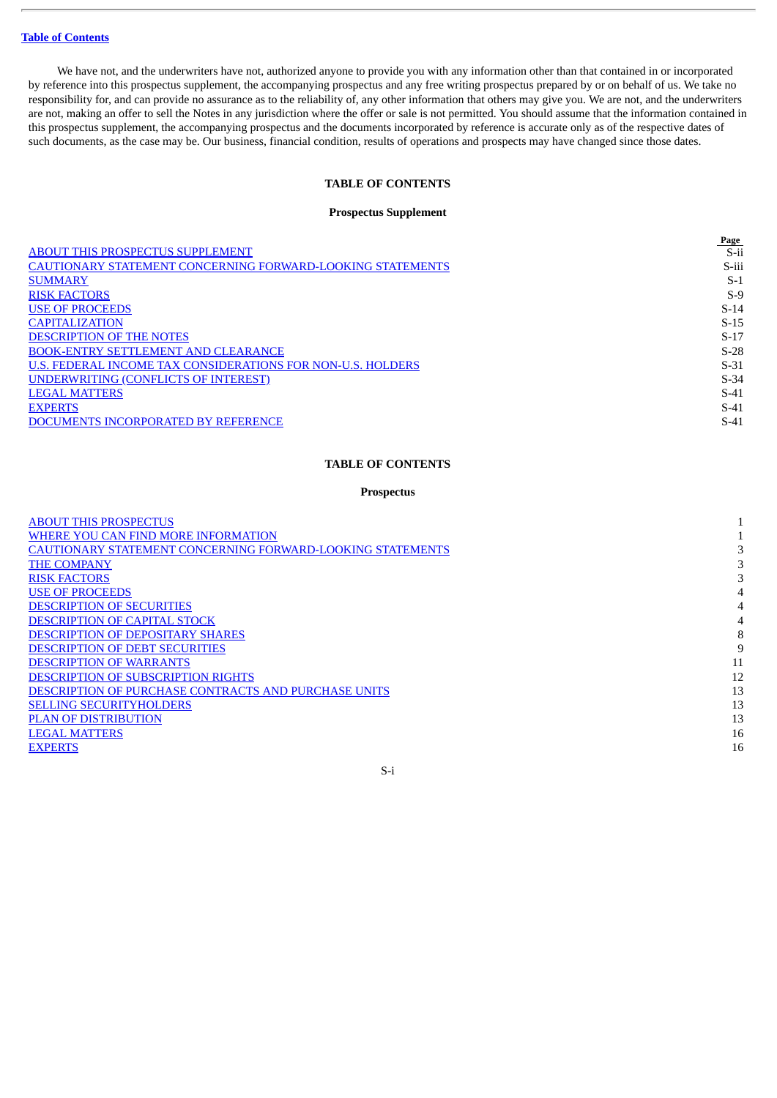We have not, and the underwriters have not, authorized anyone to provide you with any information other than that contained in or incorporated by reference into this prospectus supplement, the accompanying prospectus and any free writing prospectus prepared by or on behalf of us. We take no responsibility for, and can provide no assurance as to the reliability of, any other information that others may give you. We are not, and the underwriters are not, making an offer to sell the Notes in any jurisdiction where the offer or sale is not permitted. You should assume that the information contained in this prospectus supplement, the accompanying prospectus and the documents incorporated by reference is accurate only as of the respective dates of such documents, as the case may be. Our business, financial condition, results of operations and prospects may have changed since those dates.

## **TABLE OF CONTENTS**

#### **Prospectus Supplement**

<span id="page-2-0"></span>

| Page    |
|---------|
| $S$ -ii |
| S-iii   |
| $S-1$   |
| $S-9$   |
| $S-14$  |
| $S-15$  |
| $S-17$  |
| $S-28$  |
| $S-31$  |
| $S-34$  |
| $S-41$  |
| $S-41$  |
| $S-41$  |
|         |

## **TABLE OF CONTENTS**

## **Prospectus**

| <b>ABOUT THIS PROSPECTUS</b>                                      |    |
|-------------------------------------------------------------------|----|
| WHERE YOU CAN FIND MORE INFORMATION                               |    |
| <b>CAUTIONARY STATEMENT CONCERNING FORWARD-LOOKING STATEMENTS</b> |    |
| <b>THE COMPANY</b>                                                |    |
| <b>RISK FACTORS</b>                                               |    |
| <b>USE OF PROCEEDS</b>                                            |    |
| <b>DESCRIPTION OF SECURITIES</b>                                  |    |
| <b>DESCRIPTION OF CAPITAL STOCK</b>                               |    |
| <b>DESCRIPTION OF DEPOSITARY SHARES</b>                           | 8  |
| <b>DESCRIPTION OF DEBT SECURITIES</b>                             | 9  |
| <b>DESCRIPTION OF WARRANTS</b>                                    | 11 |
| <b>DESCRIPTION OF SUBSCRIPTION RIGHTS</b>                         | 12 |
| <b>DESCRIPTION OF PURCHASE CONTRACTS AND PURCHASE UNITS</b>       | 13 |
| <b>SELLING SECURITYHOLDERS</b>                                    | 13 |
| <b>PLAN OF DISTRIBUTION</b>                                       | 13 |
| <b>LEGAL MATTERS</b>                                              | 16 |
| <b>EXPERTS</b>                                                    | 16 |
|                                                                   |    |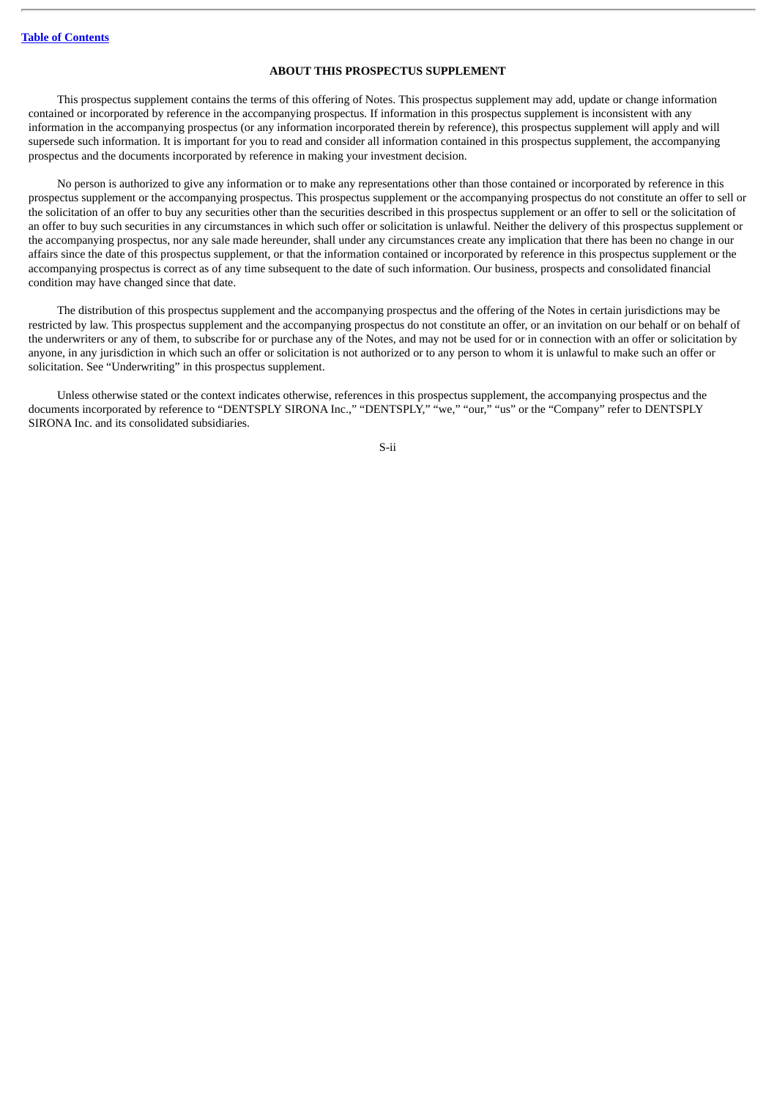## **ABOUT THIS PROSPECTUS SUPPLEMENT**

<span id="page-3-0"></span>This prospectus supplement contains the terms of this offering of Notes. This prospectus supplement may add, update or change information contained or incorporated by reference in the accompanying prospectus. If information in this prospectus supplement is inconsistent with any information in the accompanying prospectus (or any information incorporated therein by reference), this prospectus supplement will apply and will supersede such information. It is important for you to read and consider all information contained in this prospectus supplement, the accompanying prospectus and the documents incorporated by reference in making your investment decision.

No person is authorized to give any information or to make any representations other than those contained or incorporated by reference in this prospectus supplement or the accompanying prospectus. This prospectus supplement or the accompanying prospectus do not constitute an offer to sell or the solicitation of an offer to buy any securities other than the securities described in this prospectus supplement or an offer to sell or the solicitation of an offer to buy such securities in any circumstances in which such offer or solicitation is unlawful. Neither the delivery of this prospectus supplement or the accompanying prospectus, nor any sale made hereunder, shall under any circumstances create any implication that there has been no change in our affairs since the date of this prospectus supplement, or that the information contained or incorporated by reference in this prospectus supplement or the accompanying prospectus is correct as of any time subsequent to the date of such information. Our business, prospects and consolidated financial condition may have changed since that date.

The distribution of this prospectus supplement and the accompanying prospectus and the offering of the Notes in certain jurisdictions may be restricted by law. This prospectus supplement and the accompanying prospectus do not constitute an offer, or an invitation on our behalf or on behalf of the underwriters or any of them, to subscribe for or purchase any of the Notes, and may not be used for or in connection with an offer or solicitation by anyone, in any jurisdiction in which such an offer or solicitation is not authorized or to any person to whom it is unlawful to make such an offer or solicitation. See "Underwriting" in this prospectus supplement.

Unless otherwise stated or the context indicates otherwise, references in this prospectus supplement, the accompanying prospectus and the documents incorporated by reference to "DENTSPLY SIRONA Inc.," "DENTSPLY," "we," "our," "us" or the "Company" refer to DENTSPLY SIRONA Inc. and its consolidated subsidiaries.

S-ii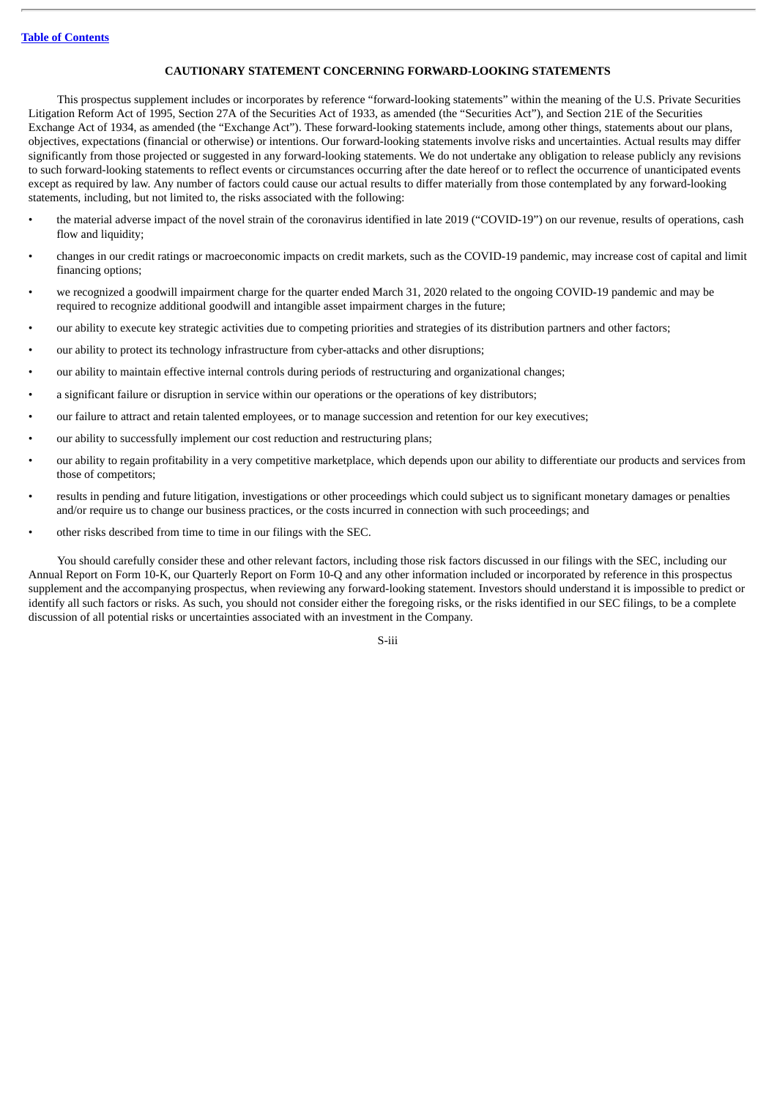## **CAUTIONARY STATEMENT CONCERNING FORWARD-LOOKING STATEMENTS**

<span id="page-4-0"></span>This prospectus supplement includes or incorporates by reference "forward-looking statements" within the meaning of the U.S. Private Securities Litigation Reform Act of 1995, Section 27A of the Securities Act of 1933, as amended (the "Securities Act"), and Section 21E of the Securities Exchange Act of 1934, as amended (the "Exchange Act"). These forward-looking statements include, among other things, statements about our plans, objectives, expectations (financial or otherwise) or intentions. Our forward-looking statements involve risks and uncertainties. Actual results may differ significantly from those projected or suggested in any forward-looking statements. We do not undertake any obligation to release publicly any revisions to such forward-looking statements to reflect events or circumstances occurring after the date hereof or to reflect the occurrence of unanticipated events except as required by law. Any number of factors could cause our actual results to differ materially from those contemplated by any forward-looking statements, including, but not limited to, the risks associated with the following:

- the material adverse impact of the novel strain of the coronavirus identified in late 2019 ("COVID-19") on our revenue, results of operations, cash flow and liquidity;
- changes in our credit ratings or macroeconomic impacts on credit markets, such as the COVID-19 pandemic, may increase cost of capital and limit financing options;
- we recognized a goodwill impairment charge for the quarter ended March 31, 2020 related to the ongoing COVID-19 pandemic and may be required to recognize additional goodwill and intangible asset impairment charges in the future;
- our ability to execute key strategic activities due to competing priorities and strategies of its distribution partners and other factors;
- our ability to protect its technology infrastructure from cyber-attacks and other disruptions;
- our ability to maintain effective internal controls during periods of restructuring and organizational changes;
- a significant failure or disruption in service within our operations or the operations of key distributors;
- our failure to attract and retain talented employees, or to manage succession and retention for our key executives;
- our ability to successfully implement our cost reduction and restructuring plans;
- our ability to regain profitability in a very competitive marketplace, which depends upon our ability to differentiate our products and services from those of competitors;
- results in pending and future litigation, investigations or other proceedings which could subject us to significant monetary damages or penalties and/or require us to change our business practices, or the costs incurred in connection with such proceedings; and
- other risks described from time to time in our filings with the SEC.

You should carefully consider these and other relevant factors, including those risk factors discussed in our filings with the SEC, including our Annual Report on Form 10-K, our Quarterly Report on Form 10-Q and any other information included or incorporated by reference in this prospectus supplement and the accompanying prospectus, when reviewing any forward-looking statement. Investors should understand it is impossible to predict or identify all such factors or risks. As such, you should not consider either the foregoing risks, or the risks identified in our SEC filings, to be a complete discussion of all potential risks or uncertainties associated with an investment in the Company.

S-iii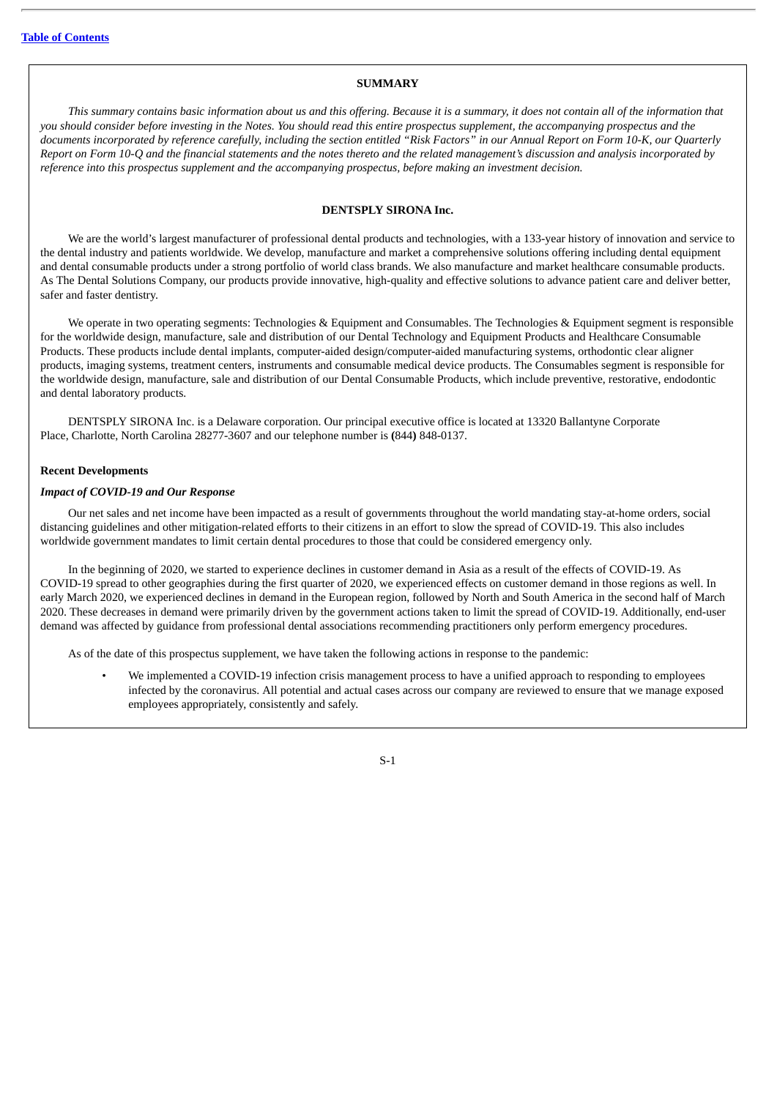## **SUMMARY**

<span id="page-5-0"></span>This summary contains basic information about us and this offering. Because it is a summary, it does not contain all of the information that you should consider before investing in the Notes. You should read this entire prospectus supplement, the accompanying prospectus and the documents incorporated by reference carefully, including the section entitled "Risk Factors" in our Annual Report on Form 10-K, our Quarterly Report on Form 10-O and the financial statements and the notes thereto and the related management's discussion and analysis incorporated by *reference into this prospectus supplement and the accompanying prospectus, before making an investment decision.*

## **DENTSPLY SIRONA Inc.**

We are the world's largest manufacturer of professional dental products and technologies, with a 133-year history of innovation and service to the dental industry and patients worldwide. We develop, manufacture and market a comprehensive solutions offering including dental equipment and dental consumable products under a strong portfolio of world class brands. We also manufacture and market healthcare consumable products. As The Dental Solutions Company, our products provide innovative, high-quality and effective solutions to advance patient care and deliver better, safer and faster dentistry.

We operate in two operating segments: Technologies & Equipment and Consumables. The Technologies & Equipment segment is responsible for the worldwide design, manufacture, sale and distribution of our Dental Technology and Equipment Products and Healthcare Consumable Products. These products include dental implants, computer-aided design/computer-aided manufacturing systems, orthodontic clear aligner products, imaging systems, treatment centers, instruments and consumable medical device products. The Consumables segment is responsible for the worldwide design, manufacture, sale and distribution of our Dental Consumable Products, which include preventive, restorative, endodontic and dental laboratory products.

DENTSPLY SIRONA Inc. is a Delaware corporation. Our principal executive office is located at 13320 Ballantyne Corporate Place, Charlotte, North Carolina 28277-3607 and our telephone number is **(**844**)** 848-0137.

#### **Recent Developments**

## *Impact of COVID-19 and Our Response*

Our net sales and net income have been impacted as a result of governments throughout the world mandating stay-at-home orders, social distancing guidelines and other mitigation-related efforts to their citizens in an effort to slow the spread of COVID-19. This also includes worldwide government mandates to limit certain dental procedures to those that could be considered emergency only.

In the beginning of 2020, we started to experience declines in customer demand in Asia as a result of the effects of COVID-19. As COVID-19 spread to other geographies during the first quarter of 2020, we experienced effects on customer demand in those regions as well. In early March 2020, we experienced declines in demand in the European region, followed by North and South America in the second half of March 2020. These decreases in demand were primarily driven by the government actions taken to limit the spread of COVID-19. Additionally, end-user demand was affected by guidance from professional dental associations recommending practitioners only perform emergency procedures.

As of the date of this prospectus supplement, we have taken the following actions in response to the pandemic:

• We implemented a COVID-19 infection crisis management process to have a unified approach to responding to employees infected by the coronavirus. All potential and actual cases across our company are reviewed to ensure that we manage exposed employees appropriately, consistently and safely.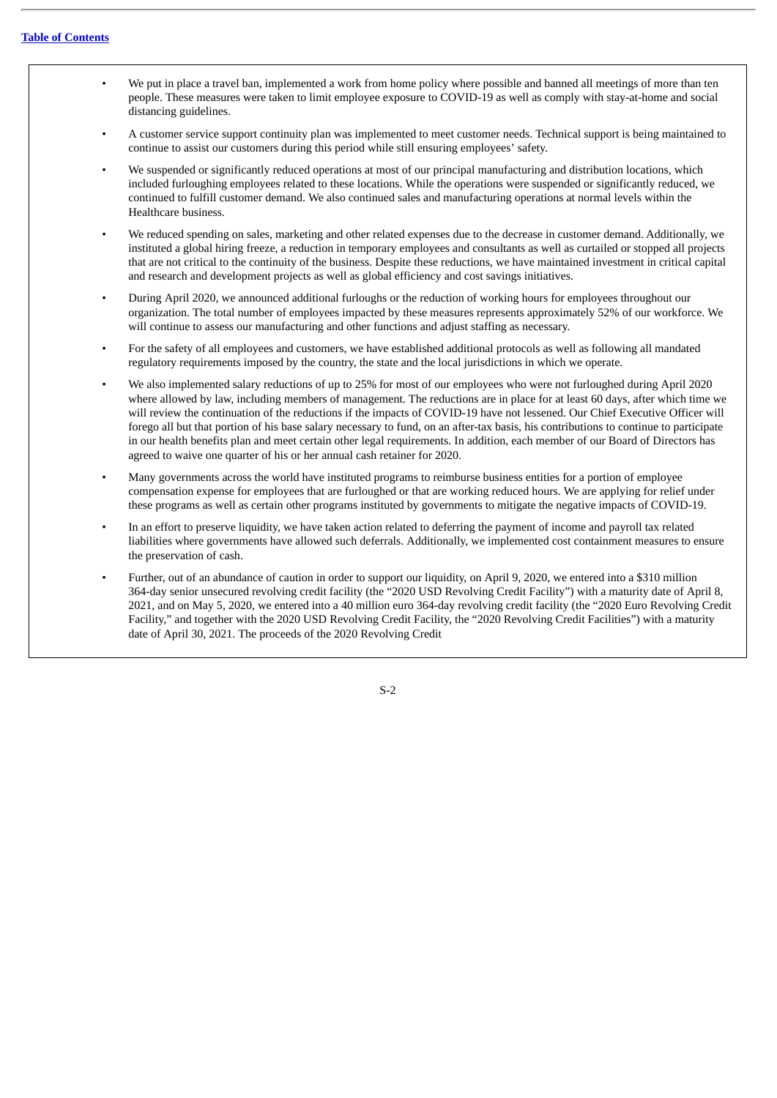- We put in place a travel ban, implemented a work from home policy where possible and banned all meetings of more than ten people. These measures were taken to limit employee exposure to COVID-19 as well as comply with stay-at-home and social distancing guidelines.
- A customer service support continuity plan was implemented to meet customer needs. Technical support is being maintained to continue to assist our customers during this period while still ensuring employees' safety.
- We suspended or significantly reduced operations at most of our principal manufacturing and distribution locations, which included furloughing employees related to these locations. While the operations were suspended or significantly reduced, we continued to fulfill customer demand. We also continued sales and manufacturing operations at normal levels within the Healthcare business.
- We reduced spending on sales, marketing and other related expenses due to the decrease in customer demand. Additionally, we instituted a global hiring freeze, a reduction in temporary employees and consultants as well as curtailed or stopped all projects that are not critical to the continuity of the business. Despite these reductions, we have maintained investment in critical capital and research and development projects as well as global efficiency and cost savings initiatives.
- During April 2020, we announced additional furloughs or the reduction of working hours for employees throughout our organization. The total number of employees impacted by these measures represents approximately 52% of our workforce. We will continue to assess our manufacturing and other functions and adjust staffing as necessary.
- For the safety of all employees and customers, we have established additional protocols as well as following all mandated regulatory requirements imposed by the country, the state and the local jurisdictions in which we operate.
- We also implemented salary reductions of up to 25% for most of our employees who were not furloughed during April 2020 where allowed by law, including members of management. The reductions are in place for at least 60 days, after which time we will review the continuation of the reductions if the impacts of COVID-19 have not lessened. Our Chief Executive Officer will forego all but that portion of his base salary necessary to fund, on an after-tax basis, his contributions to continue to participate in our health benefits plan and meet certain other legal requirements. In addition, each member of our Board of Directors has agreed to waive one quarter of his or her annual cash retainer for 2020.
- Many governments across the world have instituted programs to reimburse business entities for a portion of employee compensation expense for employees that are furloughed or that are working reduced hours. We are applying for relief under these programs as well as certain other programs instituted by governments to mitigate the negative impacts of COVID-19.
- In an effort to preserve liquidity, we have taken action related to deferring the payment of income and payroll tax related liabilities where governments have allowed such deferrals. Additionally, we implemented cost containment measures to ensure the preservation of cash.
- Further, out of an abundance of caution in order to support our liquidity, on April 9, 2020, we entered into a \$310 million 364-day senior unsecured revolving credit facility (the "2020 USD Revolving Credit Facility") with a maturity date of April 8, 2021, and on May 5, 2020, we entered into a 40 million euro 364-day revolving credit facility (the "2020 Euro Revolving Credit Facility," and together with the 2020 USD Revolving Credit Facility, the "2020 Revolving Credit Facilities") with a maturity date of April 30, 2021. The proceeds of the 2020 Revolving Credit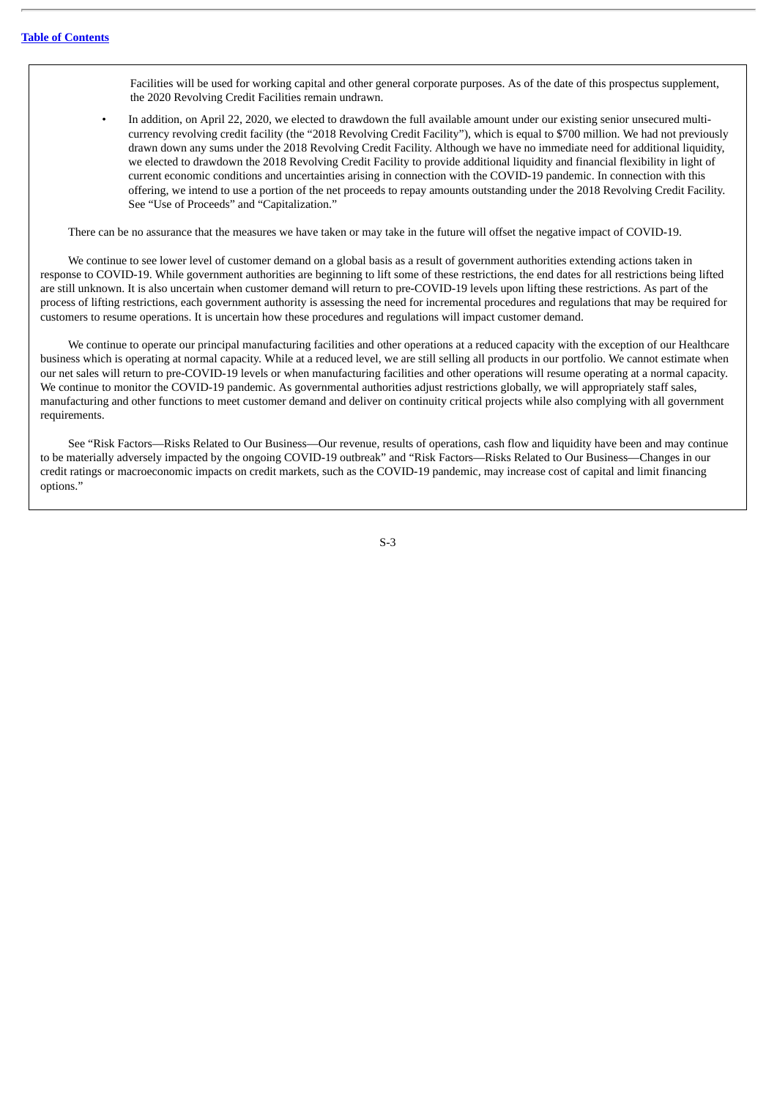Facilities will be used for working capital and other general corporate purposes. As of the date of this prospectus supplement, the 2020 Revolving Credit Facilities remain undrawn.

• In addition, on April 22, 2020, we elected to drawdown the full available amount under our existing senior unsecured multicurrency revolving credit facility (the "2018 Revolving Credit Facility"), which is equal to \$700 million. We had not previously drawn down any sums under the 2018 Revolving Credit Facility. Although we have no immediate need for additional liquidity, we elected to drawdown the 2018 Revolving Credit Facility to provide additional liquidity and financial flexibility in light of current economic conditions and uncertainties arising in connection with the COVID-19 pandemic. In connection with this offering, we intend to use a portion of the net proceeds to repay amounts outstanding under the 2018 Revolving Credit Facility. See "Use of Proceeds" and "Capitalization."

There can be no assurance that the measures we have taken or may take in the future will offset the negative impact of COVID-19.

We continue to see lower level of customer demand on a global basis as a result of government authorities extending actions taken in response to COVID-19. While government authorities are beginning to lift some of these restrictions, the end dates for all restrictions being lifted are still unknown. It is also uncertain when customer demand will return to pre-COVID-19 levels upon lifting these restrictions. As part of the process of lifting restrictions, each government authority is assessing the need for incremental procedures and regulations that may be required for customers to resume operations. It is uncertain how these procedures and regulations will impact customer demand.

We continue to operate our principal manufacturing facilities and other operations at a reduced capacity with the exception of our Healthcare business which is operating at normal capacity. While at a reduced level, we are still selling all products in our portfolio. We cannot estimate when our net sales will return to pre-COVID-19 levels or when manufacturing facilities and other operations will resume operating at a normal capacity. We continue to monitor the COVID-19 pandemic. As governmental authorities adjust restrictions globally, we will appropriately staff sales, manufacturing and other functions to meet customer demand and deliver on continuity critical projects while also complying with all government requirements.

See "Risk Factors—Risks Related to Our Business—Our revenue, results of operations, cash flow and liquidity have been and may continue to be materially adversely impacted by the ongoing COVID-19 outbreak" and "Risk Factors—Risks Related to Our Business—Changes in our credit ratings or macroeconomic impacts on credit markets, such as the COVID-19 pandemic, may increase cost of capital and limit financing options."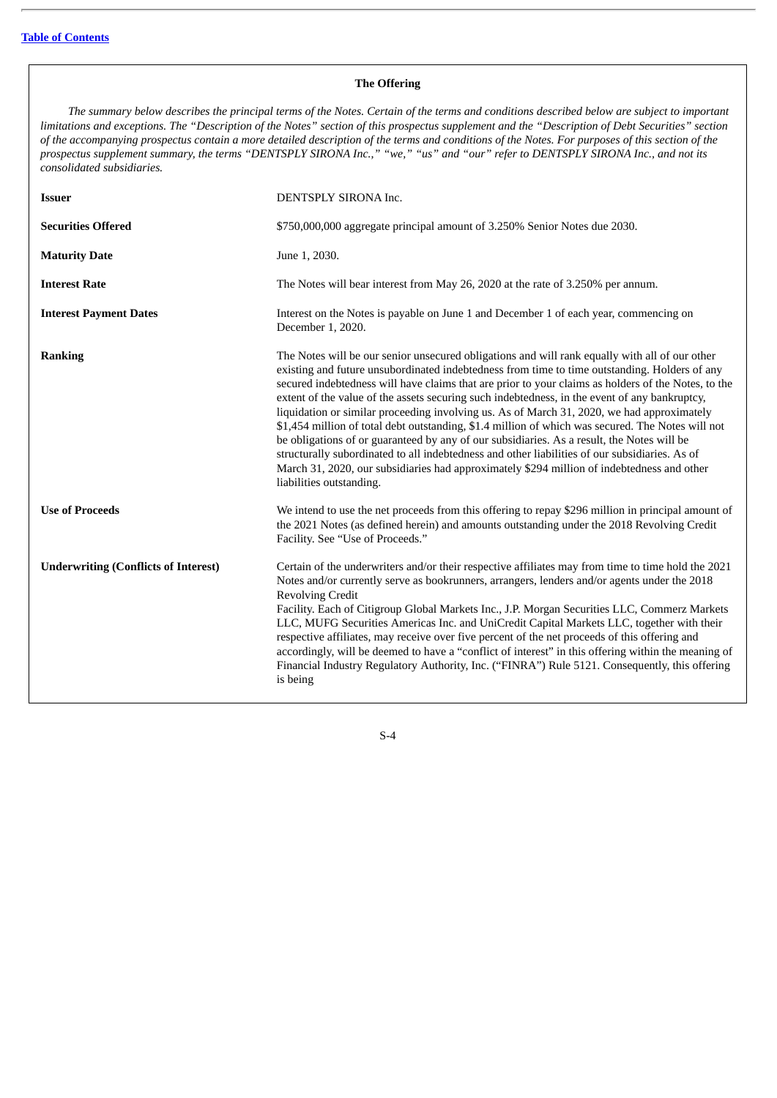## **The Offering**

The summary below describes the principal terms of the Notes. Certain of the terms and conditions described below are subject to important limitations and exceptions. The "Description of the Notes" section of this prospectus supplement and the "Description of Debt Securities" section of the accompanying prospectus contain a more detailed description of the terms and conditions of the Notes. For purposes of this section of the prospectus supplement summary, the terms "DENTSPLY SIRONA Inc.," "we," "us" and "our" refer to DENTSPLY SIRONA Inc., and not its *consolidated subsidiaries.*

| <b>Issuer</b>                               | DENTSPLY SIRONA Inc.                                                                                                                                                                                                                                                                                                                                                                                                                                                                                                                                                                                                                                                                                                                                                                                                                                                                                                                 |
|---------------------------------------------|--------------------------------------------------------------------------------------------------------------------------------------------------------------------------------------------------------------------------------------------------------------------------------------------------------------------------------------------------------------------------------------------------------------------------------------------------------------------------------------------------------------------------------------------------------------------------------------------------------------------------------------------------------------------------------------------------------------------------------------------------------------------------------------------------------------------------------------------------------------------------------------------------------------------------------------|
| <b>Securities Offered</b>                   | \$750,000,000 aggregate principal amount of 3.250% Senior Notes due 2030.                                                                                                                                                                                                                                                                                                                                                                                                                                                                                                                                                                                                                                                                                                                                                                                                                                                            |
| <b>Maturity Date</b>                        | June 1, 2030.                                                                                                                                                                                                                                                                                                                                                                                                                                                                                                                                                                                                                                                                                                                                                                                                                                                                                                                        |
| <b>Interest Rate</b>                        | The Notes will bear interest from May 26, 2020 at the rate of 3.250% per annum.                                                                                                                                                                                                                                                                                                                                                                                                                                                                                                                                                                                                                                                                                                                                                                                                                                                      |
| <b>Interest Payment Dates</b>               | Interest on the Notes is payable on June 1 and December 1 of each year, commencing on<br>December 1, 2020.                                                                                                                                                                                                                                                                                                                                                                                                                                                                                                                                                                                                                                                                                                                                                                                                                           |
| <b>Ranking</b>                              | The Notes will be our senior unsecured obligations and will rank equally with all of our other<br>existing and future unsubordinated indebtedness from time to time outstanding. Holders of any<br>secured indebtedness will have claims that are prior to your claims as holders of the Notes, to the<br>extent of the value of the assets securing such indebtedness, in the event of any bankruptcy,<br>liquidation or similar proceeding involving us. As of March 31, 2020, we had approximately<br>\$1,454 million of total debt outstanding, \$1.4 million of which was secured. The Notes will not<br>be obligations of or guaranteed by any of our subsidiaries. As a result, the Notes will be<br>structurally subordinated to all indebtedness and other liabilities of our subsidiaries. As of<br>March 31, 2020, our subsidiaries had approximately \$294 million of indebtedness and other<br>liabilities outstanding. |
| <b>Use of Proceeds</b>                      | We intend to use the net proceeds from this offering to repay \$296 million in principal amount of<br>the 2021 Notes (as defined herein) and amounts outstanding under the 2018 Revolving Credit<br>Facility. See "Use of Proceeds."                                                                                                                                                                                                                                                                                                                                                                                                                                                                                                                                                                                                                                                                                                 |
| <b>Underwriting (Conflicts of Interest)</b> | Certain of the underwriters and/or their respective affiliates may from time to time hold the 2021<br>Notes and/or currently serve as bookrunners, arrangers, lenders and/or agents under the 2018<br><b>Revolving Credit</b><br>Facility. Each of Citigroup Global Markets Inc., J.P. Morgan Securities LLC, Commerz Markets<br>LLC, MUFG Securities Americas Inc. and UniCredit Capital Markets LLC, together with their<br>respective affiliates, may receive over five percent of the net proceeds of this offering and<br>accordingly, will be deemed to have a "conflict of interest" in this offering within the meaning of<br>Financial Industry Regulatory Authority, Inc. ("FINRA") Rule 5121. Consequently, this offering<br>is being                                                                                                                                                                                     |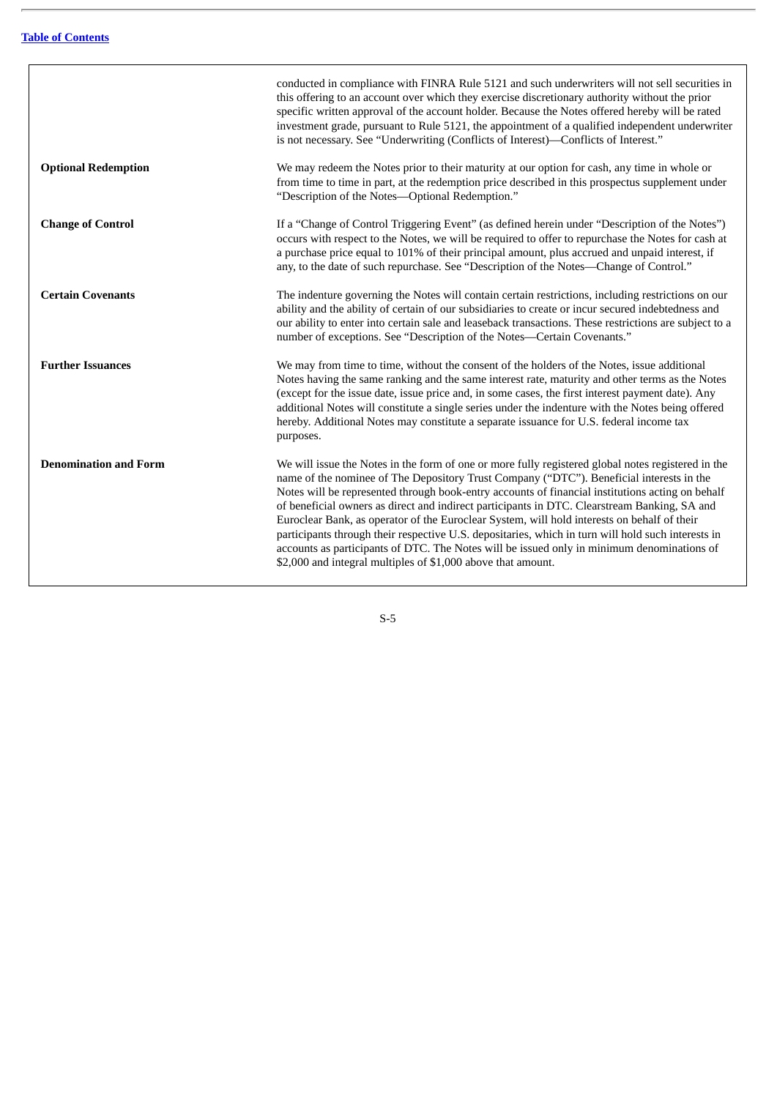|                              | conducted in compliance with FINRA Rule 5121 and such underwriters will not sell securities in<br>this offering to an account over which they exercise discretionary authority without the prior<br>specific written approval of the account holder. Because the Notes offered hereby will be rated<br>investment grade, pursuant to Rule 5121, the appointment of a qualified independent underwriter<br>is not necessary. See "Underwriting (Conflicts of Interest)-Conflicts of Interest."                                                                                                                                                                                                                                                                         |
|------------------------------|-----------------------------------------------------------------------------------------------------------------------------------------------------------------------------------------------------------------------------------------------------------------------------------------------------------------------------------------------------------------------------------------------------------------------------------------------------------------------------------------------------------------------------------------------------------------------------------------------------------------------------------------------------------------------------------------------------------------------------------------------------------------------|
| <b>Optional Redemption</b>   | We may redeem the Notes prior to their maturity at our option for cash, any time in whole or<br>from time to time in part, at the redemption price described in this prospectus supplement under<br>"Description of the Notes-Optional Redemption."                                                                                                                                                                                                                                                                                                                                                                                                                                                                                                                   |
| <b>Change of Control</b>     | If a "Change of Control Triggering Event" (as defined herein under "Description of the Notes")<br>occurs with respect to the Notes, we will be required to offer to repurchase the Notes for cash at<br>a purchase price equal to 101% of their principal amount, plus accrued and unpaid interest, if<br>any, to the date of such repurchase. See "Description of the Notes-Change of Control."                                                                                                                                                                                                                                                                                                                                                                      |
| <b>Certain Covenants</b>     | The indenture governing the Notes will contain certain restrictions, including restrictions on our<br>ability and the ability of certain of our subsidiaries to create or incur secured indebtedness and<br>our ability to enter into certain sale and leaseback transactions. These restrictions are subject to a<br>number of exceptions. See "Description of the Notes-Certain Covenants."                                                                                                                                                                                                                                                                                                                                                                         |
| <b>Further Issuances</b>     | We may from time to time, without the consent of the holders of the Notes, issue additional<br>Notes having the same ranking and the same interest rate, maturity and other terms as the Notes<br>(except for the issue date, issue price and, in some cases, the first interest payment date). Any<br>additional Notes will constitute a single series under the indenture with the Notes being offered<br>hereby. Additional Notes may constitute a separate issuance for U.S. federal income tax<br>purposes.                                                                                                                                                                                                                                                      |
| <b>Denomination and Form</b> | We will issue the Notes in the form of one or more fully registered global notes registered in the<br>name of the nominee of The Depository Trust Company ("DTC"). Beneficial interests in the<br>Notes will be represented through book-entry accounts of financial institutions acting on behalf<br>of beneficial owners as direct and indirect participants in DTC. Clearstream Banking, SA and<br>Euroclear Bank, as operator of the Euroclear System, will hold interests on behalf of their<br>participants through their respective U.S. depositaries, which in turn will hold such interests in<br>accounts as participants of DTC. The Notes will be issued only in minimum denominations of<br>\$2,000 and integral multiples of \$1,000 above that amount. |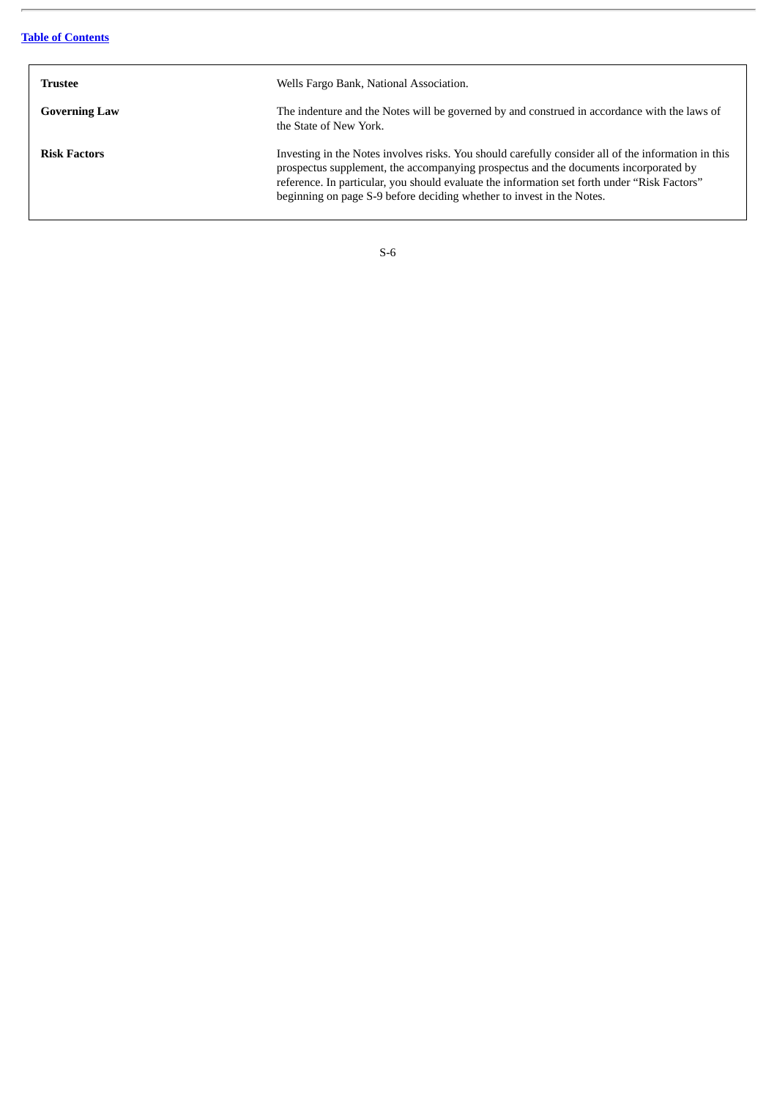| Trustee              | Wells Fargo Bank, National Association.                                                                                                                                                                                                                                                                                                                              |
|----------------------|----------------------------------------------------------------------------------------------------------------------------------------------------------------------------------------------------------------------------------------------------------------------------------------------------------------------------------------------------------------------|
| <b>Governing Law</b> | The indenture and the Notes will be governed by and construed in accordance with the laws of<br>the State of New York.                                                                                                                                                                                                                                               |
| <b>Risk Factors</b>  | Investing in the Notes involves risks. You should carefully consider all of the information in this<br>prospectus supplement, the accompanying prospectus and the documents incorporated by<br>reference. In particular, you should evaluate the information set forth under "Risk Factors"<br>beginning on page S-9 before deciding whether to invest in the Notes. |

| w                            |  |
|------------------------------|--|
| I<br>I<br>۰,<br>×<br>۰,<br>× |  |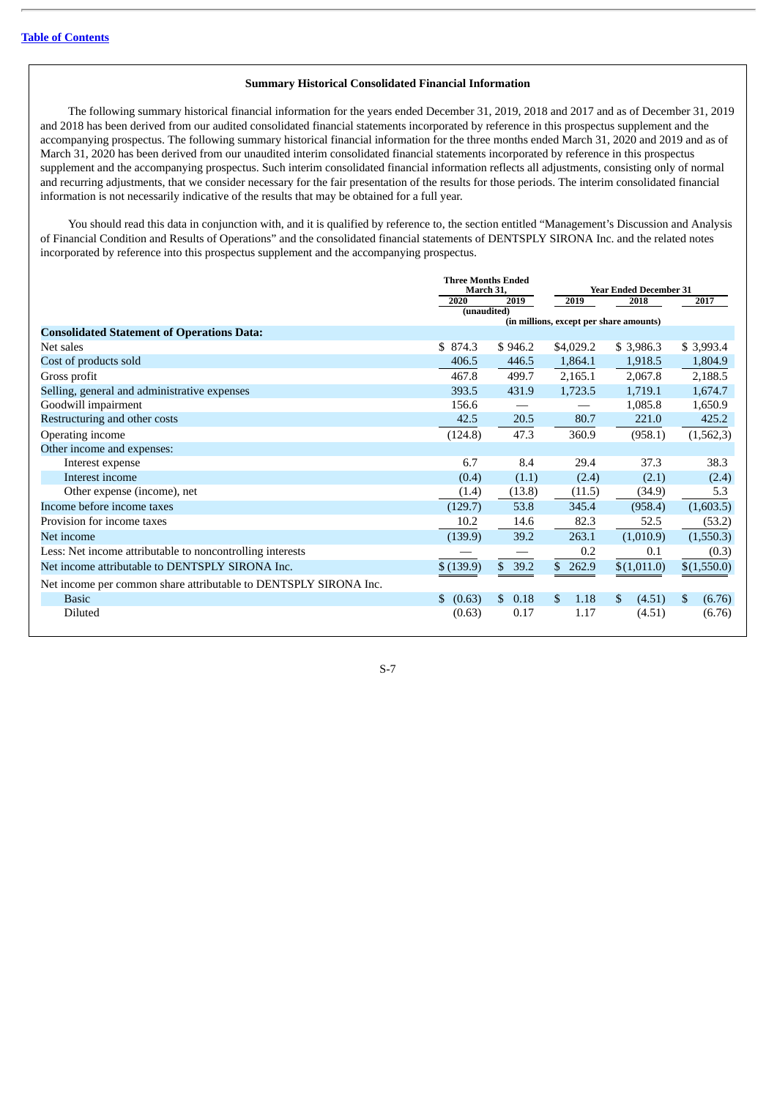#### **Summary Historical Consolidated Financial Information**

The following summary historical financial information for the years ended December 31, 2019, 2018 and 2017 and as of December 31, 2019 and 2018 has been derived from our audited consolidated financial statements incorporated by reference in this prospectus supplement and the accompanying prospectus. The following summary historical financial information for the three months ended March 31, 2020 and 2019 and as of March 31, 2020 has been derived from our unaudited interim consolidated financial statements incorporated by reference in this prospectus supplement and the accompanying prospectus. Such interim consolidated financial information reflects all adjustments, consisting only of normal and recurring adjustments, that we consider necessary for the fair presentation of the results for those periods. The interim consolidated financial information is not necessarily indicative of the results that may be obtained for a full year.

You should read this data in conjunction with, and it is qualified by reference to, the section entitled "Management's Discussion and Analysis of Financial Condition and Results of Operations" and the consolidated financial statements of DENTSPLY SIRONA Inc. and the related notes incorporated by reference into this prospectus supplement and the accompanying prospectus.

|                                                                  | <b>Three Months Ended</b><br>March 31, |            |                                         | <b>Year Ended December 31</b> |              |
|------------------------------------------------------------------|----------------------------------------|------------|-----------------------------------------|-------------------------------|--------------|
|                                                                  | 2020                                   | 2019       | 2019                                    | 2018                          | 2017         |
|                                                                  | (unaudited)                            |            | (in millions, except per share amounts) |                               |              |
| <b>Consolidated Statement of Operations Data:</b>                |                                        |            |                                         |                               |              |
| Net sales                                                        | \$874.3                                | \$946.2    | \$4,029.2                               | \$3,986.3                     | \$3,993.4    |
| Cost of products sold                                            | 406.5                                  | 446.5      | 1,864.1                                 | 1,918.5                       | 1,804.9      |
| Gross profit                                                     | 467.8                                  | 499.7      | 2,165.1                                 | 2,067.8                       | 2,188.5      |
| Selling, general and administrative expenses                     | 393.5                                  | 431.9      | 1,723.5                                 | 1,719.1                       | 1,674.7      |
| Goodwill impairment                                              | 156.6                                  |            |                                         | 1,085.8                       | 1,650.9      |
| Restructuring and other costs                                    | 42.5                                   | 20.5       | 80.7                                    | 221.0                         | 425.2        |
| Operating income                                                 | (124.8)                                | 47.3       | 360.9                                   | (958.1)                       | (1, 562, 3)  |
| Other income and expenses:                                       |                                        |            |                                         |                               |              |
| Interest expense                                                 | 6.7                                    | 8.4        | 29.4                                    | 37.3                          | 38.3         |
| Interest income                                                  | (0.4)                                  | (1.1)      | (2.4)                                   | (2.1)                         | (2.4)        |
| Other expense (income), net                                      | (1.4)                                  | (13.8)     | (11.5)                                  | (34.9)                        | 5.3          |
| Income before income taxes                                       | (129.7)                                | 53.8       | 345.4                                   | (958.4)                       | (1,603.5)    |
| Provision for income taxes                                       | 10.2                                   | 14.6       | 82.3                                    | 52.5                          | (53.2)       |
| Net income                                                       | (139.9)                                | 39.2       | 263.1                                   | (1,010.9)                     | (1,550.3)    |
| Less: Net income attributable to noncontrolling interests        |                                        |            | 0.2                                     | 0.1                           | (0.3)        |
| Net income attributable to DENTSPLY SIRONA Inc.                  | \$(139.9)                              | 39.2<br>\$ | \$262.9                                 | \$(1,011.0)                   | \$(1,550.0)  |
| Net income per common share attributable to DENTSPLY SIRONA Inc. |                                        |            |                                         |                               |              |
| <b>Basic</b>                                                     | \$<br>(0.63)                           | \$<br>0.18 | \$.<br>1.18                             | \$<br>(4.51)                  | \$<br>(6.76) |
| Diluted                                                          | (0.63)                                 | 0.17       | 1.17                                    | (4.51)                        | (6.76)       |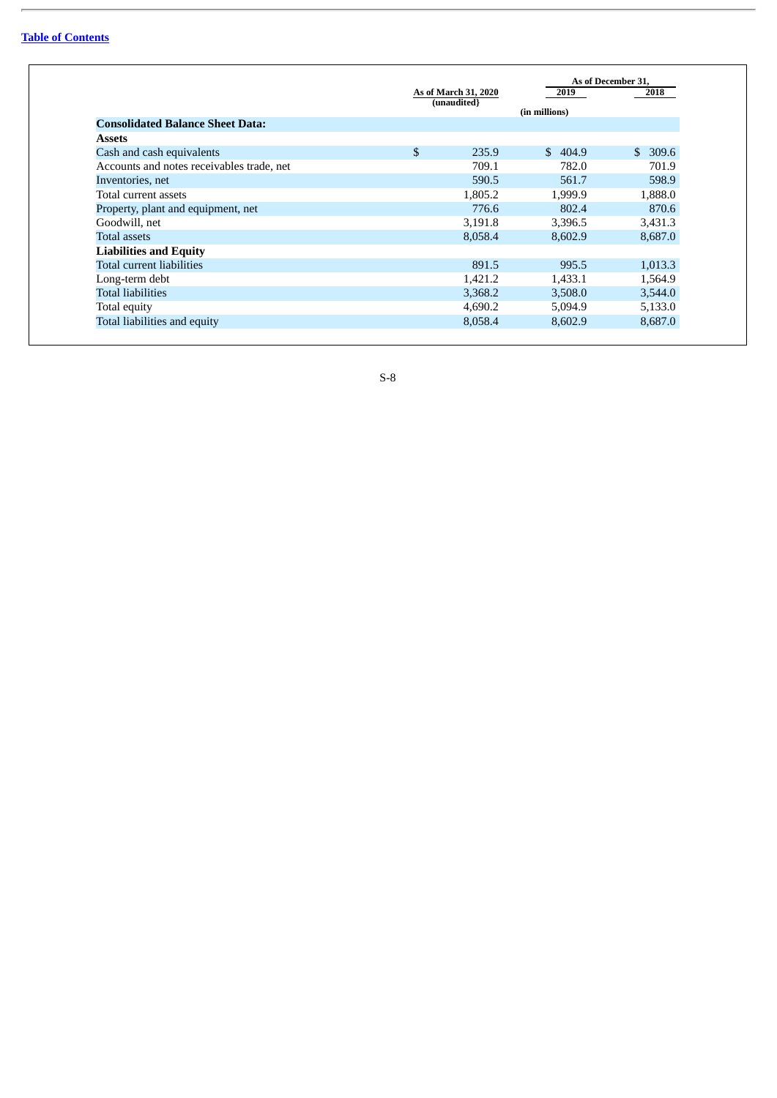|                                           | As of March 31, 2020 | 2019          | As of December 31,<br>2018 |
|-------------------------------------------|----------------------|---------------|----------------------------|
|                                           | (unaudited}          | (in millions) |                            |
| <b>Consolidated Balance Sheet Data:</b>   |                      |               |                            |
| Assets                                    |                      |               |                            |
| Cash and cash equivalents                 | \$<br>235.9          | 404.9<br>\$.  | 309.6<br>\$.               |
| Accounts and notes receivables trade, net | 709.1                | 782.0         | 701.9                      |
| Inventories, net                          | 590.5                | 561.7         | 598.9                      |
| Total current assets                      | 1,805.2              | 1,999.9       | 1,888.0                    |
| Property, plant and equipment, net        | 776.6                | 802.4         | 870.6                      |
| Goodwill, net                             | 3,191.8              | 3,396.5       | 3,431.3                    |
| <b>Total assets</b>                       | 8,058.4              | 8,602.9       | 8,687.0                    |
| <b>Liabilities and Equity</b>             |                      |               |                            |
| Total current liabilities                 | 891.5                | 995.5         | 1,013.3                    |
| Long-term debt                            | 1,421.2              | 1,433.1       | 1,564.9                    |
| <b>Total liabilities</b>                  | 3,368.2              | 3,508.0       | 3,544.0                    |
| Total equity                              | 4,690.2              | 5,094.9       | 5,133.0                    |
| Total liabilities and equity              | 8,058.4              | 8.602.9       | 8,687.0                    |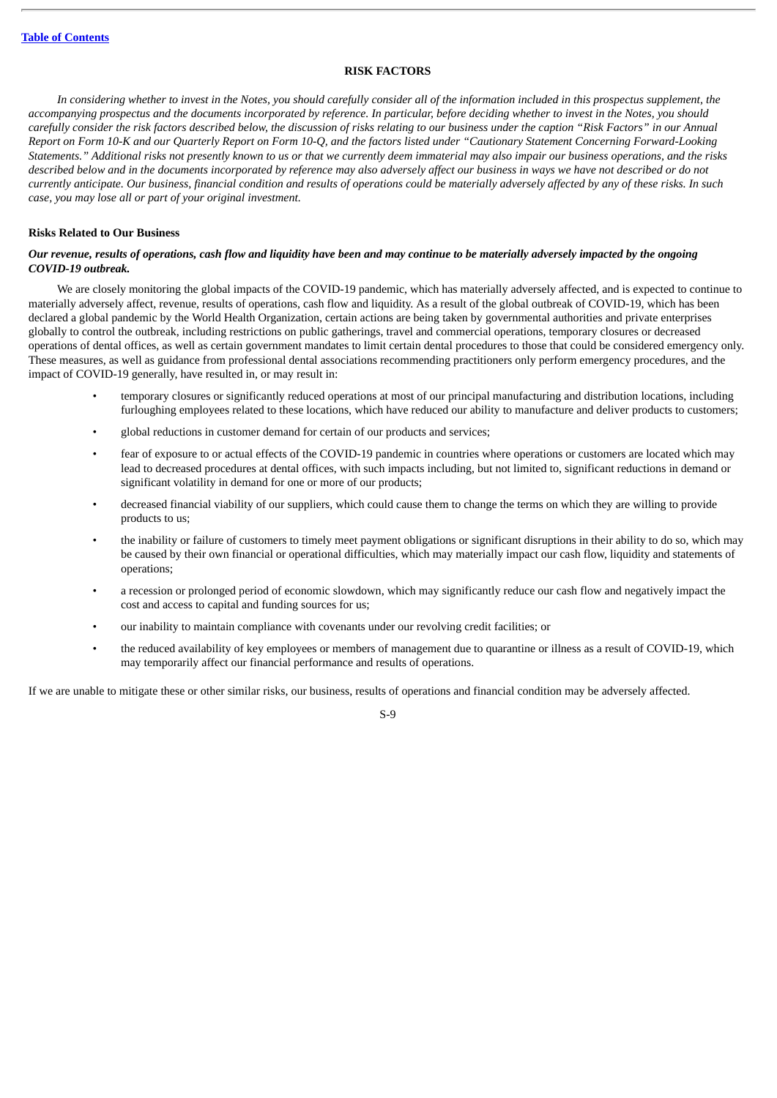#### **RISK FACTORS**

<span id="page-13-0"></span>In considering whether to invest in the Notes, you should carefully consider all of the information included in this prospectus supplement, the accompanying prospectus and the documents incorporated by reference. In particular, before deciding whether to invest in the Notes, you should carefully consider the risk factors described below, the discussion of risks relating to our business under the caption "Risk Factors" in our Annual Report on Form 10-K and our Quarterly Report on Form 10-Q, and the factors listed under "Cautionary Statement Concerning Forward-Looking Statements." Additional risks not presently known to us or that we currently deem immaterial may also impair our business operations, and the risks described below and in the documents incorporated by reference may also adversely affect our business in ways we have not described or do not currently anticipate. Our business, financial condition and results of operations could be materially adversely affected by any of these risks. In such *case, you may lose all or part of your original investment.*

## **Risks Related to Our Business**

## Our revenue, results of operations, cash flow and liquidity have been and may continue to be materially adversely impacted by the ongoing *COVID-19 outbreak.*

We are closely monitoring the global impacts of the COVID-19 pandemic, which has materially adversely affected, and is expected to continue to materially adversely affect, revenue, results of operations, cash flow and liquidity. As a result of the global outbreak of COVID-19, which has been declared a global pandemic by the World Health Organization, certain actions are being taken by governmental authorities and private enterprises globally to control the outbreak, including restrictions on public gatherings, travel and commercial operations, temporary closures or decreased operations of dental offices, as well as certain government mandates to limit certain dental procedures to those that could be considered emergency only. These measures, as well as guidance from professional dental associations recommending practitioners only perform emergency procedures, and the impact of COVID-19 generally, have resulted in, or may result in:

- temporary closures or significantly reduced operations at most of our principal manufacturing and distribution locations, including furloughing employees related to these locations, which have reduced our ability to manufacture and deliver products to customers;
- global reductions in customer demand for certain of our products and services;
- fear of exposure to or actual effects of the COVID-19 pandemic in countries where operations or customers are located which may lead to decreased procedures at dental offices, with such impacts including, but not limited to, significant reductions in demand or significant volatility in demand for one or more of our products;
- decreased financial viability of our suppliers, which could cause them to change the terms on which they are willing to provide products to us;
- the inability or failure of customers to timely meet payment obligations or significant disruptions in their ability to do so, which may be caused by their own financial or operational difficulties, which may materially impact our cash flow, liquidity and statements of operations;
- a recession or prolonged period of economic slowdown, which may significantly reduce our cash flow and negatively impact the cost and access to capital and funding sources for us;
- our inability to maintain compliance with covenants under our revolving credit facilities; or
- the reduced availability of key employees or members of management due to quarantine or illness as a result of COVID-19, which may temporarily affect our financial performance and results of operations.

If we are unable to mitigate these or other similar risks, our business, results of operations and financial condition may be adversely affected.

#### $S_0$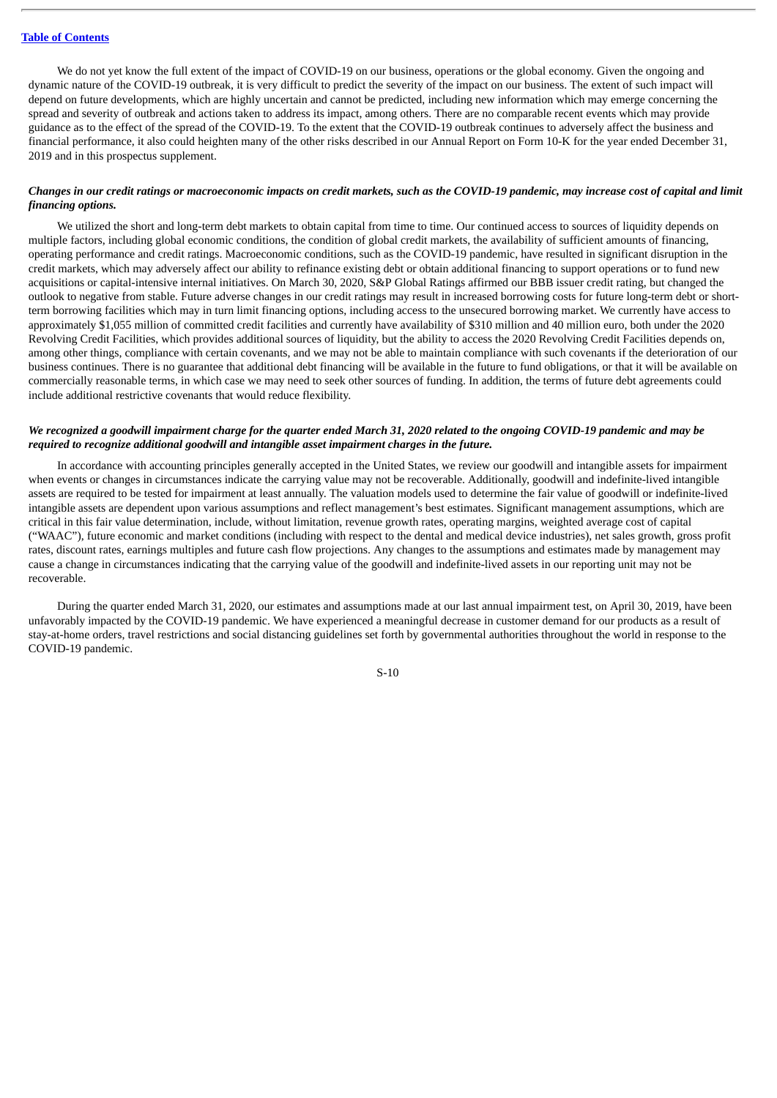We do not yet know the full extent of the impact of COVID-19 on our business, operations or the global economy. Given the ongoing and dynamic nature of the COVID-19 outbreak, it is very difficult to predict the severity of the impact on our business. The extent of such impact will depend on future developments, which are highly uncertain and cannot be predicted, including new information which may emerge concerning the spread and severity of outbreak and actions taken to address its impact, among others. There are no comparable recent events which may provide guidance as to the effect of the spread of the COVID-19. To the extent that the COVID-19 outbreak continues to adversely affect the business and financial performance, it also could heighten many of the other risks described in our Annual Report on Form 10-K for the year ended December 31, 2019 and in this prospectus supplement.

## Changes in our credit ratings or macroeconomic impacts on credit markets, such as the COVID-19 pandemic, may increase cost of capital and limit *financing options.*

We utilized the short and long-term debt markets to obtain capital from time to time. Our continued access to sources of liquidity depends on multiple factors, including global economic conditions, the condition of global credit markets, the availability of sufficient amounts of financing, operating performance and credit ratings. Macroeconomic conditions, such as the COVID-19 pandemic, have resulted in significant disruption in the credit markets, which may adversely affect our ability to refinance existing debt or obtain additional financing to support operations or to fund new acquisitions or capital-intensive internal initiatives. On March 30, 2020, S&P Global Ratings affirmed our BBB issuer credit rating, but changed the outlook to negative from stable. Future adverse changes in our credit ratings may result in increased borrowing costs for future long-term debt or shortterm borrowing facilities which may in turn limit financing options, including access to the unsecured borrowing market. We currently have access to approximately \$1,055 million of committed credit facilities and currently have availability of \$310 million and 40 million euro, both under the 2020 Revolving Credit Facilities, which provides additional sources of liquidity, but the ability to access the 2020 Revolving Credit Facilities depends on, among other things, compliance with certain covenants, and we may not be able to maintain compliance with such covenants if the deterioration of our business continues. There is no guarantee that additional debt financing will be available in the future to fund obligations, or that it will be available on commercially reasonable terms, in which case we may need to seek other sources of funding. In addition, the terms of future debt agreements could include additional restrictive covenants that would reduce flexibility.

## We recognized a goodwill impairment charge for the quarter ended March 31, 2020 related to the ongoing COVID-19 pandemic and may be *required to recognize additional goodwill and intangible asset impairment charges in the future.*

In accordance with accounting principles generally accepted in the United States, we review our goodwill and intangible assets for impairment when events or changes in circumstances indicate the carrying value may not be recoverable. Additionally, goodwill and indefinite-lived intangible assets are required to be tested for impairment at least annually. The valuation models used to determine the fair value of goodwill or indefinite-lived intangible assets are dependent upon various assumptions and reflect management's best estimates. Significant management assumptions, which are critical in this fair value determination, include, without limitation, revenue growth rates, operating margins, weighted average cost of capital ("WAAC"), future economic and market conditions (including with respect to the dental and medical device industries), net sales growth, gross profit rates, discount rates, earnings multiples and future cash flow projections. Any changes to the assumptions and estimates made by management may cause a change in circumstances indicating that the carrying value of the goodwill and indefinite-lived assets in our reporting unit may not be recoverable.

During the quarter ended March 31, 2020, our estimates and assumptions made at our last annual impairment test, on April 30, 2019, have been unfavorably impacted by the COVID-19 pandemic. We have experienced a meaningful decrease in customer demand for our products as a result of stay-at-home orders, travel restrictions and social distancing guidelines set forth by governmental authorities throughout the world in response to the COVID-19 pandemic.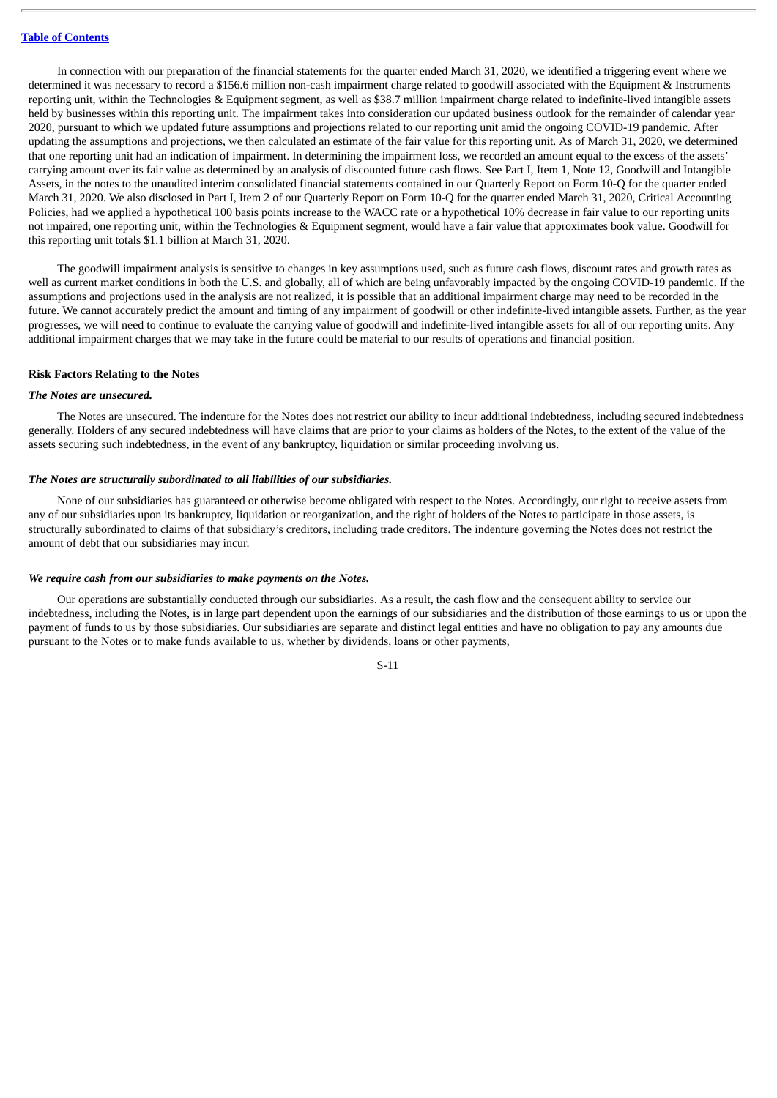In connection with our preparation of the financial statements for the quarter ended March 31, 2020, we identified a triggering event where we determined it was necessary to record a \$156.6 million non-cash impairment charge related to goodwill associated with the Equipment & Instruments reporting unit, within the Technologies & Equipment segment, as well as \$38.7 million impairment charge related to indefinite-lived intangible assets held by businesses within this reporting unit. The impairment takes into consideration our updated business outlook for the remainder of calendar year 2020, pursuant to which we updated future assumptions and projections related to our reporting unit amid the ongoing COVID-19 pandemic. After updating the assumptions and projections, we then calculated an estimate of the fair value for this reporting unit. As of March 31, 2020, we determined that one reporting unit had an indication of impairment. In determining the impairment loss, we recorded an amount equal to the excess of the assets' carrying amount over its fair value as determined by an analysis of discounted future cash flows. See Part I, Item 1, Note 12, Goodwill and Intangible Assets, in the notes to the unaudited interim consolidated financial statements contained in our Quarterly Report on Form 10-Q for the quarter ended March 31, 2020. We also disclosed in Part I, Item 2 of our Quarterly Report on Form 10-Q for the quarter ended March 31, 2020, Critical Accounting Policies, had we applied a hypothetical 100 basis points increase to the WACC rate or a hypothetical 10% decrease in fair value to our reporting units not impaired, one reporting unit, within the Technologies & Equipment segment, would have a fair value that approximates book value. Goodwill for this reporting unit totals \$1.1 billion at March 31, 2020.

The goodwill impairment analysis is sensitive to changes in key assumptions used, such as future cash flows, discount rates and growth rates as well as current market conditions in both the U.S. and globally, all of which are being unfavorably impacted by the ongoing COVID-19 pandemic. If the assumptions and projections used in the analysis are not realized, it is possible that an additional impairment charge may need to be recorded in the future. We cannot accurately predict the amount and timing of any impairment of goodwill or other indefinite-lived intangible assets. Further, as the year progresses, we will need to continue to evaluate the carrying value of goodwill and indefinite-lived intangible assets for all of our reporting units. Any additional impairment charges that we may take in the future could be material to our results of operations and financial position.

#### **Risk Factors Relating to the Notes**

#### *The Notes are unsecured.*

The Notes are unsecured. The indenture for the Notes does not restrict our ability to incur additional indebtedness, including secured indebtedness generally. Holders of any secured indebtedness will have claims that are prior to your claims as holders of the Notes, to the extent of the value of the assets securing such indebtedness, in the event of any bankruptcy, liquidation or similar proceeding involving us.

#### *The Notes are structurally subordinated to all liabilities of our subsidiaries.*

None of our subsidiaries has guaranteed or otherwise become obligated with respect to the Notes. Accordingly, our right to receive assets from any of our subsidiaries upon its bankruptcy, liquidation or reorganization, and the right of holders of the Notes to participate in those assets, is structurally subordinated to claims of that subsidiary's creditors, including trade creditors. The indenture governing the Notes does not restrict the amount of debt that our subsidiaries may incur.

#### *We require cash from our subsidiaries to make payments on the Notes.*

Our operations are substantially conducted through our subsidiaries. As a result, the cash flow and the consequent ability to service our indebtedness, including the Notes, is in large part dependent upon the earnings of our subsidiaries and the distribution of those earnings to us or upon the payment of funds to us by those subsidiaries. Our subsidiaries are separate and distinct legal entities and have no obligation to pay any amounts due pursuant to the Notes or to make funds available to us, whether by dividends, loans or other payments,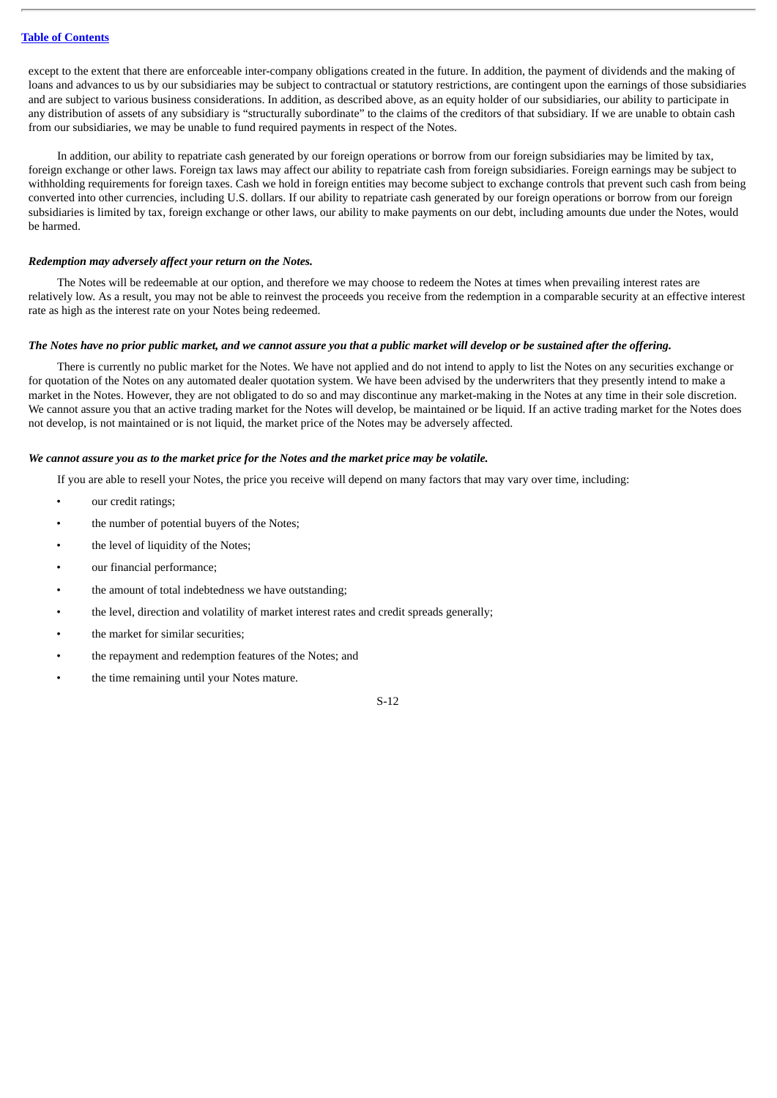except to the extent that there are enforceable inter-company obligations created in the future. In addition, the payment of dividends and the making of loans and advances to us by our subsidiaries may be subject to contractual or statutory restrictions, are contingent upon the earnings of those subsidiaries and are subject to various business considerations. In addition, as described above, as an equity holder of our subsidiaries, our ability to participate in any distribution of assets of any subsidiary is "structurally subordinate" to the claims of the creditors of that subsidiary. If we are unable to obtain cash from our subsidiaries, we may be unable to fund required payments in respect of the Notes.

In addition, our ability to repatriate cash generated by our foreign operations or borrow from our foreign subsidiaries may be limited by tax, foreign exchange or other laws. Foreign tax laws may affect our ability to repatriate cash from foreign subsidiaries. Foreign earnings may be subject to withholding requirements for foreign taxes. Cash we hold in foreign entities may become subject to exchange controls that prevent such cash from being converted into other currencies, including U.S. dollars. If our ability to repatriate cash generated by our foreign operations or borrow from our foreign subsidiaries is limited by tax, foreign exchange or other laws, our ability to make payments on our debt, including amounts due under the Notes, would be harmed.

#### *Redemption may adversely affect your return on the Notes.*

The Notes will be redeemable at our option, and therefore we may choose to redeem the Notes at times when prevailing interest rates are relatively low. As a result, you may not be able to reinvest the proceeds you receive from the redemption in a comparable security at an effective interest rate as high as the interest rate on your Notes being redeemed.

#### The Notes have no prior public market, and we cannot assure you that a public market will develop or be sustained after the offering.

There is currently no public market for the Notes. We have not applied and do not intend to apply to list the Notes on any securities exchange or for quotation of the Notes on any automated dealer quotation system. We have been advised by the underwriters that they presently intend to make a market in the Notes. However, they are not obligated to do so and may discontinue any market-making in the Notes at any time in their sole discretion. We cannot assure you that an active trading market for the Notes will develop, be maintained or be liquid. If an active trading market for the Notes does not develop, is not maintained or is not liquid, the market price of the Notes may be adversely affected.

#### We cannot assure you as to the market price for the Notes and the market price may be volatile.

If you are able to resell your Notes, the price you receive will depend on many factors that may vary over time, including:

- our credit ratings;
- the number of potential buyers of the Notes;
- the level of liquidity of the Notes;
- our financial performance;
- the amount of total indebtedness we have outstanding;
- the level, direction and volatility of market interest rates and credit spreads generally;
- the market for similar securities;
- the repayment and redemption features of the Notes; and
- the time remaining until your Notes mature.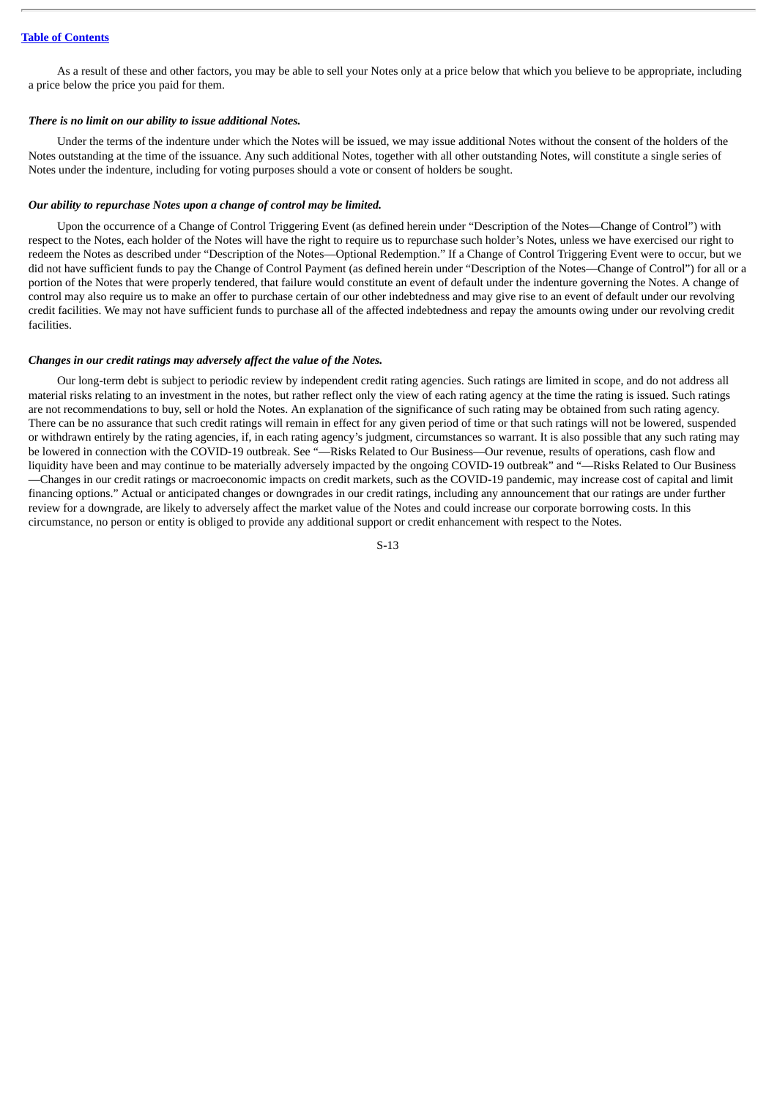As a result of these and other factors, you may be able to sell your Notes only at a price below that which you believe to be appropriate, including a price below the price you paid for them.

#### *There is no limit on our ability to issue additional Notes.*

Under the terms of the indenture under which the Notes will be issued, we may issue additional Notes without the consent of the holders of the Notes outstanding at the time of the issuance. Any such additional Notes, together with all other outstanding Notes, will constitute a single series of Notes under the indenture, including for voting purposes should a vote or consent of holders be sought.

#### *Our ability to repurchase Notes upon a change of control may be limited.*

Upon the occurrence of a Change of Control Triggering Event (as defined herein under "Description of the Notes—Change of Control") with respect to the Notes, each holder of the Notes will have the right to require us to repurchase such holder's Notes, unless we have exercised our right to redeem the Notes as described under "Description of the Notes—Optional Redemption." If a Change of Control Triggering Event were to occur, but we did not have sufficient funds to pay the Change of Control Payment (as defined herein under "Description of the Notes—Change of Control") for all or a portion of the Notes that were properly tendered, that failure would constitute an event of default under the indenture governing the Notes. A change of control may also require us to make an offer to purchase certain of our other indebtedness and may give rise to an event of default under our revolving credit facilities. We may not have sufficient funds to purchase all of the affected indebtedness and repay the amounts owing under our revolving credit facilities.

#### *Changes in our credit ratings may adversely affect the value of the Notes.*

Our long-term debt is subject to periodic review by independent credit rating agencies. Such ratings are limited in scope, and do not address all material risks relating to an investment in the notes, but rather reflect only the view of each rating agency at the time the rating is issued. Such ratings are not recommendations to buy, sell or hold the Notes. An explanation of the significance of such rating may be obtained from such rating agency. There can be no assurance that such credit ratings will remain in effect for any given period of time or that such ratings will not be lowered, suspended or withdrawn entirely by the rating agencies, if, in each rating agency's judgment, circumstances so warrant. It is also possible that any such rating may be lowered in connection with the COVID-19 outbreak. See "—Risks Related to Our Business—Our revenue, results of operations, cash flow and liquidity have been and may continue to be materially adversely impacted by the ongoing COVID-19 outbreak" and "—Risks Related to Our Business —Changes in our credit ratings or macroeconomic impacts on credit markets, such as the COVID-19 pandemic, may increase cost of capital and limit financing options." Actual or anticipated changes or downgrades in our credit ratings, including any announcement that our ratings are under further review for a downgrade, are likely to adversely affect the market value of the Notes and could increase our corporate borrowing costs. In this circumstance, no person or entity is obliged to provide any additional support or credit enhancement with respect to the Notes.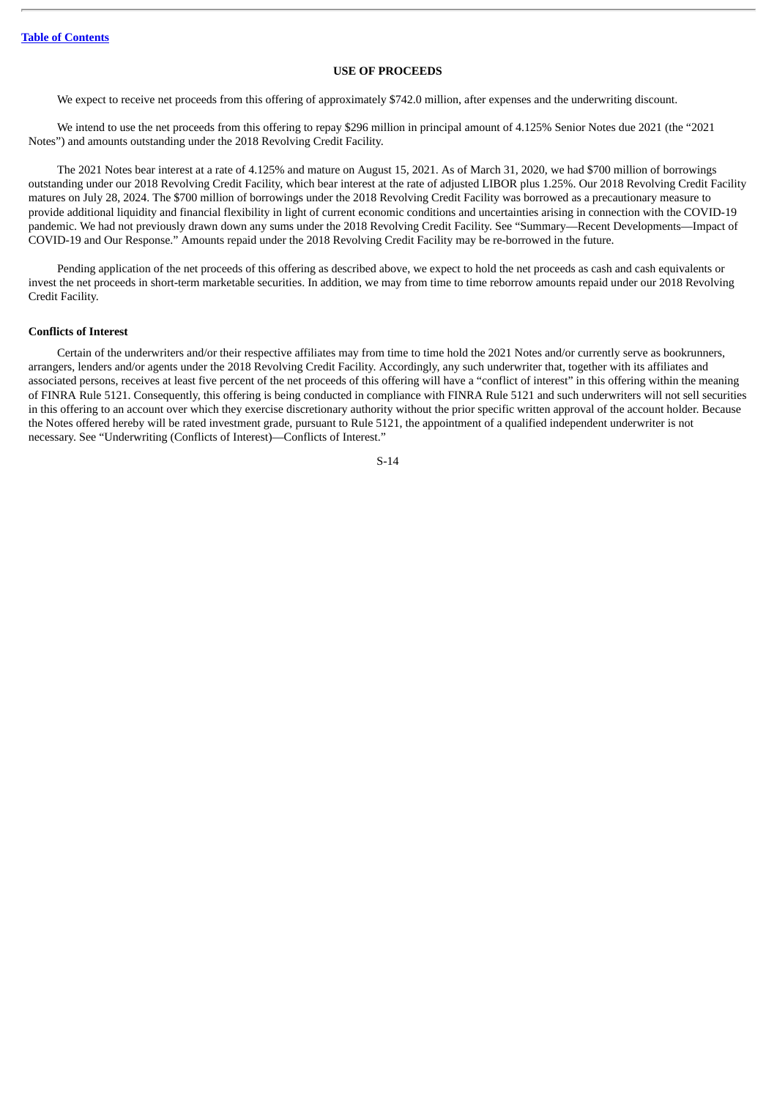#### **USE OF PROCEEDS**

<span id="page-18-0"></span>We expect to receive net proceeds from this offering of approximately \$742.0 million, after expenses and the underwriting discount.

We intend to use the net proceeds from this offering to repay \$296 million in principal amount of 4.125% Senior Notes due 2021 (the "2021 Notes") and amounts outstanding under the 2018 Revolving Credit Facility.

The 2021 Notes bear interest at a rate of 4.125% and mature on August 15, 2021. As of March 31, 2020, we had \$700 million of borrowings outstanding under our 2018 Revolving Credit Facility, which bear interest at the rate of adjusted LIBOR plus 1.25%. Our 2018 Revolving Credit Facility matures on July 28, 2024. The \$700 million of borrowings under the 2018 Revolving Credit Facility was borrowed as a precautionary measure to provide additional liquidity and financial flexibility in light of current economic conditions and uncertainties arising in connection with the COVID-19 pandemic. We had not previously drawn down any sums under the 2018 Revolving Credit Facility. See "Summary—Recent Developments—Impact of COVID-19 and Our Response." Amounts repaid under the 2018 Revolving Credit Facility may be re-borrowed in the future.

Pending application of the net proceeds of this offering as described above, we expect to hold the net proceeds as cash and cash equivalents or invest the net proceeds in short-term marketable securities. In addition, we may from time to time reborrow amounts repaid under our 2018 Revolving Credit Facility.

#### **Conflicts of Interest**

Certain of the underwriters and/or their respective affiliates may from time to time hold the 2021 Notes and/or currently serve as bookrunners, arrangers, lenders and/or agents under the 2018 Revolving Credit Facility. Accordingly, any such underwriter that, together with its affiliates and associated persons, receives at least five percent of the net proceeds of this offering will have a "conflict of interest" in this offering within the meaning of FINRA Rule 5121. Consequently, this offering is being conducted in compliance with FINRA Rule 5121 and such underwriters will not sell securities in this offering to an account over which they exercise discretionary authority without the prior specific written approval of the account holder. Because the Notes offered hereby will be rated investment grade, pursuant to Rule 5121, the appointment of a qualified independent underwriter is not necessary. See "Underwriting (Conflicts of Interest)—Conflicts of Interest."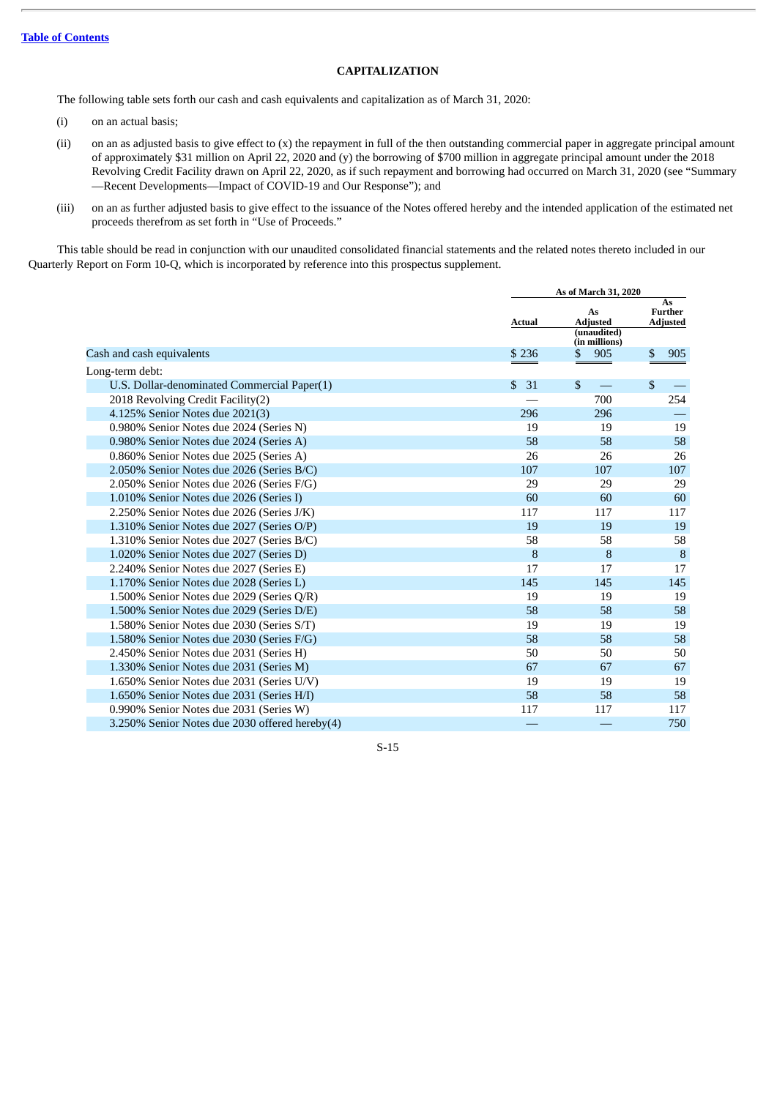## **CAPITALIZATION**

<span id="page-19-0"></span>The following table sets forth our cash and cash equivalents and capitalization as of March 31, 2020:

- (i) on an actual basis;
- (ii) on an as adjusted basis to give effect to (x) the repayment in full of the then outstanding commercial paper in aggregate principal amount of approximately \$31 million on April 22, 2020 and (y) the borrowing of \$700 million in aggregate principal amount under the 2018 Revolving Credit Facility drawn on April 22, 2020, as if such repayment and borrowing had occurred on March 31, 2020 (see "Summary —Recent Developments—Impact of COVID-19 and Our Response"); and
- (iii) on an as further adjusted basis to give effect to the issuance of the Notes offered hereby and the intended application of the estimated net proceeds therefrom as set forth in "Use of Proceeds."

This table should be read in conjunction with our unaudited consolidated financial statements and the related notes thereto included in our Quarterly Report on Form 10-Q, which is incorporated by reference into this prospectus supplement.

|                                                | As of March 31, 2020 |                                      |                                         |  |
|------------------------------------------------|----------------------|--------------------------------------|-----------------------------------------|--|
|                                                | <b>Actual</b>        | As<br><b>Adjusted</b><br>(unaudited) | As<br><b>Further</b><br><b>Adjusted</b> |  |
|                                                |                      | (in millions)                        |                                         |  |
| Cash and cash equivalents                      | \$ 236               | 905<br>S                             | \$<br>905                               |  |
| Long-term debt:                                |                      |                                      |                                         |  |
| U.S. Dollar-denominated Commercial Paper(1)    | $\mathbf{s}$<br>31   | \$.                                  | \$                                      |  |
| 2018 Revolving Credit Facility(2)              |                      | 700                                  | 254                                     |  |
| 4.125% Senior Notes due 2021(3)                | 296                  | 296                                  |                                         |  |
| 0.980% Senior Notes due 2024 (Series N)        | 19                   | 19                                   | 19                                      |  |
| 0.980% Senior Notes due 2024 (Series A)        | 58                   | 58                                   | 58                                      |  |
| 0.860% Senior Notes due 2025 (Series A)        | 26                   | 26                                   | 26                                      |  |
| 2.050% Senior Notes due 2026 (Series B/C)      | 107                  | 107                                  | 107                                     |  |
| 2.050% Senior Notes due 2026 (Series F/G)      | 29                   | 29                                   | 29                                      |  |
| 1.010% Senior Notes due 2026 (Series I)        | 60                   | 60                                   | 60                                      |  |
| 2.250% Senior Notes due 2026 (Series J/K)      | 117                  | 117                                  | 117                                     |  |
| 1.310% Senior Notes due 2027 (Series O/P)      | 19                   | 19                                   | 19                                      |  |
| 1.310% Senior Notes due 2027 (Series B/C)      | 58                   | 58                                   | 58                                      |  |
| 1.020% Senior Notes due 2027 (Series D)        | 8                    | 8                                    | 8                                       |  |
| 2.240% Senior Notes due 2027 (Series E)        | 17                   | 17                                   | 17                                      |  |
| 1.170% Senior Notes due 2028 (Series L)        | 145                  | 145                                  | 145                                     |  |
| 1.500% Senior Notes due 2029 (Series Q/R)      | 19                   | 19                                   | 19                                      |  |
| 1.500% Senior Notes due 2029 (Series D/E)      | 58                   | 58                                   | 58                                      |  |
| 1.580% Senior Notes due 2030 (Series S/T)      | 19                   | 19                                   | 19                                      |  |
| 1.580% Senior Notes due 2030 (Series F/G)      | 58                   | 58                                   | 58                                      |  |
| 2.450% Senior Notes due 2031 (Series H)        | 50                   | 50                                   | 50                                      |  |
| 1.330% Senior Notes due 2031 (Series M)        | 67                   | 67                                   | 67                                      |  |
| 1.650% Senior Notes due 2031 (Series U/V)      | 19                   | 19                                   | 19                                      |  |
| 1.650% Senior Notes due 2031 (Series H/I)      | 58                   | 58                                   | 58                                      |  |
| 0.990% Senior Notes due 2031 (Series W)        | 117                  | 117                                  | 117                                     |  |
| 3.250% Senior Notes due 2030 offered hereby(4) |                      |                                      | 750                                     |  |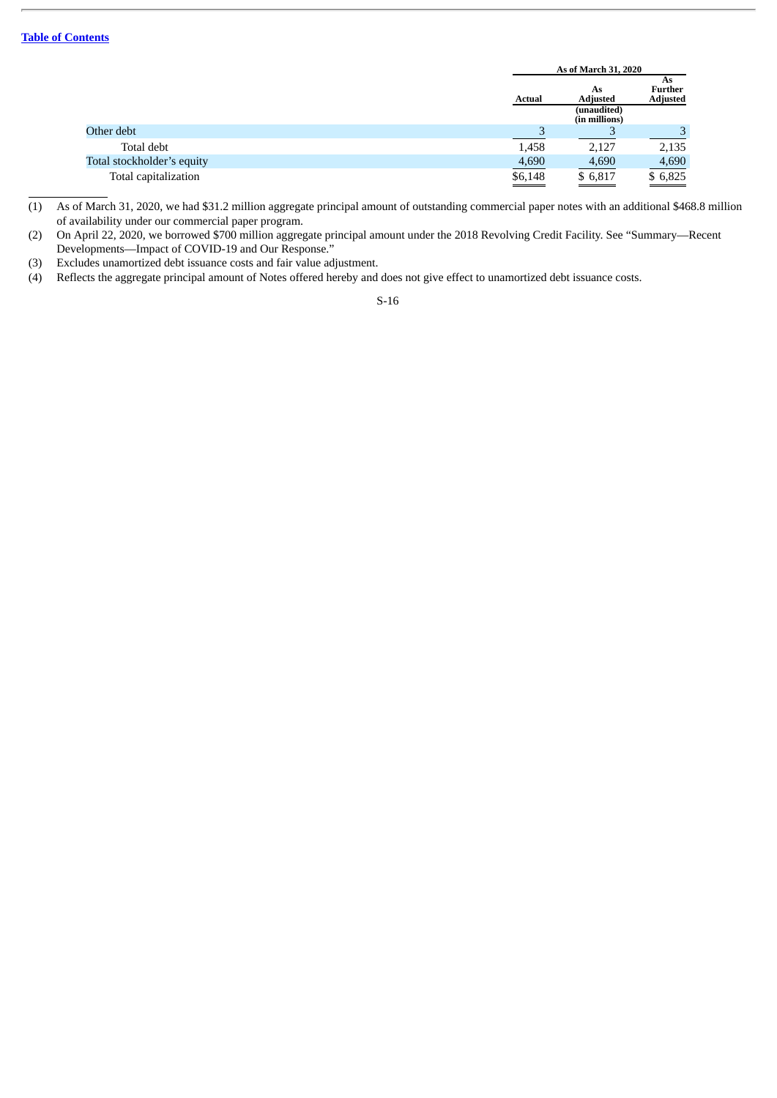|                            |                                   | As of March 31, 2020                                  |                                  |  |
|----------------------------|-----------------------------------|-------------------------------------------------------|----------------------------------|--|
|                            | <b>Actual</b>                     | As<br><b>Adjusted</b><br>(unaudited)<br>(in millions) | As<br>Further<br><b>Adjusted</b> |  |
| Other debt                 |                                   |                                                       | 3                                |  |
| Total debt                 | 1,458                             | 2,127                                                 | 2,135                            |  |
| Total stockholder's equity | 4,690                             | 4,690                                                 | 4,690                            |  |
| Total capitalization       | $\underline{\underline{\$6,148}}$ | \$6,817                                               | \$6,825                          |  |

(1) As of March 31, 2020, we had \$31.2 million aggregate principal amount of outstanding commercial paper notes with an additional \$468.8 million of availability under our commercial paper program.

(2) On April 22, 2020, we borrowed \$700 million aggregate principal amount under the 2018 Revolving Credit Facility. See "Summary—Recent Developments—Impact of COVID-19 and Our Response."

(3) Excludes unamortized debt issuance costs and fair value adjustment.

(4) Reflects the aggregate principal amount of Notes offered hereby and does not give effect to unamortized debt issuance costs.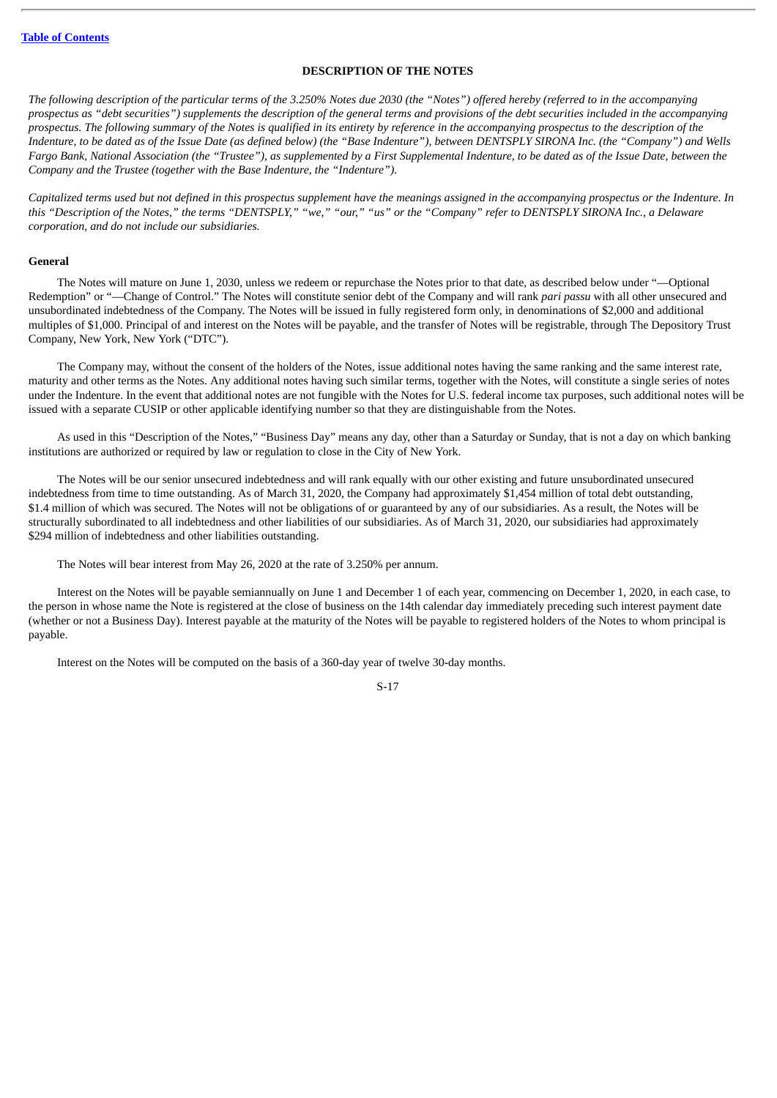#### **DESCRIPTION OF THE NOTES**

<span id="page-21-0"></span>The following description of the particular terms of the 3.250% Notes due 2030 (the "Notes") offered hereby (referred to in the accompanying prospectus as "debt securities") supplements the description of the general terms and provisions of the debt securities included in the accompanying prospectus. The following summary of the Notes is qualified in its entirety by reference in the accompanying prospectus to the description of the Indenture, to be dated as of the Issue Date (as defined below) (the "Base Indenture"), between DENTSPLY SIRONA Inc. (the "Company") and Wells Fargo Bank, National Association (the "Trustee"), as supplemented by a First Supplemental Indenture, to be dated as of the Issue Date, between the *Company and the Trustee (together with the Base Indenture, the "Indenture").*

Capitalized terms used but not defined in this prospectus supplement have the meanings assigned in the accompanying prospectus or the Indenture. In this "Description of the Notes," the terms "DENTSPLY," "we," "our," "us" or the "Company" refer to DENTSPLY SIRONA Inc., a Delaware *corporation, and do not include our subsidiaries.*

#### **General**

The Notes will mature on June 1, 2030, unless we redeem or repurchase the Notes prior to that date, as described below under "—Optional Redemption" or "—Change of Control." The Notes will constitute senior debt of the Company and will rank *pari passu* with all other unsecured and unsubordinated indebtedness of the Company. The Notes will be issued in fully registered form only, in denominations of \$2,000 and additional multiples of \$1,000. Principal of and interest on the Notes will be payable, and the transfer of Notes will be registrable, through The Depository Trust Company, New York, New York ("DTC").

The Company may, without the consent of the holders of the Notes, issue additional notes having the same ranking and the same interest rate, maturity and other terms as the Notes. Any additional notes having such similar terms, together with the Notes, will constitute a single series of notes under the Indenture. In the event that additional notes are not fungible with the Notes for U.S. federal income tax purposes, such additional notes will be issued with a separate CUSIP or other applicable identifying number so that they are distinguishable from the Notes.

As used in this "Description of the Notes," "Business Day" means any day, other than a Saturday or Sunday, that is not a day on which banking institutions are authorized or required by law or regulation to close in the City of New York.

The Notes will be our senior unsecured indebtedness and will rank equally with our other existing and future unsubordinated unsecured indebtedness from time to time outstanding. As of March 31, 2020, the Company had approximately \$1,454 million of total debt outstanding, \$1.4 million of which was secured. The Notes will not be obligations of or guaranteed by any of our subsidiaries. As a result, the Notes will be structurally subordinated to all indebtedness and other liabilities of our subsidiaries. As of March 31, 2020, our subsidiaries had approximately \$294 million of indebtedness and other liabilities outstanding.

The Notes will bear interest from May 26, 2020 at the rate of 3.250% per annum.

Interest on the Notes will be payable semiannually on June 1 and December 1 of each year, commencing on December 1, 2020, in each case, to the person in whose name the Note is registered at the close of business on the 14th calendar day immediately preceding such interest payment date (whether or not a Business Day). Interest payable at the maturity of the Notes will be payable to registered holders of the Notes to whom principal is payable.

Interest on the Notes will be computed on the basis of a 360-day year of twelve 30-day months.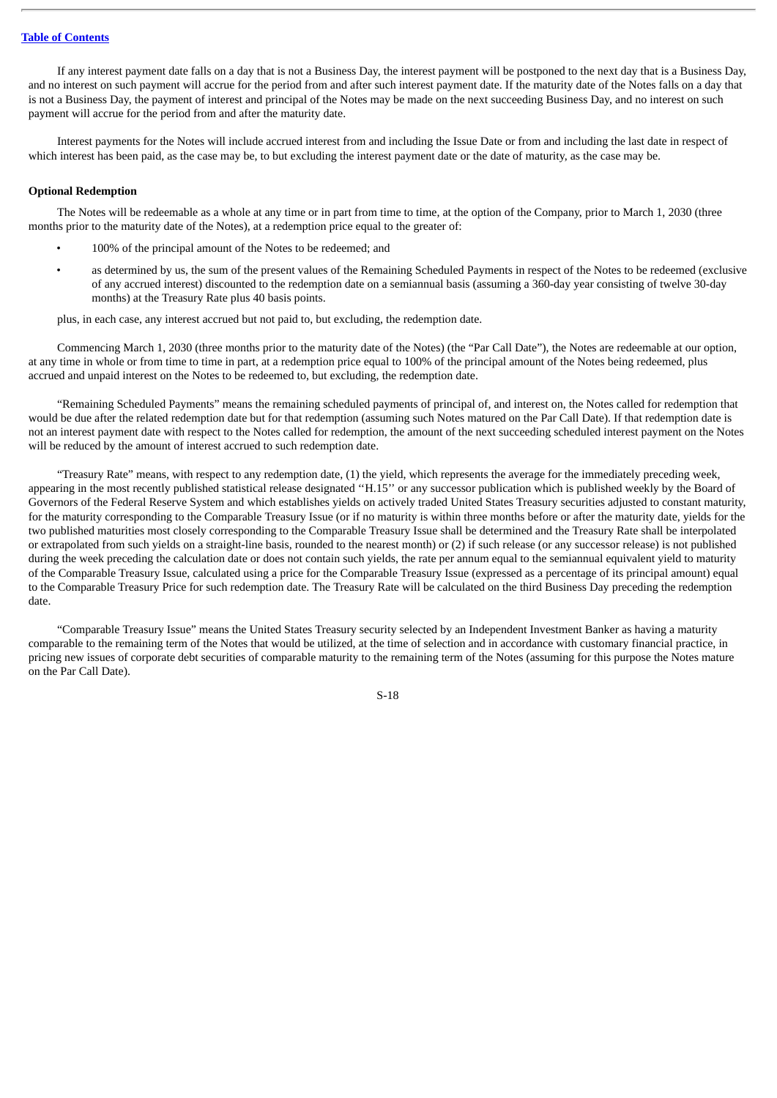If any interest payment date falls on a day that is not a Business Day, the interest payment will be postponed to the next day that is a Business Day, and no interest on such payment will accrue for the period from and after such interest payment date. If the maturity date of the Notes falls on a day that is not a Business Day, the payment of interest and principal of the Notes may be made on the next succeeding Business Day, and no interest on such payment will accrue for the period from and after the maturity date.

Interest payments for the Notes will include accrued interest from and including the Issue Date or from and including the last date in respect of which interest has been paid, as the case may be, to but excluding the interest payment date or the date of maturity, as the case may be.

#### **Optional Redemption**

The Notes will be redeemable as a whole at any time or in part from time to time, at the option of the Company, prior to March 1, 2030 (three months prior to the maturity date of the Notes), at a redemption price equal to the greater of:

- 100% of the principal amount of the Notes to be redeemed; and
- as determined by us, the sum of the present values of the Remaining Scheduled Payments in respect of the Notes to be redeemed (exclusive of any accrued interest) discounted to the redemption date on a semiannual basis (assuming a 360-day year consisting of twelve 30-day months) at the Treasury Rate plus 40 basis points.

plus, in each case, any interest accrued but not paid to, but excluding, the redemption date.

Commencing March 1, 2030 (three months prior to the maturity date of the Notes) (the "Par Call Date"), the Notes are redeemable at our option, at any time in whole or from time to time in part, at a redemption price equal to 100% of the principal amount of the Notes being redeemed, plus accrued and unpaid interest on the Notes to be redeemed to, but excluding, the redemption date.

"Remaining Scheduled Payments" means the remaining scheduled payments of principal of, and interest on, the Notes called for redemption that would be due after the related redemption date but for that redemption (assuming such Notes matured on the Par Call Date). If that redemption date is not an interest payment date with respect to the Notes called for redemption, the amount of the next succeeding scheduled interest payment on the Notes will be reduced by the amount of interest accrued to such redemption date.

"Treasury Rate" means, with respect to any redemption date, (1) the yield, which represents the average for the immediately preceding week, appearing in the most recently published statistical release designated ''H.15'' or any successor publication which is published weekly by the Board of Governors of the Federal Reserve System and which establishes yields on actively traded United States Treasury securities adjusted to constant maturity, for the maturity corresponding to the Comparable Treasury Issue (or if no maturity is within three months before or after the maturity date, yields for the two published maturities most closely corresponding to the Comparable Treasury Issue shall be determined and the Treasury Rate shall be interpolated or extrapolated from such yields on a straight-line basis, rounded to the nearest month) or (2) if such release (or any successor release) is not published during the week preceding the calculation date or does not contain such yields, the rate per annum equal to the semiannual equivalent yield to maturity of the Comparable Treasury Issue, calculated using a price for the Comparable Treasury Issue (expressed as a percentage of its principal amount) equal to the Comparable Treasury Price for such redemption date. The Treasury Rate will be calculated on the third Business Day preceding the redemption date.

"Comparable Treasury Issue" means the United States Treasury security selected by an Independent Investment Banker as having a maturity comparable to the remaining term of the Notes that would be utilized, at the time of selection and in accordance with customary financial practice, in pricing new issues of corporate debt securities of comparable maturity to the remaining term of the Notes (assuming for this purpose the Notes mature on the Par Call Date).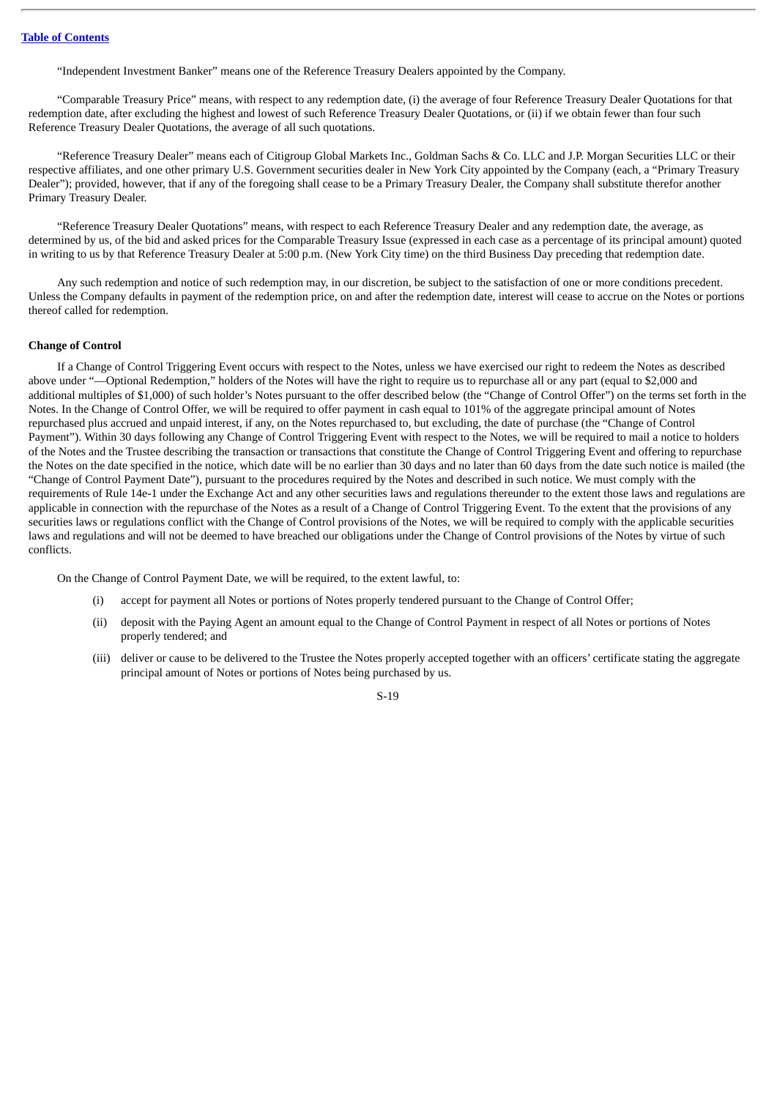"Independent Investment Banker" means one of the Reference Treasury Dealers appointed by the Company.

"Comparable Treasury Price" means, with respect to any redemption date, (i) the average of four Reference Treasury Dealer Quotations for that redemption date, after excluding the highest and lowest of such Reference Treasury Dealer Quotations, or (ii) if we obtain fewer than four such Reference Treasury Dealer Quotations, the average of all such quotations.

"Reference Treasury Dealer" means each of Citigroup Global Markets Inc., Goldman Sachs & Co. LLC and J.P. Morgan Securities LLC or their respective affiliates, and one other primary U.S. Government securities dealer in New York City appointed by the Company (each, a "Primary Treasury Dealer"); provided, however, that if any of the foregoing shall cease to be a Primary Treasury Dealer, the Company shall substitute therefor another Primary Treasury Dealer.

"Reference Treasury Dealer Quotations" means, with respect to each Reference Treasury Dealer and any redemption date, the average, as determined by us, of the bid and asked prices for the Comparable Treasury Issue (expressed in each case as a percentage of its principal amount) quoted in writing to us by that Reference Treasury Dealer at 5:00 p.m. (New York City time) on the third Business Day preceding that redemption date.

Any such redemption and notice of such redemption may, in our discretion, be subject to the satisfaction of one or more conditions precedent. Unless the Company defaults in payment of the redemption price, on and after the redemption date, interest will cease to accrue on the Notes or portions thereof called for redemption.

#### **Change of Control**

If a Change of Control Triggering Event occurs with respect to the Notes, unless we have exercised our right to redeem the Notes as described above under "—Optional Redemption," holders of the Notes will have the right to require us to repurchase all or any part (equal to \$2,000 and additional multiples of \$1,000) of such holder's Notes pursuant to the offer described below (the "Change of Control Offer") on the terms set forth in the Notes. In the Change of Control Offer, we will be required to offer payment in cash equal to 101% of the aggregate principal amount of Notes repurchased plus accrued and unpaid interest, if any, on the Notes repurchased to, but excluding, the date of purchase (the "Change of Control Payment"). Within 30 days following any Change of Control Triggering Event with respect to the Notes, we will be required to mail a notice to holders of the Notes and the Trustee describing the transaction or transactions that constitute the Change of Control Triggering Event and offering to repurchase the Notes on the date specified in the notice, which date will be no earlier than 30 days and no later than 60 days from the date such notice is mailed (the "Change of Control Payment Date"), pursuant to the procedures required by the Notes and described in such notice. We must comply with the requirements of Rule 14e-1 under the Exchange Act and any other securities laws and regulations thereunder to the extent those laws and regulations are applicable in connection with the repurchase of the Notes as a result of a Change of Control Triggering Event. To the extent that the provisions of any securities laws or regulations conflict with the Change of Control provisions of the Notes, we will be required to comply with the applicable securities laws and regulations and will not be deemed to have breached our obligations under the Change of Control provisions of the Notes by virtue of such conflicts.

On the Change of Control Payment Date, we will be required, to the extent lawful, to:

- (i) accept for payment all Notes or portions of Notes properly tendered pursuant to the Change of Control Offer;
- (ii) deposit with the Paying Agent an amount equal to the Change of Control Payment in respect of all Notes or portions of Notes properly tendered; and
- (iii) deliver or cause to be delivered to the Trustee the Notes properly accepted together with an officers' certificate stating the aggregate principal amount of Notes or portions of Notes being purchased by us.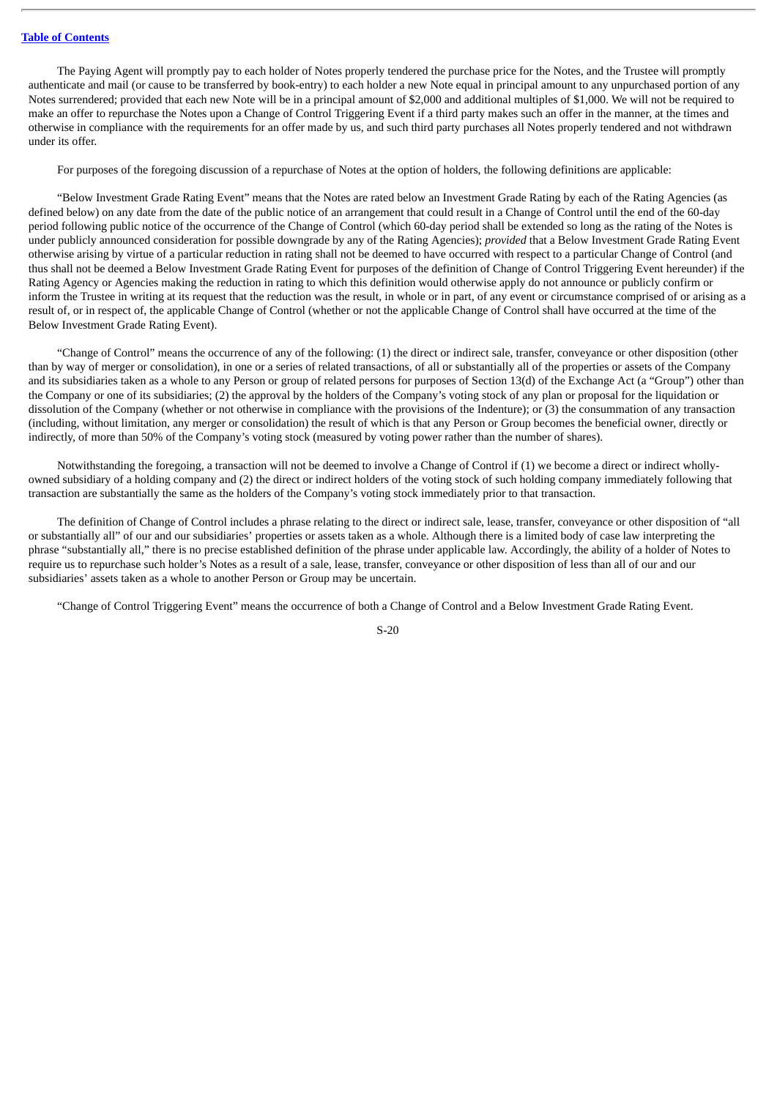The Paying Agent will promptly pay to each holder of Notes properly tendered the purchase price for the Notes, and the Trustee will promptly authenticate and mail (or cause to be transferred by book-entry) to each holder a new Note equal in principal amount to any unpurchased portion of any Notes surrendered; provided that each new Note will be in a principal amount of \$2,000 and additional multiples of \$1,000. We will not be required to make an offer to repurchase the Notes upon a Change of Control Triggering Event if a third party makes such an offer in the manner, at the times and otherwise in compliance with the requirements for an offer made by us, and such third party purchases all Notes properly tendered and not withdrawn under its offer.

For purposes of the foregoing discussion of a repurchase of Notes at the option of holders, the following definitions are applicable:

"Below Investment Grade Rating Event" means that the Notes are rated below an Investment Grade Rating by each of the Rating Agencies (as defined below) on any date from the date of the public notice of an arrangement that could result in a Change of Control until the end of the 60-day period following public notice of the occurrence of the Change of Control (which 60-day period shall be extended so long as the rating of the Notes is under publicly announced consideration for possible downgrade by any of the Rating Agencies); *provided* that a Below Investment Grade Rating Event otherwise arising by virtue of a particular reduction in rating shall not be deemed to have occurred with respect to a particular Change of Control (and thus shall not be deemed a Below Investment Grade Rating Event for purposes of the definition of Change of Control Triggering Event hereunder) if the Rating Agency or Agencies making the reduction in rating to which this definition would otherwise apply do not announce or publicly confirm or inform the Trustee in writing at its request that the reduction was the result, in whole or in part, of any event or circumstance comprised of or arising as a result of, or in respect of, the applicable Change of Control (whether or not the applicable Change of Control shall have occurred at the time of the Below Investment Grade Rating Event).

"Change of Control" means the occurrence of any of the following: (1) the direct or indirect sale, transfer, conveyance or other disposition (other than by way of merger or consolidation), in one or a series of related transactions, of all or substantially all of the properties or assets of the Company and its subsidiaries taken as a whole to any Person or group of related persons for purposes of Section 13(d) of the Exchange Act (a "Group") other than the Company or one of its subsidiaries; (2) the approval by the holders of the Company's voting stock of any plan or proposal for the liquidation or dissolution of the Company (whether or not otherwise in compliance with the provisions of the Indenture); or (3) the consummation of any transaction (including, without limitation, any merger or consolidation) the result of which is that any Person or Group becomes the beneficial owner, directly or indirectly, of more than 50% of the Company's voting stock (measured by voting power rather than the number of shares).

Notwithstanding the foregoing, a transaction will not be deemed to involve a Change of Control if (1) we become a direct or indirect whollyowned subsidiary of a holding company and (2) the direct or indirect holders of the voting stock of such holding company immediately following that transaction are substantially the same as the holders of the Company's voting stock immediately prior to that transaction.

The definition of Change of Control includes a phrase relating to the direct or indirect sale, lease, transfer, conveyance or other disposition of "all or substantially all" of our and our subsidiaries' properties or assets taken as a whole. Although there is a limited body of case law interpreting the phrase "substantially all," there is no precise established definition of the phrase under applicable law. Accordingly, the ability of a holder of Notes to require us to repurchase such holder's Notes as a result of a sale, lease, transfer, conveyance or other disposition of less than all of our and our subsidiaries' assets taken as a whole to another Person or Group may be uncertain.

"Change of Control Triggering Event" means the occurrence of both a Change of Control and a Below Investment Grade Rating Event.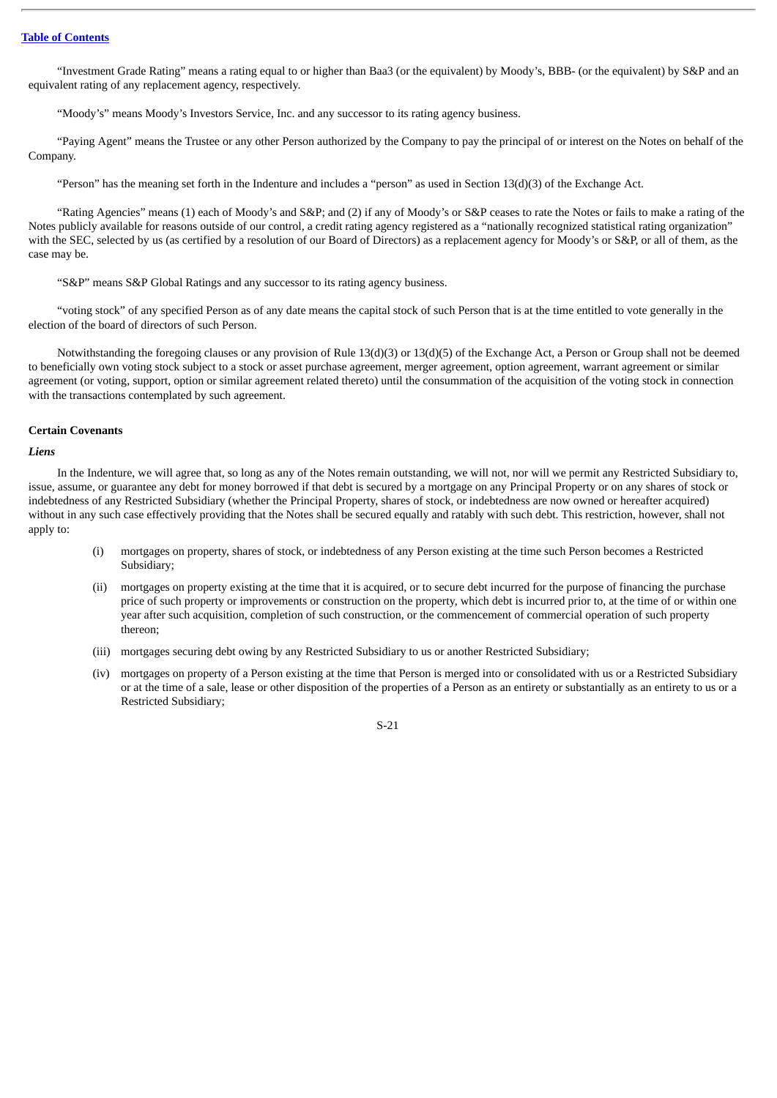"Investment Grade Rating" means a rating equal to or higher than Baa3 (or the equivalent) by Moody's, BBB- (or the equivalent) by S&P and an equivalent rating of any replacement agency, respectively.

"Moody's" means Moody's Investors Service, Inc. and any successor to its rating agency business.

"Paying Agent" means the Trustee or any other Person authorized by the Company to pay the principal of or interest on the Notes on behalf of the Company.

"Person" has the meaning set forth in the Indenture and includes a "person" as used in Section 13(d)(3) of the Exchange Act.

"Rating Agencies" means (1) each of Moody's and S&P; and (2) if any of Moody's or S&P ceases to rate the Notes or fails to make a rating of the Notes publicly available for reasons outside of our control, a credit rating agency registered as a "nationally recognized statistical rating organization" with the SEC, selected by us (as certified by a resolution of our Board of Directors) as a replacement agency for Moody's or S&P, or all of them, as the case may be.

"S&P" means S&P Global Ratings and any successor to its rating agency business.

"voting stock" of any specified Person as of any date means the capital stock of such Person that is at the time entitled to vote generally in the election of the board of directors of such Person.

Notwithstanding the foregoing clauses or any provision of Rule 13(d)(3) or 13(d)(5) of the Exchange Act, a Person or Group shall not be deemed to beneficially own voting stock subject to a stock or asset purchase agreement, merger agreement, option agreement, warrant agreement or similar agreement (or voting, support, option or similar agreement related thereto) until the consummation of the acquisition of the voting stock in connection with the transactions contemplated by such agreement.

#### **Certain Covenants**

*Liens*

In the Indenture, we will agree that, so long as any of the Notes remain outstanding, we will not, nor will we permit any Restricted Subsidiary to, issue, assume, or guarantee any debt for money borrowed if that debt is secured by a mortgage on any Principal Property or on any shares of stock or indebtedness of any Restricted Subsidiary (whether the Principal Property, shares of stock, or indebtedness are now owned or hereafter acquired) without in any such case effectively providing that the Notes shall be secured equally and ratably with such debt. This restriction, however, shall not apply to:

- (i) mortgages on property, shares of stock, or indebtedness of any Person existing at the time such Person becomes a Restricted Subsidiary;
- (ii) mortgages on property existing at the time that it is acquired, or to secure debt incurred for the purpose of financing the purchase price of such property or improvements or construction on the property, which debt is incurred prior to, at the time of or within one year after such acquisition, completion of such construction, or the commencement of commercial operation of such property thereon;
- (iii) mortgages securing debt owing by any Restricted Subsidiary to us or another Restricted Subsidiary;
- (iv) mortgages on property of a Person existing at the time that Person is merged into or consolidated with us or a Restricted Subsidiary or at the time of a sale, lease or other disposition of the properties of a Person as an entirety or substantially as an entirety to us or a Restricted Subsidiary;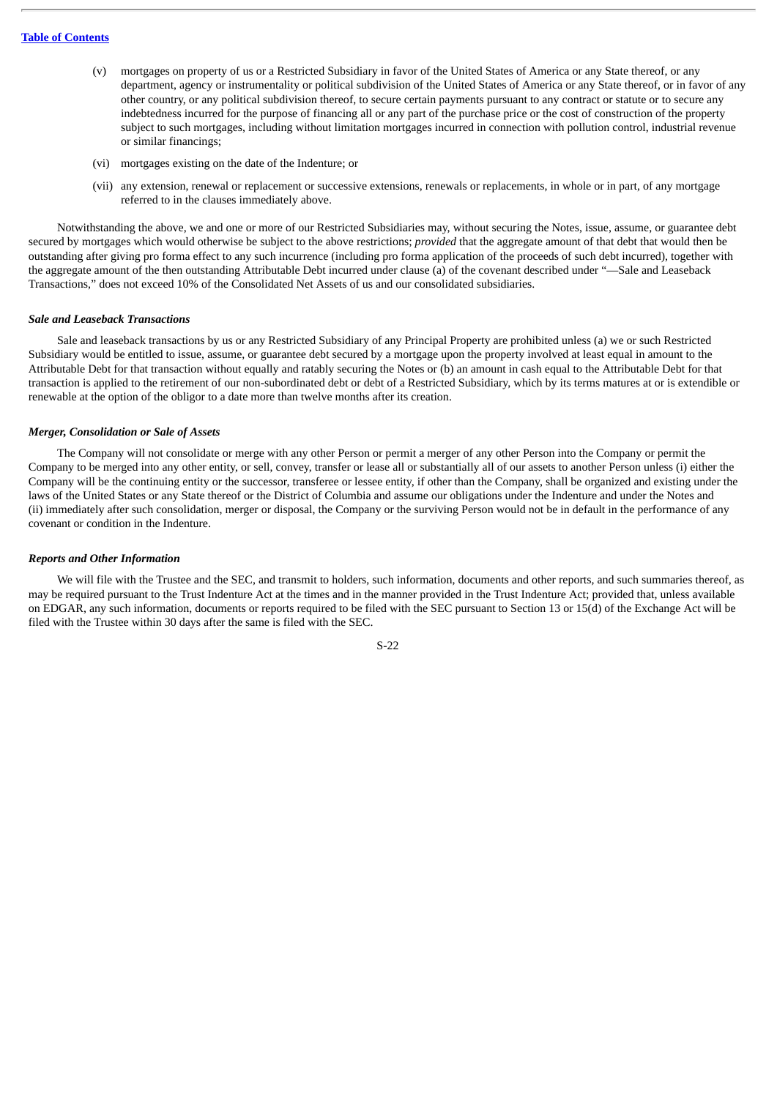- (v) mortgages on property of us or a Restricted Subsidiary in favor of the United States of America or any State thereof, or any department, agency or instrumentality or political subdivision of the United States of America or any State thereof, or in favor of any other country, or any political subdivision thereof, to secure certain payments pursuant to any contract or statute or to secure any indebtedness incurred for the purpose of financing all or any part of the purchase price or the cost of construction of the property subject to such mortgages, including without limitation mortgages incurred in connection with pollution control, industrial revenue or similar financings;
- (vi) mortgages existing on the date of the Indenture; or
- (vii) any extension, renewal or replacement or successive extensions, renewals or replacements, in whole or in part, of any mortgage referred to in the clauses immediately above.

Notwithstanding the above, we and one or more of our Restricted Subsidiaries may, without securing the Notes, issue, assume, or guarantee debt secured by mortgages which would otherwise be subject to the above restrictions; *provided* that the aggregate amount of that debt that would then be outstanding after giving pro forma effect to any such incurrence (including pro forma application of the proceeds of such debt incurred), together with the aggregate amount of the then outstanding Attributable Debt incurred under clause (a) of the covenant described under "—Sale and Leaseback Transactions," does not exceed 10% of the Consolidated Net Assets of us and our consolidated subsidiaries.

#### *Sale and Leaseback Transactions*

Sale and leaseback transactions by us or any Restricted Subsidiary of any Principal Property are prohibited unless (a) we or such Restricted Subsidiary would be entitled to issue, assume, or guarantee debt secured by a mortgage upon the property involved at least equal in amount to the Attributable Debt for that transaction without equally and ratably securing the Notes or (b) an amount in cash equal to the Attributable Debt for that transaction is applied to the retirement of our non-subordinated debt or debt of a Restricted Subsidiary, which by its terms matures at or is extendible or renewable at the option of the obligor to a date more than twelve months after its creation.

#### *Merger, Consolidation or Sale of Assets*

The Company will not consolidate or merge with any other Person or permit a merger of any other Person into the Company or permit the Company to be merged into any other entity, or sell, convey, transfer or lease all or substantially all of our assets to another Person unless (i) either the Company will be the continuing entity or the successor, transferee or lessee entity, if other than the Company, shall be organized and existing under the laws of the United States or any State thereof or the District of Columbia and assume our obligations under the Indenture and under the Notes and (ii) immediately after such consolidation, merger or disposal, the Company or the surviving Person would not be in default in the performance of any covenant or condition in the Indenture.

#### *Reports and Other Information*

We will file with the Trustee and the SEC, and transmit to holders, such information, documents and other reports, and such summaries thereof, as may be required pursuant to the Trust Indenture Act at the times and in the manner provided in the Trust Indenture Act; provided that, unless available on EDGAR, any such information, documents or reports required to be filed with the SEC pursuant to Section 13 or 15(d) of the Exchange Act will be filed with the Trustee within 30 days after the same is filed with the SEC.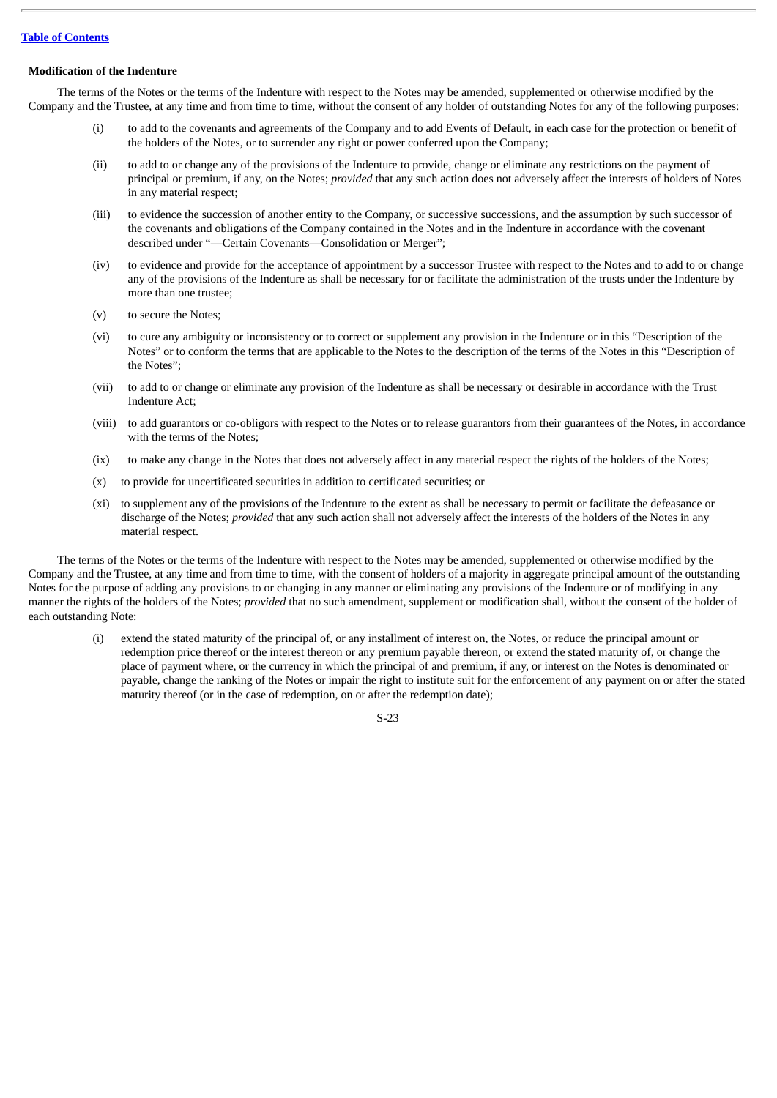## **Modification of the Indenture**

The terms of the Notes or the terms of the Indenture with respect to the Notes may be amended, supplemented or otherwise modified by the Company and the Trustee, at any time and from time to time, without the consent of any holder of outstanding Notes for any of the following purposes:

- (i) to add to the covenants and agreements of the Company and to add Events of Default, in each case for the protection or benefit of the holders of the Notes, or to surrender any right or power conferred upon the Company;
- (ii) to add to or change any of the provisions of the Indenture to provide, change or eliminate any restrictions on the payment of principal or premium, if any, on the Notes; *provided* that any such action does not adversely affect the interests of holders of Notes in any material respect;
- (iii) to evidence the succession of another entity to the Company, or successive successions, and the assumption by such successor of the covenants and obligations of the Company contained in the Notes and in the Indenture in accordance with the covenant described under "—Certain Covenants—Consolidation or Merger";
- (iv) to evidence and provide for the acceptance of appointment by a successor Trustee with respect to the Notes and to add to or change any of the provisions of the Indenture as shall be necessary for or facilitate the administration of the trusts under the Indenture by more than one trustee;
- (v) to secure the Notes;
- (vi) to cure any ambiguity or inconsistency or to correct or supplement any provision in the Indenture or in this "Description of the Notes" or to conform the terms that are applicable to the Notes to the description of the terms of the Notes in this "Description of the Notes";
- (vii) to add to or change or eliminate any provision of the Indenture as shall be necessary or desirable in accordance with the Trust Indenture Act;
- (viii) to add guarantors or co-obligors with respect to the Notes or to release guarantors from their guarantees of the Notes, in accordance with the terms of the Notes;
- (ix) to make any change in the Notes that does not adversely affect in any material respect the rights of the holders of the Notes;
- (x) to provide for uncertificated securities in addition to certificated securities; or
- (xi) to supplement any of the provisions of the Indenture to the extent as shall be necessary to permit or facilitate the defeasance or discharge of the Notes; *provided* that any such action shall not adversely affect the interests of the holders of the Notes in any material respect.

The terms of the Notes or the terms of the Indenture with respect to the Notes may be amended, supplemented or otherwise modified by the Company and the Trustee, at any time and from time to time, with the consent of holders of a majority in aggregate principal amount of the outstanding Notes for the purpose of adding any provisions to or changing in any manner or eliminating any provisions of the Indenture or of modifying in any manner the rights of the holders of the Notes; *provided* that no such amendment, supplement or modification shall, without the consent of the holder of each outstanding Note:

(i) extend the stated maturity of the principal of, or any installment of interest on, the Notes, or reduce the principal amount or redemption price thereof or the interest thereon or any premium payable thereon, or extend the stated maturity of, or change the place of payment where, or the currency in which the principal of and premium, if any, or interest on the Notes is denominated or payable, change the ranking of the Notes or impair the right to institute suit for the enforcement of any payment on or after the stated maturity thereof (or in the case of redemption, on or after the redemption date);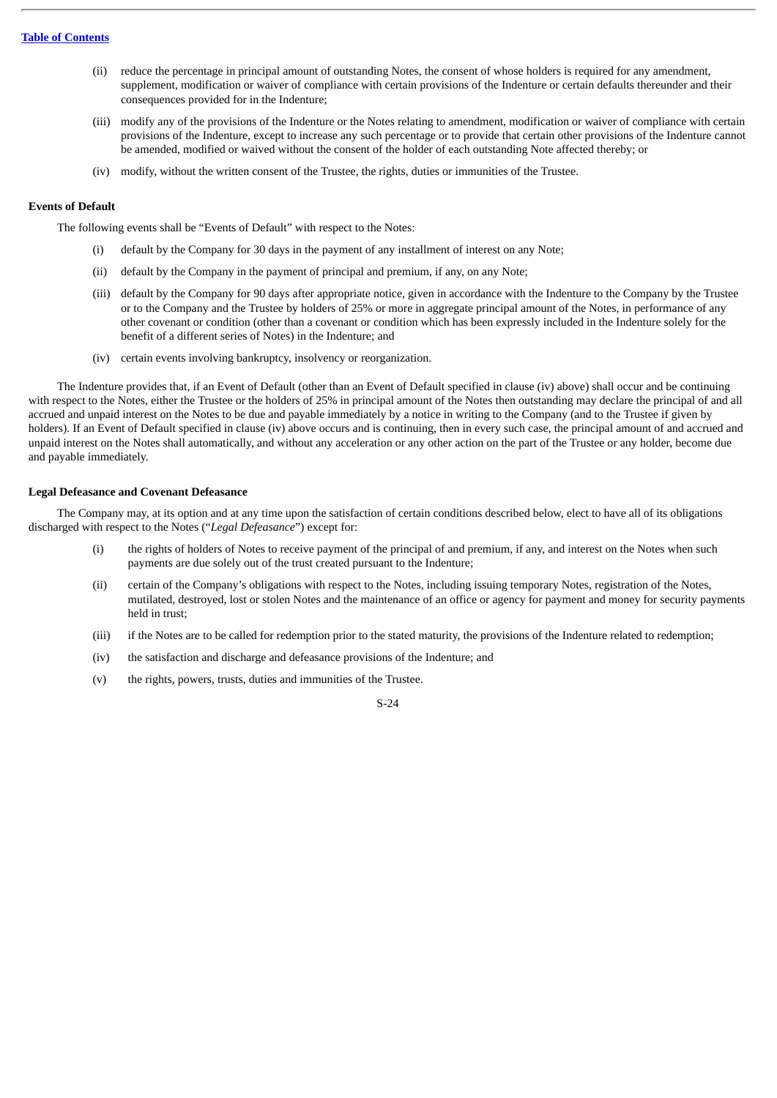- (ii) reduce the percentage in principal amount of outstanding Notes, the consent of whose holders is required for any amendment, supplement, modification or waiver of compliance with certain provisions of the Indenture or certain defaults thereunder and their consequences provided for in the Indenture;
- (iii) modify any of the provisions of the Indenture or the Notes relating to amendment, modification or waiver of compliance with certain provisions of the Indenture, except to increase any such percentage or to provide that certain other provisions of the Indenture cannot be amended, modified or waived without the consent of the holder of each outstanding Note affected thereby; or
- (iv) modify, without the written consent of the Trustee, the rights, duties or immunities of the Trustee.

## **Events of Default**

The following events shall be "Events of Default" with respect to the Notes:

- (i) default by the Company for 30 days in the payment of any installment of interest on any Note;
- (ii) default by the Company in the payment of principal and premium, if any, on any Note;
- (iii) default by the Company for 90 days after appropriate notice, given in accordance with the Indenture to the Company by the Trustee or to the Company and the Trustee by holders of 25% or more in aggregate principal amount of the Notes, in performance of any other covenant or condition (other than a covenant or condition which has been expressly included in the Indenture solely for the benefit of a different series of Notes) in the Indenture; and
- (iv) certain events involving bankruptcy, insolvency or reorganization.

The Indenture provides that, if an Event of Default (other than an Event of Default specified in clause (iv) above) shall occur and be continuing with respect to the Notes, either the Trustee or the holders of 25% in principal amount of the Notes then outstanding may declare the principal of and all accrued and unpaid interest on the Notes to be due and payable immediately by a notice in writing to the Company (and to the Trustee if given by holders). If an Event of Default specified in clause (iv) above occurs and is continuing, then in every such case, the principal amount of and accrued and unpaid interest on the Notes shall automatically, and without any acceleration or any other action on the part of the Trustee or any holder, become due and payable immediately.

#### **Legal Defeasance and Covenant Defeasance**

The Company may, at its option and at any time upon the satisfaction of certain conditions described below, elect to have all of its obligations discharged with respect to the Notes ("*Legal Defeasance*") except for:

- (i) the rights of holders of Notes to receive payment of the principal of and premium, if any, and interest on the Notes when such payments are due solely out of the trust created pursuant to the Indenture;
- (ii) certain of the Company's obligations with respect to the Notes, including issuing temporary Notes, registration of the Notes, mutilated, destroyed, lost or stolen Notes and the maintenance of an office or agency for payment and money for security payments held in trust;
- (iii) if the Notes are to be called for redemption prior to the stated maturity, the provisions of the Indenture related to redemption;
- (iv) the satisfaction and discharge and defeasance provisions of the Indenture; and
- (v) the rights, powers, trusts, duties and immunities of the Trustee.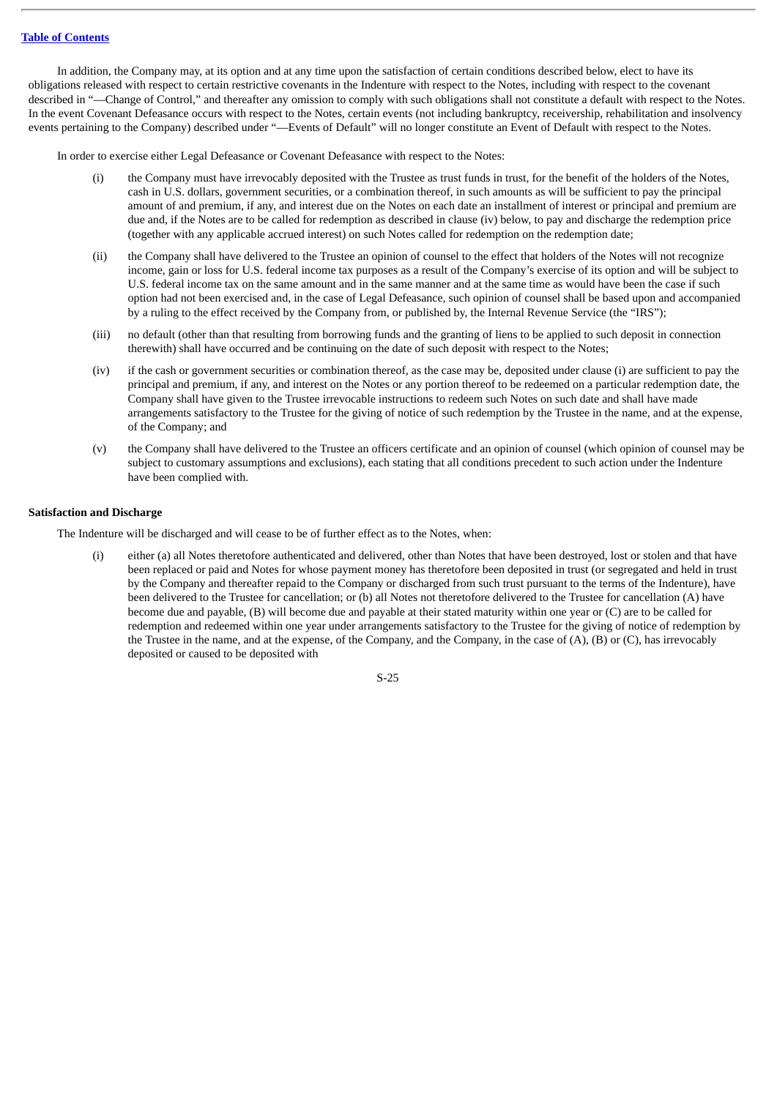In addition, the Company may, at its option and at any time upon the satisfaction of certain conditions described below, elect to have its obligations released with respect to certain restrictive covenants in the Indenture with respect to the Notes, including with respect to the covenant described in "—Change of Control," and thereafter any omission to comply with such obligations shall not constitute a default with respect to the Notes. In the event Covenant Defeasance occurs with respect to the Notes, certain events (not including bankruptcy, receivership, rehabilitation and insolvency events pertaining to the Company) described under "—Events of Default" will no longer constitute an Event of Default with respect to the Notes.

In order to exercise either Legal Defeasance or Covenant Defeasance with respect to the Notes:

- (i) the Company must have irrevocably deposited with the Trustee as trust funds in trust, for the benefit of the holders of the Notes, cash in U.S. dollars, government securities, or a combination thereof, in such amounts as will be sufficient to pay the principal amount of and premium, if any, and interest due on the Notes on each date an installment of interest or principal and premium are due and, if the Notes are to be called for redemption as described in clause (iv) below, to pay and discharge the redemption price (together with any applicable accrued interest) on such Notes called for redemption on the redemption date;
- (ii) the Company shall have delivered to the Trustee an opinion of counsel to the effect that holders of the Notes will not recognize income, gain or loss for U.S. federal income tax purposes as a result of the Company's exercise of its option and will be subject to U.S. federal income tax on the same amount and in the same manner and at the same time as would have been the case if such option had not been exercised and, in the case of Legal Defeasance, such opinion of counsel shall be based upon and accompanied by a ruling to the effect received by the Company from, or published by, the Internal Revenue Service (the "IRS");
- (iii) no default (other than that resulting from borrowing funds and the granting of liens to be applied to such deposit in connection therewith) shall have occurred and be continuing on the date of such deposit with respect to the Notes;
- (iv) if the cash or government securities or combination thereof, as the case may be, deposited under clause (i) are sufficient to pay the principal and premium, if any, and interest on the Notes or any portion thereof to be redeemed on a particular redemption date, the Company shall have given to the Trustee irrevocable instructions to redeem such Notes on such date and shall have made arrangements satisfactory to the Trustee for the giving of notice of such redemption by the Trustee in the name, and at the expense, of the Company; and
- (v) the Company shall have delivered to the Trustee an officers certificate and an opinion of counsel (which opinion of counsel may be subject to customary assumptions and exclusions), each stating that all conditions precedent to such action under the Indenture have been complied with.

#### **Satisfaction and Discharge**

The Indenture will be discharged and will cease to be of further effect as to the Notes, when:

(i) either (a) all Notes theretofore authenticated and delivered, other than Notes that have been destroyed, lost or stolen and that have been replaced or paid and Notes for whose payment money has theretofore been deposited in trust (or segregated and held in trust by the Company and thereafter repaid to the Company or discharged from such trust pursuant to the terms of the Indenture), have been delivered to the Trustee for cancellation; or (b) all Notes not theretofore delivered to the Trustee for cancellation (A) have become due and payable, (B) will become due and payable at their stated maturity within one year or (C) are to be called for redemption and redeemed within one year under arrangements satisfactory to the Trustee for the giving of notice of redemption by the Trustee in the name, and at the expense, of the Company, and the Company, in the case of (A), (B) or (C), has irrevocably deposited or caused to be deposited with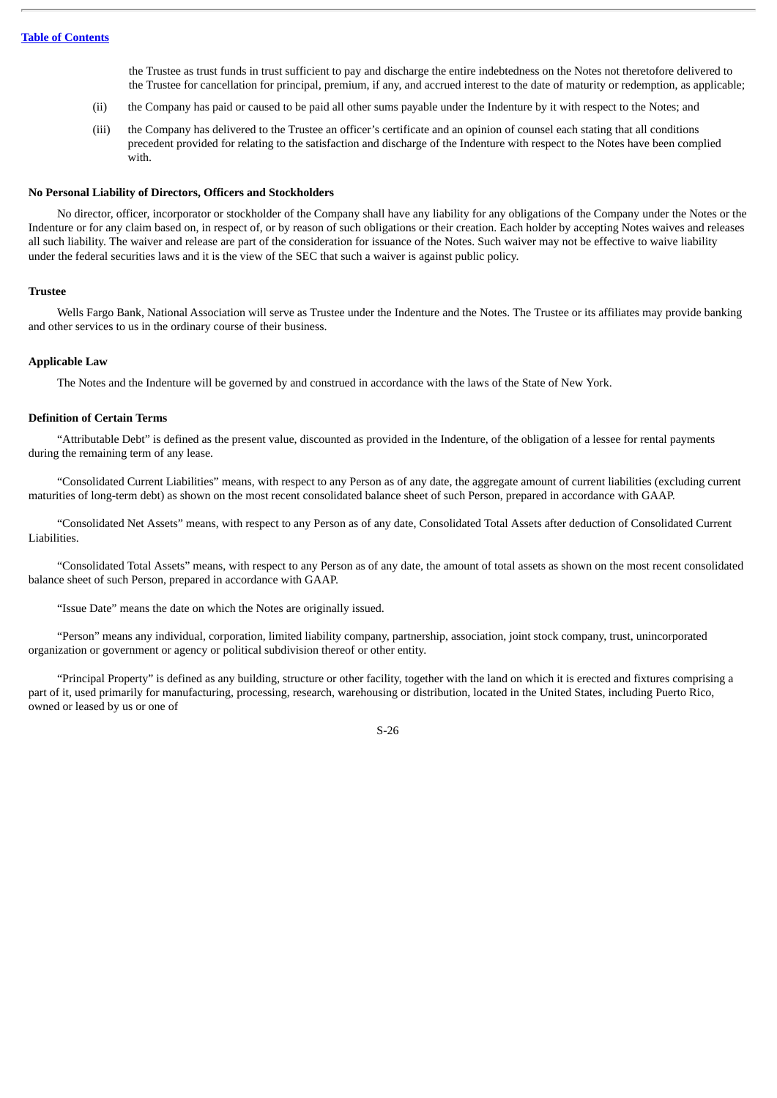the Trustee as trust funds in trust sufficient to pay and discharge the entire indebtedness on the Notes not theretofore delivered to the Trustee for cancellation for principal, premium, if any, and accrued interest to the date of maturity or redemption, as applicable;

- (ii) the Company has paid or caused to be paid all other sums payable under the Indenture by it with respect to the Notes; and
- (iii) the Company has delivered to the Trustee an officer's certificate and an opinion of counsel each stating that all conditions precedent provided for relating to the satisfaction and discharge of the Indenture with respect to the Notes have been complied with.

#### **No Personal Liability of Directors, Officers and Stockholders**

No director, officer, incorporator or stockholder of the Company shall have any liability for any obligations of the Company under the Notes or the Indenture or for any claim based on, in respect of, or by reason of such obligations or their creation. Each holder by accepting Notes waives and releases all such liability. The waiver and release are part of the consideration for issuance of the Notes. Such waiver may not be effective to waive liability under the federal securities laws and it is the view of the SEC that such a waiver is against public policy.

#### **Trustee**

Wells Fargo Bank, National Association will serve as Trustee under the Indenture and the Notes. The Trustee or its affiliates may provide banking and other services to us in the ordinary course of their business.

## **Applicable Law**

The Notes and the Indenture will be governed by and construed in accordance with the laws of the State of New York.

#### **Definition of Certain Terms**

"Attributable Debt" is defined as the present value, discounted as provided in the Indenture, of the obligation of a lessee for rental payments during the remaining term of any lease.

"Consolidated Current Liabilities" means, with respect to any Person as of any date, the aggregate amount of current liabilities (excluding current maturities of long-term debt) as shown on the most recent consolidated balance sheet of such Person, prepared in accordance with GAAP.

"Consolidated Net Assets" means, with respect to any Person as of any date, Consolidated Total Assets after deduction of Consolidated Current Liabilities.

"Consolidated Total Assets" means, with respect to any Person as of any date, the amount of total assets as shown on the most recent consolidated balance sheet of such Person, prepared in accordance with GAAP.

"Issue Date" means the date on which the Notes are originally issued.

"Person" means any individual, corporation, limited liability company, partnership, association, joint stock company, trust, unincorporated organization or government or agency or political subdivision thereof or other entity.

"Principal Property" is defined as any building, structure or other facility, together with the land on which it is erected and fixtures comprising a part of it, used primarily for manufacturing, processing, research, warehousing or distribution, located in the United States, including Puerto Rico, owned or leased by us or one of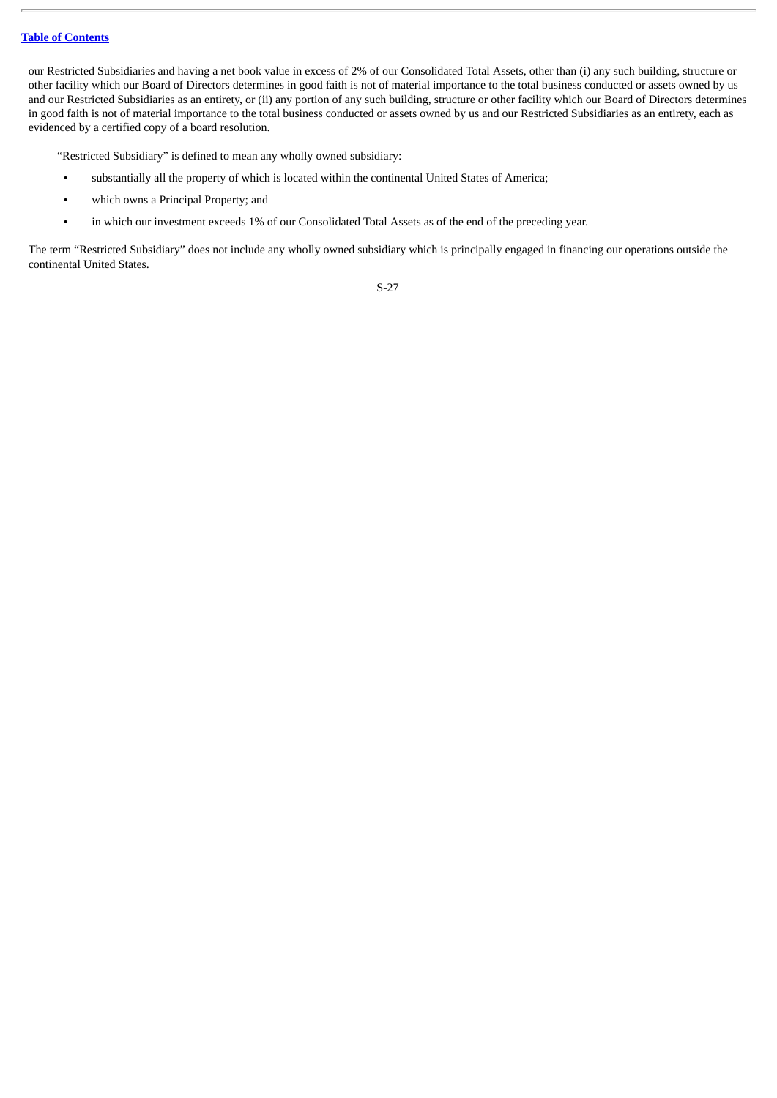our Restricted Subsidiaries and having a net book value in excess of 2% of our Consolidated Total Assets, other than (i) any such building, structure or other facility which our Board of Directors determines in good faith is not of material importance to the total business conducted or assets owned by us and our Restricted Subsidiaries as an entirety, or (ii) any portion of any such building, structure or other facility which our Board of Directors determines in good faith is not of material importance to the total business conducted or assets owned by us and our Restricted Subsidiaries as an entirety, each as evidenced by a certified copy of a board resolution.

"Restricted Subsidiary" is defined to mean any wholly owned subsidiary:

- substantially all the property of which is located within the continental United States of America;
- which owns a Principal Property; and
- in which our investment exceeds 1% of our Consolidated Total Assets as of the end of the preceding year.

The term "Restricted Subsidiary" does not include any wholly owned subsidiary which is principally engaged in financing our operations outside the continental United States.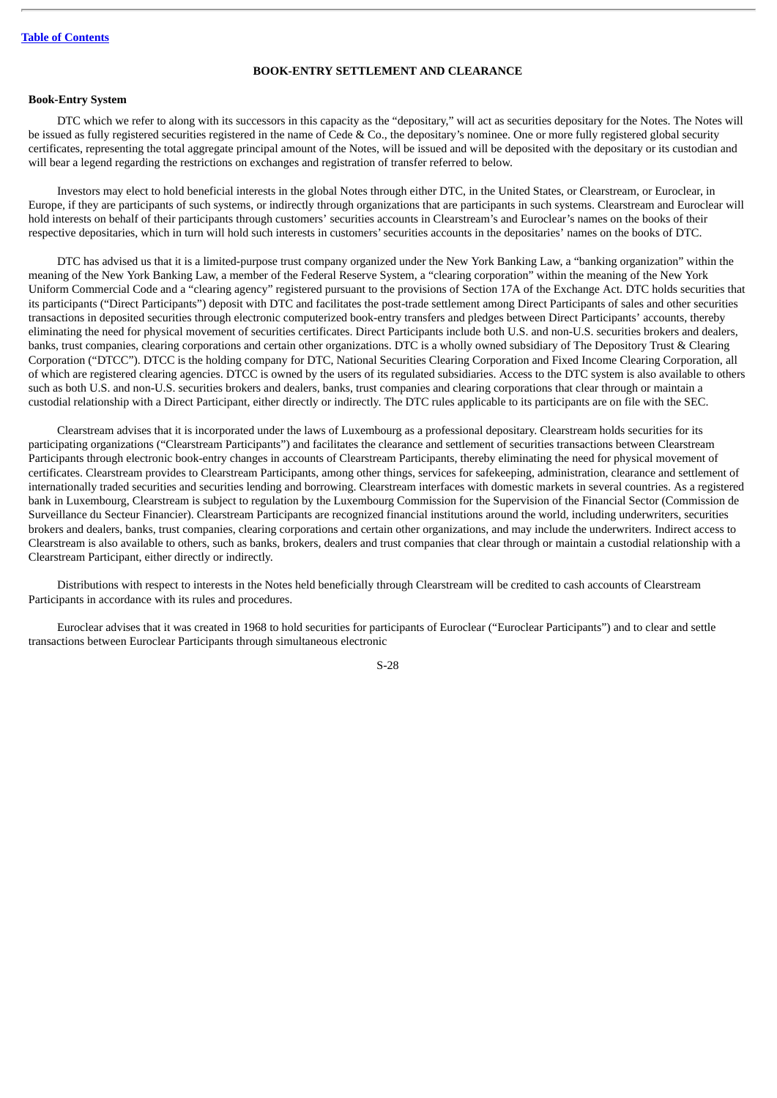#### **BOOK-ENTRY SETTLEMENT AND CLEARANCE**

## <span id="page-32-0"></span>**Book-Entry System**

DTC which we refer to along with its successors in this capacity as the "depositary," will act as securities depositary for the Notes. The Notes will be issued as fully registered securities registered in the name of Cede & Co., the depositary's nominee. One or more fully registered global security certificates, representing the total aggregate principal amount of the Notes, will be issued and will be deposited with the depositary or its custodian and will bear a legend regarding the restrictions on exchanges and registration of transfer referred to below.

Investors may elect to hold beneficial interests in the global Notes through either DTC, in the United States, or Clearstream, or Euroclear, in Europe, if they are participants of such systems, or indirectly through organizations that are participants in such systems. Clearstream and Euroclear will hold interests on behalf of their participants through customers' securities accounts in Clearstream's and Euroclear's names on the books of their respective depositaries, which in turn will hold such interests in customers'securities accounts in the depositaries' names on the books of DTC.

DTC has advised us that it is a limited-purpose trust company organized under the New York Banking Law, a "banking organization" within the meaning of the New York Banking Law, a member of the Federal Reserve System, a "clearing corporation" within the meaning of the New York Uniform Commercial Code and a "clearing agency" registered pursuant to the provisions of Section 17A of the Exchange Act. DTC holds securities that its participants ("Direct Participants") deposit with DTC and facilitates the post-trade settlement among Direct Participants of sales and other securities transactions in deposited securities through electronic computerized book-entry transfers and pledges between Direct Participants' accounts, thereby eliminating the need for physical movement of securities certificates. Direct Participants include both U.S. and non-U.S. securities brokers and dealers, banks, trust companies, clearing corporations and certain other organizations. DTC is a wholly owned subsidiary of The Depository Trust & Clearing Corporation ("DTCC"). DTCC is the holding company for DTC, National Securities Clearing Corporation and Fixed Income Clearing Corporation, all of which are registered clearing agencies. DTCC is owned by the users of its regulated subsidiaries. Access to the DTC system is also available to others such as both U.S. and non-U.S. securities brokers and dealers, banks, trust companies and clearing corporations that clear through or maintain a custodial relationship with a Direct Participant, either directly or indirectly. The DTC rules applicable to its participants are on file with the SEC.

Clearstream advises that it is incorporated under the laws of Luxembourg as a professional depositary. Clearstream holds securities for its participating organizations ("Clearstream Participants") and facilitates the clearance and settlement of securities transactions between Clearstream Participants through electronic book-entry changes in accounts of Clearstream Participants, thereby eliminating the need for physical movement of certificates. Clearstream provides to Clearstream Participants, among other things, services for safekeeping, administration, clearance and settlement of internationally traded securities and securities lending and borrowing. Clearstream interfaces with domestic markets in several countries. As a registered bank in Luxembourg, Clearstream is subject to regulation by the Luxembourg Commission for the Supervision of the Financial Sector (Commission de Surveillance du Secteur Financier). Clearstream Participants are recognized financial institutions around the world, including underwriters, securities brokers and dealers, banks, trust companies, clearing corporations and certain other organizations, and may include the underwriters. Indirect access to Clearstream is also available to others, such as banks, brokers, dealers and trust companies that clear through or maintain a custodial relationship with a Clearstream Participant, either directly or indirectly.

Distributions with respect to interests in the Notes held beneficially through Clearstream will be credited to cash accounts of Clearstream Participants in accordance with its rules and procedures.

Euroclear advises that it was created in 1968 to hold securities for participants of Euroclear ("Euroclear Participants") and to clear and settle transactions between Euroclear Participants through simultaneous electronic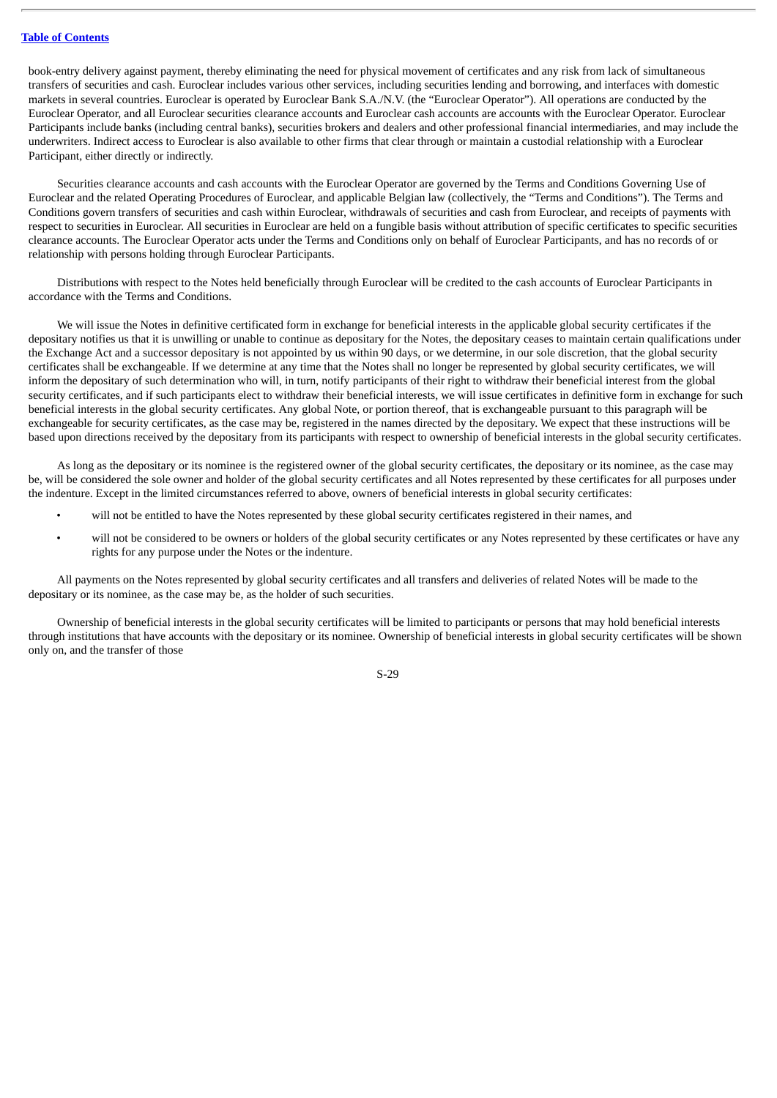book-entry delivery against payment, thereby eliminating the need for physical movement of certificates and any risk from lack of simultaneous transfers of securities and cash. Euroclear includes various other services, including securities lending and borrowing, and interfaces with domestic markets in several countries. Euroclear is operated by Euroclear Bank S.A./N.V. (the "Euroclear Operator"). All operations are conducted by the Euroclear Operator, and all Euroclear securities clearance accounts and Euroclear cash accounts are accounts with the Euroclear Operator. Euroclear Participants include banks (including central banks), securities brokers and dealers and other professional financial intermediaries, and may include the underwriters. Indirect access to Euroclear is also available to other firms that clear through or maintain a custodial relationship with a Euroclear Participant, either directly or indirectly.

Securities clearance accounts and cash accounts with the Euroclear Operator are governed by the Terms and Conditions Governing Use of Euroclear and the related Operating Procedures of Euroclear, and applicable Belgian law (collectively, the "Terms and Conditions"). The Terms and Conditions govern transfers of securities and cash within Euroclear, withdrawals of securities and cash from Euroclear, and receipts of payments with respect to securities in Euroclear. All securities in Euroclear are held on a fungible basis without attribution of specific certificates to specific securities clearance accounts. The Euroclear Operator acts under the Terms and Conditions only on behalf of Euroclear Participants, and has no records of or relationship with persons holding through Euroclear Participants.

Distributions with respect to the Notes held beneficially through Euroclear will be credited to the cash accounts of Euroclear Participants in accordance with the Terms and Conditions.

We will issue the Notes in definitive certificated form in exchange for beneficial interests in the applicable global security certificates if the depositary notifies us that it is unwilling or unable to continue as depositary for the Notes, the depositary ceases to maintain certain qualifications under the Exchange Act and a successor depositary is not appointed by us within 90 days, or we determine, in our sole discretion, that the global security certificates shall be exchangeable. If we determine at any time that the Notes shall no longer be represented by global security certificates, we will inform the depositary of such determination who will, in turn, notify participants of their right to withdraw their beneficial interest from the global security certificates, and if such participants elect to withdraw their beneficial interests, we will issue certificates in definitive form in exchange for such beneficial interests in the global security certificates. Any global Note, or portion thereof, that is exchangeable pursuant to this paragraph will be exchangeable for security certificates, as the case may be, registered in the names directed by the depositary. We expect that these instructions will be based upon directions received by the depositary from its participants with respect to ownership of beneficial interests in the global security certificates.

As long as the depositary or its nominee is the registered owner of the global security certificates, the depositary or its nominee, as the case may be, will be considered the sole owner and holder of the global security certificates and all Notes represented by these certificates for all purposes under the indenture. Except in the limited circumstances referred to above, owners of beneficial interests in global security certificates:

- will not be entitled to have the Notes represented by these global security certificates registered in their names, and
- will not be considered to be owners or holders of the global security certificates or any Notes represented by these certificates or have any rights for any purpose under the Notes or the indenture.

All payments on the Notes represented by global security certificates and all transfers and deliveries of related Notes will be made to the depositary or its nominee, as the case may be, as the holder of such securities.

Ownership of beneficial interests in the global security certificates will be limited to participants or persons that may hold beneficial interests through institutions that have accounts with the depositary or its nominee. Ownership of beneficial interests in global security certificates will be shown only on, and the transfer of those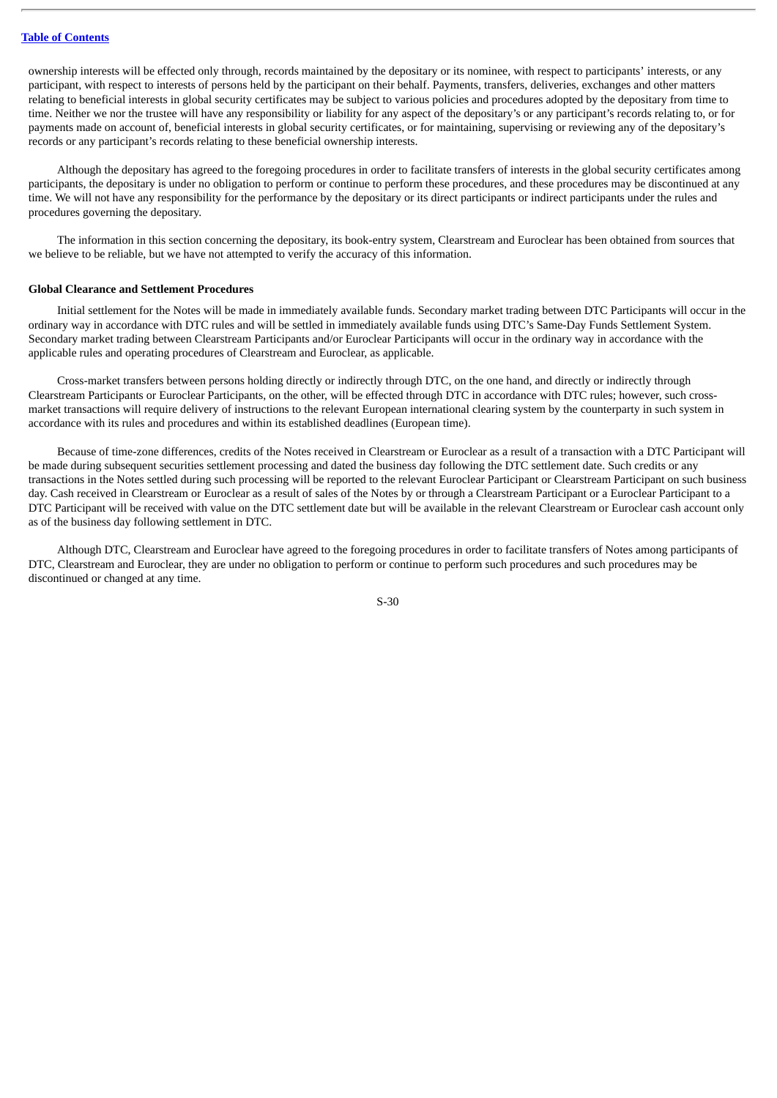ownership interests will be effected only through, records maintained by the depositary or its nominee, with respect to participants' interests, or any participant, with respect to interests of persons held by the participant on their behalf. Payments, transfers, deliveries, exchanges and other matters relating to beneficial interests in global security certificates may be subject to various policies and procedures adopted by the depositary from time to time. Neither we nor the trustee will have any responsibility or liability for any aspect of the depositary's or any participant's records relating to, or for payments made on account of, beneficial interests in global security certificates, or for maintaining, supervising or reviewing any of the depositary's records or any participant's records relating to these beneficial ownership interests.

Although the depositary has agreed to the foregoing procedures in order to facilitate transfers of interests in the global security certificates among participants, the depositary is under no obligation to perform or continue to perform these procedures, and these procedures may be discontinued at any time. We will not have any responsibility for the performance by the depositary or its direct participants or indirect participants under the rules and procedures governing the depositary.

The information in this section concerning the depositary, its book-entry system, Clearstream and Euroclear has been obtained from sources that we believe to be reliable, but we have not attempted to verify the accuracy of this information.

#### **Global Clearance and Settlement Procedures**

Initial settlement for the Notes will be made in immediately available funds. Secondary market trading between DTC Participants will occur in the ordinary way in accordance with DTC rules and will be settled in immediately available funds using DTC's Same-Day Funds Settlement System. Secondary market trading between Clearstream Participants and/or Euroclear Participants will occur in the ordinary way in accordance with the applicable rules and operating procedures of Clearstream and Euroclear, as applicable.

Cross-market transfers between persons holding directly or indirectly through DTC, on the one hand, and directly or indirectly through Clearstream Participants or Euroclear Participants, on the other, will be effected through DTC in accordance with DTC rules; however, such crossmarket transactions will require delivery of instructions to the relevant European international clearing system by the counterparty in such system in accordance with its rules and procedures and within its established deadlines (European time).

Because of time-zone differences, credits of the Notes received in Clearstream or Euroclear as a result of a transaction with a DTC Participant will be made during subsequent securities settlement processing and dated the business day following the DTC settlement date. Such credits or any transactions in the Notes settled during such processing will be reported to the relevant Euroclear Participant or Clearstream Participant on such business day. Cash received in Clearstream or Euroclear as a result of sales of the Notes by or through a Clearstream Participant or a Euroclear Participant to a DTC Participant will be received with value on the DTC settlement date but will be available in the relevant Clearstream or Euroclear cash account only as of the business day following settlement in DTC.

Although DTC, Clearstream and Euroclear have agreed to the foregoing procedures in order to facilitate transfers of Notes among participants of DTC, Clearstream and Euroclear, they are under no obligation to perform or continue to perform such procedures and such procedures may be discontinued or changed at any time.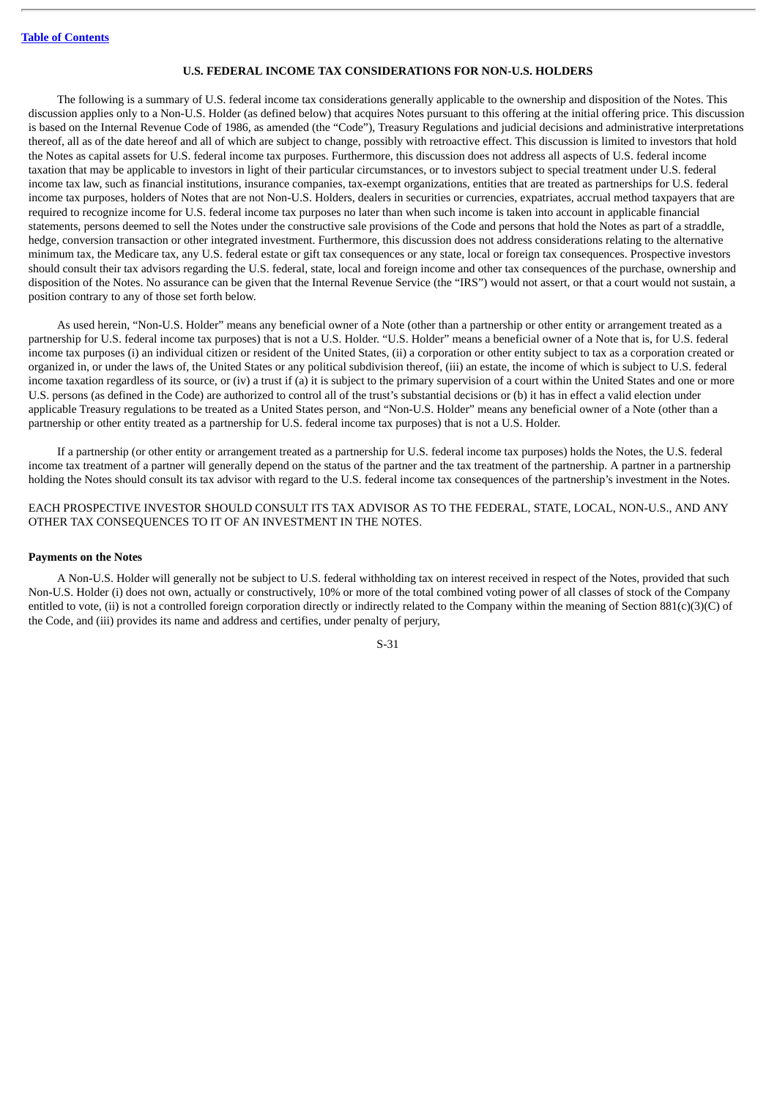## **U.S. FEDERAL INCOME TAX CONSIDERATIONS FOR NON-U.S. HOLDERS**

<span id="page-35-0"></span>The following is a summary of U.S. federal income tax considerations generally applicable to the ownership and disposition of the Notes. This discussion applies only to a Non-U.S. Holder (as defined below) that acquires Notes pursuant to this offering at the initial offering price. This discussion is based on the Internal Revenue Code of 1986, as amended (the "Code"), Treasury Regulations and judicial decisions and administrative interpretations thereof, all as of the date hereof and all of which are subject to change, possibly with retroactive effect. This discussion is limited to investors that hold the Notes as capital assets for U.S. federal income tax purposes. Furthermore, this discussion does not address all aspects of U.S. federal income taxation that may be applicable to investors in light of their particular circumstances, or to investors subject to special treatment under U.S. federal income tax law, such as financial institutions, insurance companies, tax-exempt organizations, entities that are treated as partnerships for U.S. federal income tax purposes, holders of Notes that are not Non-U.S. Holders, dealers in securities or currencies, expatriates, accrual method taxpayers that are required to recognize income for U.S. federal income tax purposes no later than when such income is taken into account in applicable financial statements, persons deemed to sell the Notes under the constructive sale provisions of the Code and persons that hold the Notes as part of a straddle, hedge, conversion transaction or other integrated investment. Furthermore, this discussion does not address considerations relating to the alternative minimum tax, the Medicare tax, any U.S. federal estate or gift tax consequences or any state, local or foreign tax consequences. Prospective investors should consult their tax advisors regarding the U.S. federal, state, local and foreign income and other tax consequences of the purchase, ownership and disposition of the Notes. No assurance can be given that the Internal Revenue Service (the "IRS") would not assert, or that a court would not sustain, a position contrary to any of those set forth below.

As used herein, "Non-U.S. Holder" means any beneficial owner of a Note (other than a partnership or other entity or arrangement treated as a partnership for U.S. federal income tax purposes) that is not a U.S. Holder. "U.S. Holder" means a beneficial owner of a Note that is, for U.S. federal income tax purposes (i) an individual citizen or resident of the United States, (ii) a corporation or other entity subject to tax as a corporation created or organized in, or under the laws of, the United States or any political subdivision thereof, (iii) an estate, the income of which is subject to U.S. federal income taxation regardless of its source, or (iv) a trust if (a) it is subject to the primary supervision of a court within the United States and one or more U.S. persons (as defined in the Code) are authorized to control all of the trust's substantial decisions or (b) it has in effect a valid election under applicable Treasury regulations to be treated as a United States person, and "Non-U.S. Holder" means any beneficial owner of a Note (other than a partnership or other entity treated as a partnership for U.S. federal income tax purposes) that is not a U.S. Holder.

If a partnership (or other entity or arrangement treated as a partnership for U.S. federal income tax purposes) holds the Notes, the U.S. federal income tax treatment of a partner will generally depend on the status of the partner and the tax treatment of the partnership. A partner in a partnership holding the Notes should consult its tax advisor with regard to the U.S. federal income tax consequences of the partnership's investment in the Notes.

EACH PROSPECTIVE INVESTOR SHOULD CONSULT ITS TAX ADVISOR AS TO THE FEDERAL, STATE, LOCAL, NON-U.S., AND ANY OTHER TAX CONSEQUENCES TO IT OF AN INVESTMENT IN THE NOTES.

#### **Payments on the Notes**

A Non-U.S. Holder will generally not be subject to U.S. federal withholding tax on interest received in respect of the Notes, provided that such Non-U.S. Holder (i) does not own, actually or constructively, 10% or more of the total combined voting power of all classes of stock of the Company entitled to vote, (ii) is not a controlled foreign corporation directly or indirectly related to the Company within the meaning of Section 881(c)(3)(C) of the Code, and (iii) provides its name and address and certifies, under penalty of perjury,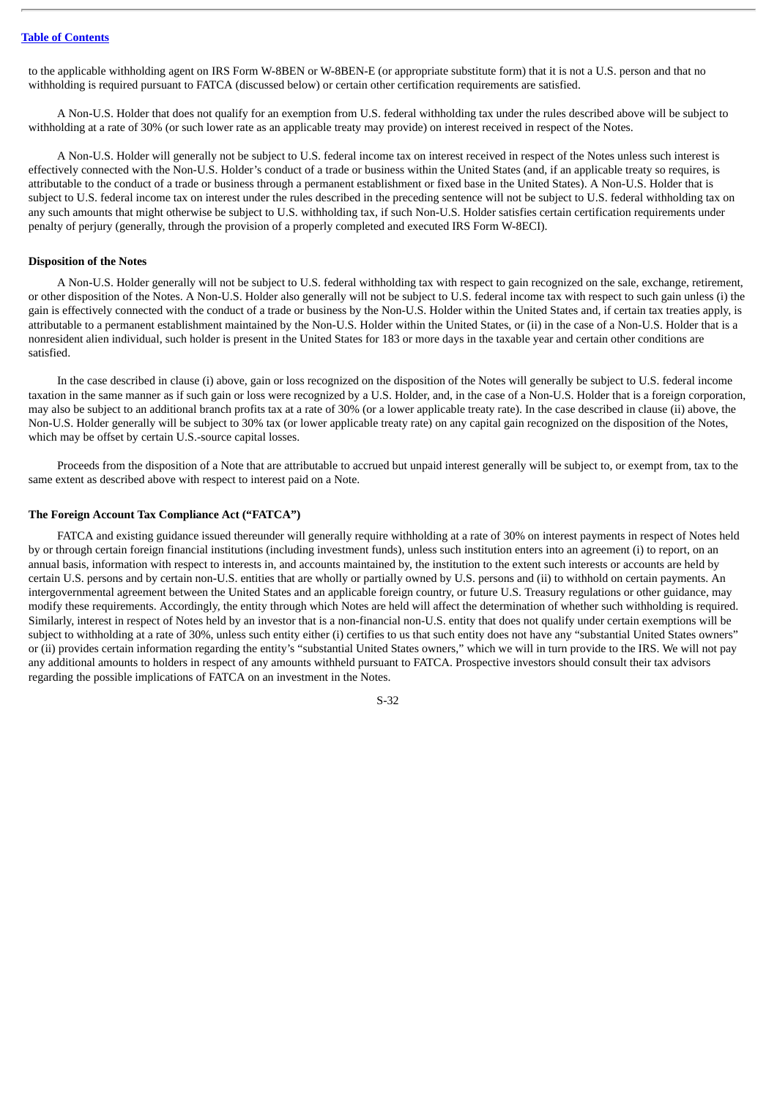to the applicable withholding agent on IRS Form W-8BEN or W-8BEN-E (or appropriate substitute form) that it is not a U.S. person and that no withholding is required pursuant to FATCA (discussed below) or certain other certification requirements are satisfied.

A Non-U.S. Holder that does not qualify for an exemption from U.S. federal withholding tax under the rules described above will be subject to withholding at a rate of 30% (or such lower rate as an applicable treaty may provide) on interest received in respect of the Notes.

A Non-U.S. Holder will generally not be subject to U.S. federal income tax on interest received in respect of the Notes unless such interest is effectively connected with the Non-U.S. Holder's conduct of a trade or business within the United States (and, if an applicable treaty so requires, is attributable to the conduct of a trade or business through a permanent establishment or fixed base in the United States). A Non-U.S. Holder that is subject to U.S. federal income tax on interest under the rules described in the preceding sentence will not be subject to U.S. federal withholding tax on any such amounts that might otherwise be subject to U.S. withholding tax, if such Non-U.S. Holder satisfies certain certification requirements under penalty of perjury (generally, through the provision of a properly completed and executed IRS Form W-8ECI).

#### **Disposition of the Notes**

A Non-U.S. Holder generally will not be subject to U.S. federal withholding tax with respect to gain recognized on the sale, exchange, retirement, or other disposition of the Notes. A Non-U.S. Holder also generally will not be subject to U.S. federal income tax with respect to such gain unless (i) the gain is effectively connected with the conduct of a trade or business by the Non-U.S. Holder within the United States and, if certain tax treaties apply, is attributable to a permanent establishment maintained by the Non-U.S. Holder within the United States, or (ii) in the case of a Non-U.S. Holder that is a nonresident alien individual, such holder is present in the United States for 183 or more days in the taxable year and certain other conditions are satisfied.

In the case described in clause (i) above, gain or loss recognized on the disposition of the Notes will generally be subject to U.S. federal income taxation in the same manner as if such gain or loss were recognized by a U.S. Holder, and, in the case of a Non-U.S. Holder that is a foreign corporation, may also be subject to an additional branch profits tax at a rate of 30% (or a lower applicable treaty rate). In the case described in clause (ii) above, the Non-U.S. Holder generally will be subject to 30% tax (or lower applicable treaty rate) on any capital gain recognized on the disposition of the Notes, which may be offset by certain U.S.-source capital losses.

Proceeds from the disposition of a Note that are attributable to accrued but unpaid interest generally will be subject to, or exempt from, tax to the same extent as described above with respect to interest paid on a Note.

#### **The Foreign Account Tax Compliance Act ("FATCA")**

FATCA and existing guidance issued thereunder will generally require withholding at a rate of 30% on interest payments in respect of Notes held by or through certain foreign financial institutions (including investment funds), unless such institution enters into an agreement (i) to report, on an annual basis, information with respect to interests in, and accounts maintained by, the institution to the extent such interests or accounts are held by certain U.S. persons and by certain non-U.S. entities that are wholly or partially owned by U.S. persons and (ii) to withhold on certain payments. An intergovernmental agreement between the United States and an applicable foreign country, or future U.S. Treasury regulations or other guidance, may modify these requirements. Accordingly, the entity through which Notes are held will affect the determination of whether such withholding is required. Similarly, interest in respect of Notes held by an investor that is a non-financial non-U.S. entity that does not qualify under certain exemptions will be subject to withholding at a rate of 30%, unless such entity either (i) certifies to us that such entity does not have any "substantial United States owners" or (ii) provides certain information regarding the entity's "substantial United States owners," which we will in turn provide to the IRS. We will not pay any additional amounts to holders in respect of any amounts withheld pursuant to FATCA. Prospective investors should consult their tax advisors regarding the possible implications of FATCA on an investment in the Notes.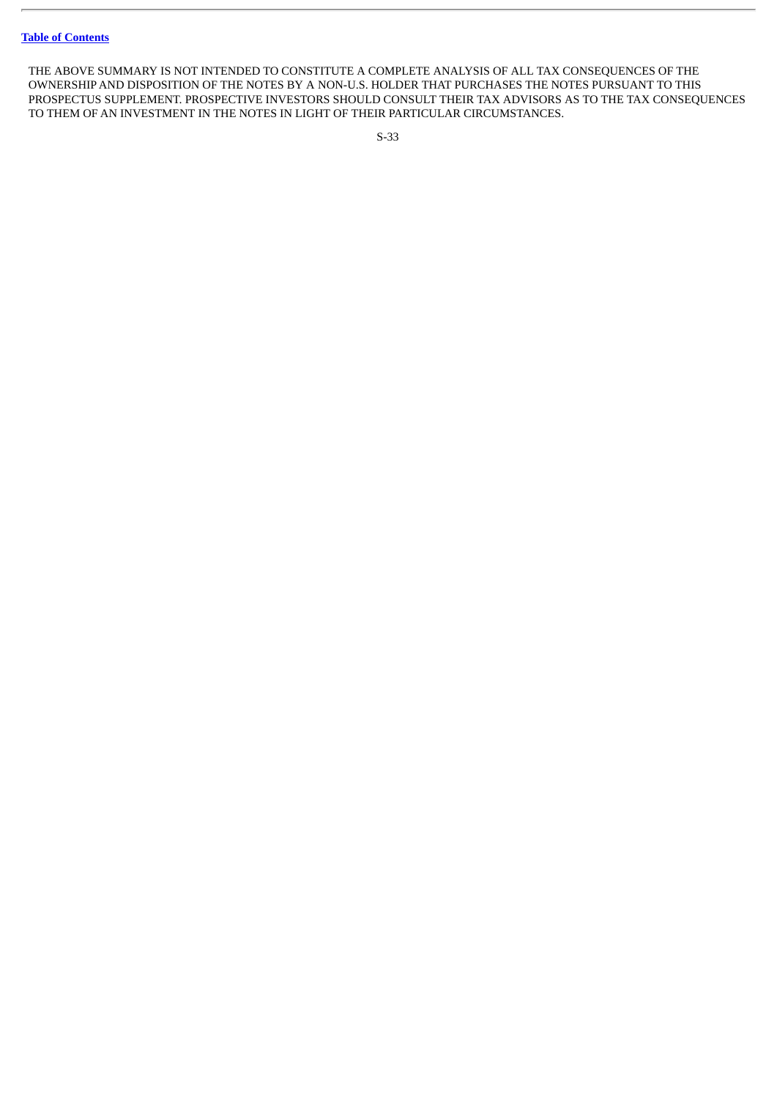THE ABOVE SUMMARY IS NOT INTENDED TO CONSTITUTE A COMPLETE ANALYSIS OF ALL TAX CONSEQUENCES OF THE OWNERSHIP AND DISPOSITION OF THE NOTES BY A NON-U.S. HOLDER THAT PURCHASES THE NOTES PURSUANT TO THIS PROSPECTUS SUPPLEMENT. PROSPECTIVE INVESTORS SHOULD CONSULT THEIR TAX ADVISORS AS TO THE TAX CONSEQUENCES TO THEM OF AN INVESTMENT IN THE NOTES IN LIGHT OF THEIR PARTICULAR CIRCUMSTANCES.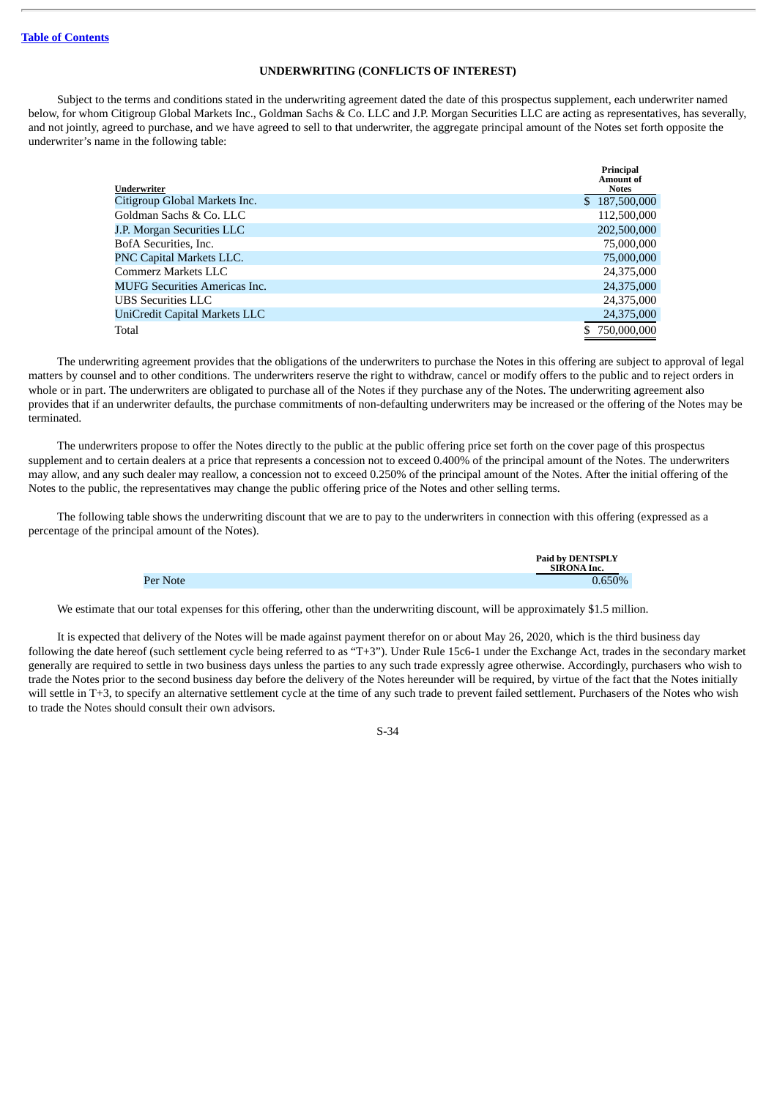#### **UNDERWRITING (CONFLICTS OF INTEREST)**

<span id="page-38-0"></span>Subject to the terms and conditions stated in the underwriting agreement dated the date of this prospectus supplement, each underwriter named below, for whom Citigroup Global Markets Inc., Goldman Sachs & Co. LLC and J.P. Morgan Securities LLC are acting as representatives, has severally, and not jointly, agreed to purchase, and we have agreed to sell to that underwriter, the aggregate principal amount of the Notes set forth opposite the underwriter's name in the following table:

|                                      | Principal<br>Amount of |
|--------------------------------------|------------------------|
| Underwriter                          | <b>Notes</b>           |
| Citigroup Global Markets Inc.        | \$187,500,000          |
| Goldman Sachs & Co. LLC              | 112,500,000            |
| J.P. Morgan Securities LLC           | 202,500,000            |
| BofA Securities, Inc.                | 75,000,000             |
| PNC Capital Markets LLC.             | 75,000,000             |
| Commerz Markets LLC                  | 24,375,000             |
| <b>MUFG Securities Americas Inc.</b> | 24,375,000             |
| <b>UBS</b> Securities LLC            | 24,375,000             |
| UniCredit Capital Markets LLC        | 24,375,000             |
| Total                                | 750,000,000            |

The underwriting agreement provides that the obligations of the underwriters to purchase the Notes in this offering are subject to approval of legal matters by counsel and to other conditions. The underwriters reserve the right to withdraw, cancel or modify offers to the public and to reject orders in whole or in part. The underwriters are obligated to purchase all of the Notes if they purchase any of the Notes. The underwriting agreement also provides that if an underwriter defaults, the purchase commitments of non-defaulting underwriters may be increased or the offering of the Notes may be terminated.

The underwriters propose to offer the Notes directly to the public at the public offering price set forth on the cover page of this prospectus supplement and to certain dealers at a price that represents a concession not to exceed 0.400% of the principal amount of the Notes. The underwriters may allow, and any such dealer may reallow, a concession not to exceed 0.250% of the principal amount of the Notes. After the initial offering of the Notes to the public, the representatives may change the public offering price of the Notes and other selling terms.

The following table shows the underwriting discount that we are to pay to the underwriters in connection with this offering (expressed as a percentage of the principal amount of the Notes).

|          | Paid by DENTSPLY<br>SIRONA Inc. |
|----------|---------------------------------|
| Per Note | 0.650%                          |

We estimate that our total expenses for this offering, other than the underwriting discount, will be approximately \$1.5 million.

It is expected that delivery of the Notes will be made against payment therefor on or about May 26, 2020, which is the third business day following the date hereof (such settlement cycle being referred to as "T+3"). Under Rule 15c6-1 under the Exchange Act, trades in the secondary market generally are required to settle in two business days unless the parties to any such trade expressly agree otherwise. Accordingly, purchasers who wish to trade the Notes prior to the second business day before the delivery of the Notes hereunder will be required, by virtue of the fact that the Notes initially will settle in T+3, to specify an alternative settlement cycle at the time of any such trade to prevent failed settlement. Purchasers of the Notes who wish to trade the Notes should consult their own advisors.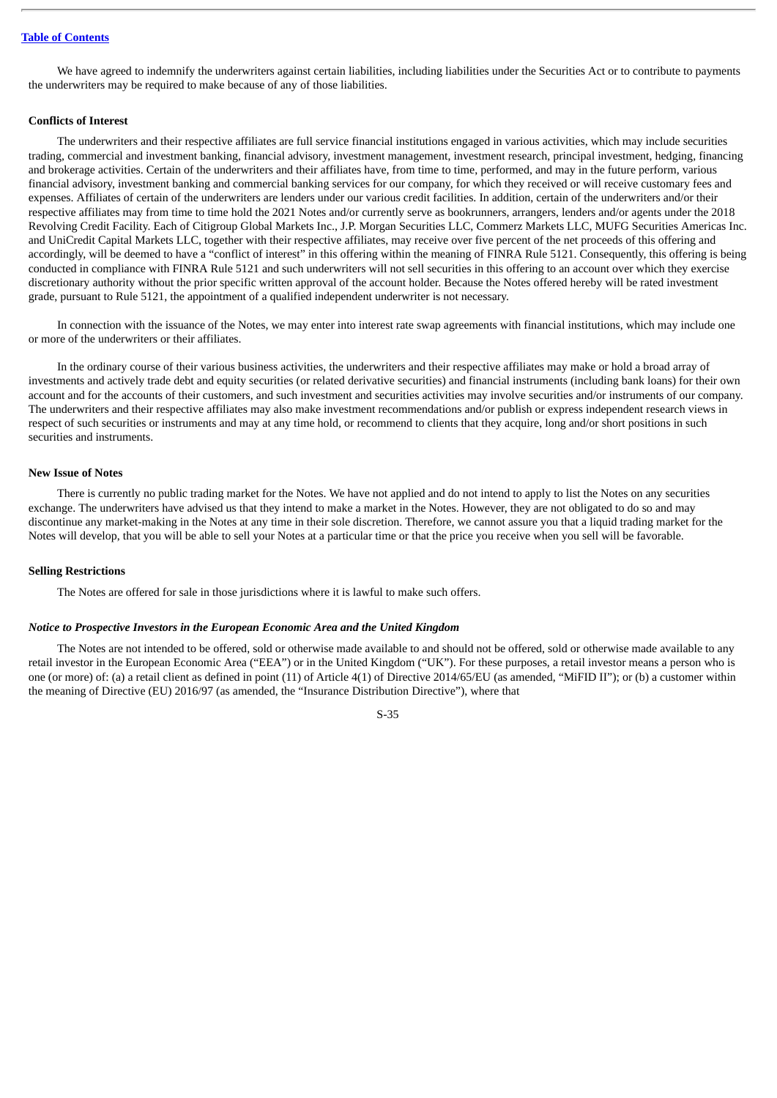We have agreed to indemnify the underwriters against certain liabilities, including liabilities under the Securities Act or to contribute to payments the underwriters may be required to make because of any of those liabilities.

#### **Conflicts of Interest**

The underwriters and their respective affiliates are full service financial institutions engaged in various activities, which may include securities trading, commercial and investment banking, financial advisory, investment management, investment research, principal investment, hedging, financing and brokerage activities. Certain of the underwriters and their affiliates have, from time to time, performed, and may in the future perform, various financial advisory, investment banking and commercial banking services for our company, for which they received or will receive customary fees and expenses. Affiliates of certain of the underwriters are lenders under our various credit facilities. In addition, certain of the underwriters and/or their respective affiliates may from time to time hold the 2021 Notes and/or currently serve as bookrunners, arrangers, lenders and/or agents under the 2018 Revolving Credit Facility. Each of Citigroup Global Markets Inc., J.P. Morgan Securities LLC, Commerz Markets LLC, MUFG Securities Americas Inc. and UniCredit Capital Markets LLC, together with their respective affiliates, may receive over five percent of the net proceeds of this offering and accordingly, will be deemed to have a "conflict of interest" in this offering within the meaning of FINRA Rule 5121. Consequently, this offering is being conducted in compliance with FINRA Rule 5121 and such underwriters will not sell securities in this offering to an account over which they exercise discretionary authority without the prior specific written approval of the account holder. Because the Notes offered hereby will be rated investment grade, pursuant to Rule 5121, the appointment of a qualified independent underwriter is not necessary.

In connection with the issuance of the Notes, we may enter into interest rate swap agreements with financial institutions, which may include one or more of the underwriters or their affiliates.

In the ordinary course of their various business activities, the underwriters and their respective affiliates may make or hold a broad array of investments and actively trade debt and equity securities (or related derivative securities) and financial instruments (including bank loans) for their own account and for the accounts of their customers, and such investment and securities activities may involve securities and/or instruments of our company. The underwriters and their respective affiliates may also make investment recommendations and/or publish or express independent research views in respect of such securities or instruments and may at any time hold, or recommend to clients that they acquire, long and/or short positions in such securities and instruments.

#### **New Issue of Notes**

There is currently no public trading market for the Notes. We have not applied and do not intend to apply to list the Notes on any securities exchange. The underwriters have advised us that they intend to make a market in the Notes. However, they are not obligated to do so and may discontinue any market-making in the Notes at any time in their sole discretion. Therefore, we cannot assure you that a liquid trading market for the Notes will develop, that you will be able to sell your Notes at a particular time or that the price you receive when you sell will be favorable.

#### **Selling Restrictions**

The Notes are offered for sale in those jurisdictions where it is lawful to make such offers.

#### *Notice to Prospective Investors in the European Economic Area and the United Kingdom*

The Notes are not intended to be offered, sold or otherwise made available to and should not be offered, sold or otherwise made available to any retail investor in the European Economic Area ("EEA") or in the United Kingdom ("UK"). For these purposes, a retail investor means a person who is one (or more) of: (a) a retail client as defined in point (11) of Article 4(1) of Directive 2014/65/EU (as amended, "MiFID II"); or (b) a customer within the meaning of Directive (EU) 2016/97 (as amended, the "Insurance Distribution Directive"), where that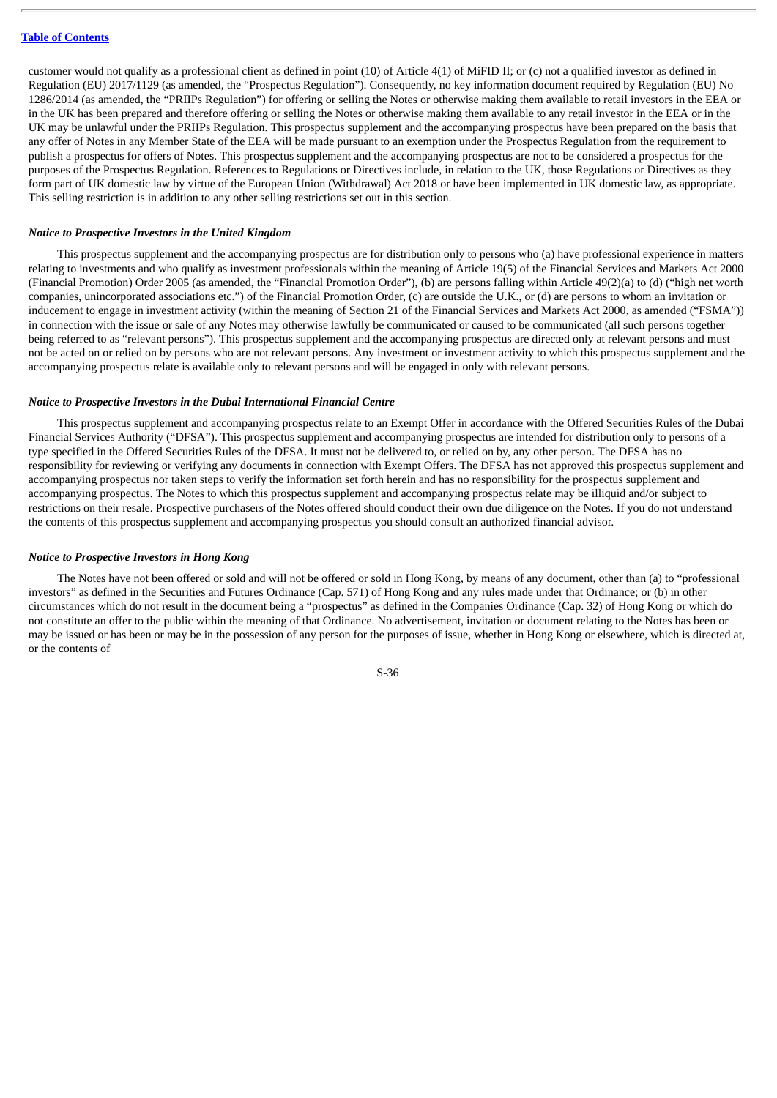customer would not qualify as a professional client as defined in point (10) of Article 4(1) of MiFID II; or (c) not a qualified investor as defined in Regulation (EU) 2017/1129 (as amended, the "Prospectus Regulation"). Consequently, no key information document required by Regulation (EU) No 1286/2014 (as amended, the "PRIIPs Regulation") for offering or selling the Notes or otherwise making them available to retail investors in the EEA or in the UK has been prepared and therefore offering or selling the Notes or otherwise making them available to any retail investor in the EEA or in the UK may be unlawful under the PRIIPs Regulation. This prospectus supplement and the accompanying prospectus have been prepared on the basis that any offer of Notes in any Member State of the EEA will be made pursuant to an exemption under the Prospectus Regulation from the requirement to publish a prospectus for offers of Notes. This prospectus supplement and the accompanying prospectus are not to be considered a prospectus for the purposes of the Prospectus Regulation. References to Regulations or Directives include, in relation to the UK, those Regulations or Directives as they form part of UK domestic law by virtue of the European Union (Withdrawal) Act 2018 or have been implemented in UK domestic law, as appropriate. This selling restriction is in addition to any other selling restrictions set out in this section.

## *Notice to Prospective Investors in the United Kingdom*

This prospectus supplement and the accompanying prospectus are for distribution only to persons who (a) have professional experience in matters relating to investments and who qualify as investment professionals within the meaning of Article 19(5) of the Financial Services and Markets Act 2000 (Financial Promotion) Order 2005 (as amended, the "Financial Promotion Order"), (b) are persons falling within Article 49(2)(a) to (d) ("high net worth companies, unincorporated associations etc.") of the Financial Promotion Order, (c) are outside the U.K., or (d) are persons to whom an invitation or inducement to engage in investment activity (within the meaning of Section 21 of the Financial Services and Markets Act 2000, as amended ("FSMA")) in connection with the issue or sale of any Notes may otherwise lawfully be communicated or caused to be communicated (all such persons together being referred to as "relevant persons"). This prospectus supplement and the accompanying prospectus are directed only at relevant persons and must not be acted on or relied on by persons who are not relevant persons. Any investment or investment activity to which this prospectus supplement and the accompanying prospectus relate is available only to relevant persons and will be engaged in only with relevant persons.

#### *Notice to Prospective Investors in the Dubai International Financial Centre*

This prospectus supplement and accompanying prospectus relate to an Exempt Offer in accordance with the Offered Securities Rules of the Dubai Financial Services Authority ("DFSA"). This prospectus supplement and accompanying prospectus are intended for distribution only to persons of a type specified in the Offered Securities Rules of the DFSA. It must not be delivered to, or relied on by, any other person. The DFSA has no responsibility for reviewing or verifying any documents in connection with Exempt Offers. The DFSA has not approved this prospectus supplement and accompanying prospectus nor taken steps to verify the information set forth herein and has no responsibility for the prospectus supplement and accompanying prospectus. The Notes to which this prospectus supplement and accompanying prospectus relate may be illiquid and/or subject to restrictions on their resale. Prospective purchasers of the Notes offered should conduct their own due diligence on the Notes. If you do not understand the contents of this prospectus supplement and accompanying prospectus you should consult an authorized financial advisor.

#### *Notice to Prospective Investors in Hong Kong*

The Notes have not been offered or sold and will not be offered or sold in Hong Kong, by means of any document, other than (a) to "professional investors" as defined in the Securities and Futures Ordinance (Cap. 571) of Hong Kong and any rules made under that Ordinance; or (b) in other circumstances which do not result in the document being a "prospectus" as defined in the Companies Ordinance (Cap. 32) of Hong Kong or which do not constitute an offer to the public within the meaning of that Ordinance. No advertisement, invitation or document relating to the Notes has been or may be issued or has been or may be in the possession of any person for the purposes of issue, whether in Hong Kong or elsewhere, which is directed at, or the contents of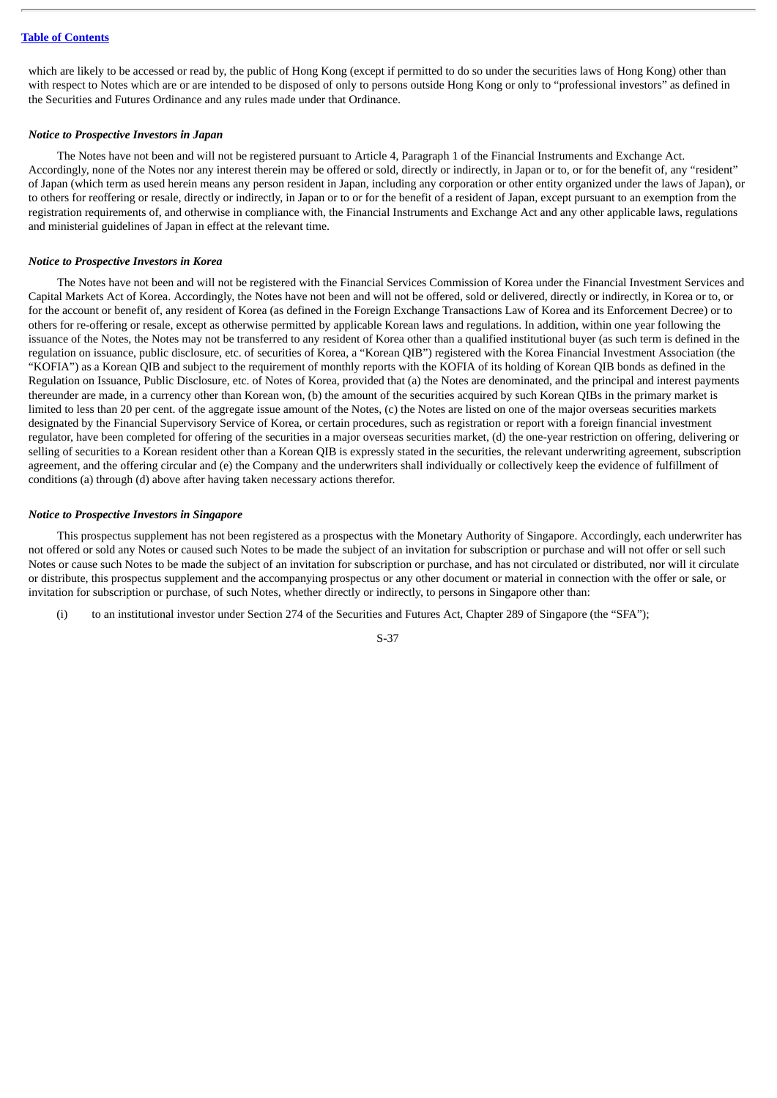which are likely to be accessed or read by, the public of Hong Kong (except if permitted to do so under the securities laws of Hong Kong) other than with respect to Notes which are or are intended to be disposed of only to persons outside Hong Kong or only to "professional investors" as defined in the Securities and Futures Ordinance and any rules made under that Ordinance.

#### *Notice to Prospective Investors in Japan*

The Notes have not been and will not be registered pursuant to Article 4, Paragraph 1 of the Financial Instruments and Exchange Act. Accordingly, none of the Notes nor any interest therein may be offered or sold, directly or indirectly, in Japan or to, or for the benefit of, any "resident" of Japan (which term as used herein means any person resident in Japan, including any corporation or other entity organized under the laws of Japan), or to others for reoffering or resale, directly or indirectly, in Japan or to or for the benefit of a resident of Japan, except pursuant to an exemption from the registration requirements of, and otherwise in compliance with, the Financial Instruments and Exchange Act and any other applicable laws, regulations and ministerial guidelines of Japan in effect at the relevant time.

#### *Notice to Prospective Investors in Korea*

The Notes have not been and will not be registered with the Financial Services Commission of Korea under the Financial Investment Services and Capital Markets Act of Korea. Accordingly, the Notes have not been and will not be offered, sold or delivered, directly or indirectly, in Korea or to, or for the account or benefit of, any resident of Korea (as defined in the Foreign Exchange Transactions Law of Korea and its Enforcement Decree) or to others for re-offering or resale, except as otherwise permitted by applicable Korean laws and regulations. In addition, within one year following the issuance of the Notes, the Notes may not be transferred to any resident of Korea other than a qualified institutional buyer (as such term is defined in the regulation on issuance, public disclosure, etc. of securities of Korea, a "Korean QIB") registered with the Korea Financial Investment Association (the "KOFIA") as a Korean QIB and subject to the requirement of monthly reports with the KOFIA of its holding of Korean QIB bonds as defined in the Regulation on Issuance, Public Disclosure, etc. of Notes of Korea, provided that (a) the Notes are denominated, and the principal and interest payments thereunder are made, in a currency other than Korean won, (b) the amount of the securities acquired by such Korean QIBs in the primary market is limited to less than 20 per cent. of the aggregate issue amount of the Notes, (c) the Notes are listed on one of the major overseas securities markets designated by the Financial Supervisory Service of Korea, or certain procedures, such as registration or report with a foreign financial investment regulator, have been completed for offering of the securities in a major overseas securities market, (d) the one-year restriction on offering, delivering or selling of securities to a Korean resident other than a Korean QIB is expressly stated in the securities, the relevant underwriting agreement, subscription agreement, and the offering circular and (e) the Company and the underwriters shall individually or collectively keep the evidence of fulfillment of conditions (a) through (d) above after having taken necessary actions therefor.

#### *Notice to Prospective Investors in Singapore*

This prospectus supplement has not been registered as a prospectus with the Monetary Authority of Singapore. Accordingly, each underwriter has not offered or sold any Notes or caused such Notes to be made the subject of an invitation for subscription or purchase and will not offer or sell such Notes or cause such Notes to be made the subject of an invitation for subscription or purchase, and has not circulated or distributed, nor will it circulate or distribute, this prospectus supplement and the accompanying prospectus or any other document or material in connection with the offer or sale, or invitation for subscription or purchase, of such Notes, whether directly or indirectly, to persons in Singapore other than:

(i) to an institutional investor under Section 274 of the Securities and Futures Act, Chapter 289 of Singapore (the "SFA");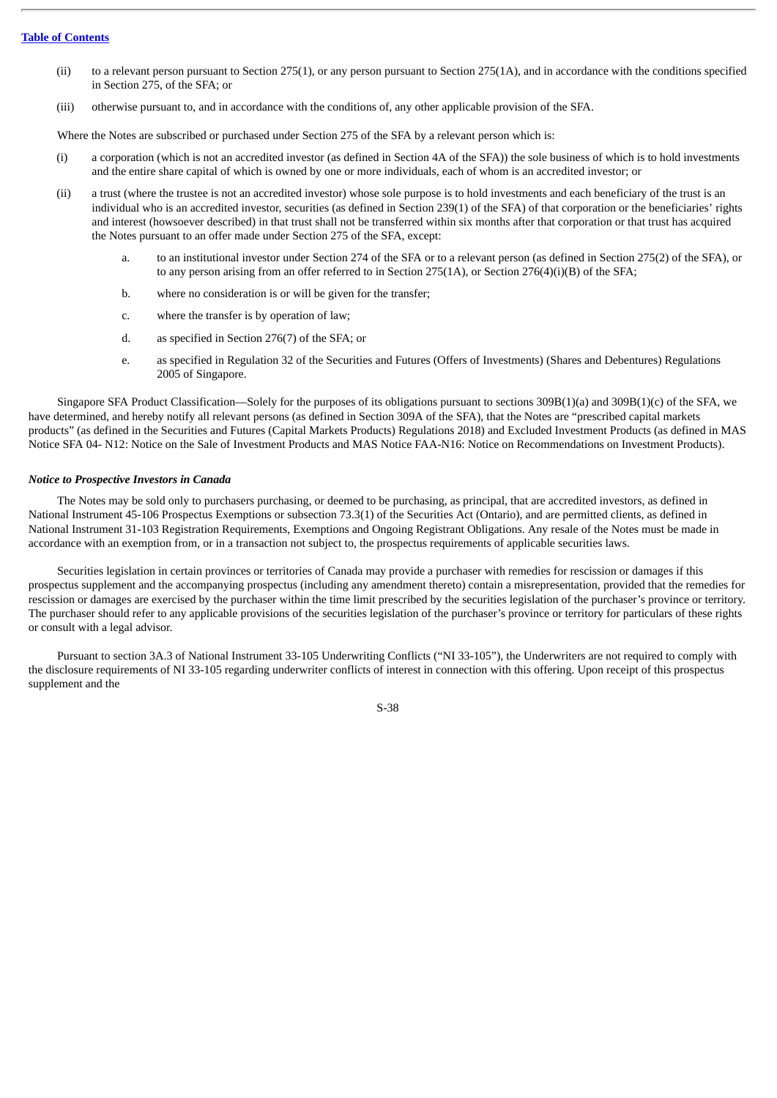- (ii) to a relevant person pursuant to Section 275(1), or any person pursuant to Section 275(1A), and in accordance with the conditions specified in Section 275, of the SFA; or
- (iii) otherwise pursuant to, and in accordance with the conditions of, any other applicable provision of the SFA.

Where the Notes are subscribed or purchased under Section 275 of the SFA by a relevant person which is:

- (i) a corporation (which is not an accredited investor (as defined in Section 4A of the SFA)) the sole business of which is to hold investments and the entire share capital of which is owned by one or more individuals, each of whom is an accredited investor; or
- (ii) a trust (where the trustee is not an accredited investor) whose sole purpose is to hold investments and each beneficiary of the trust is an individual who is an accredited investor, securities (as defined in Section 239(1) of the SFA) of that corporation or the beneficiaries' rights and interest (howsoever described) in that trust shall not be transferred within six months after that corporation or that trust has acquired the Notes pursuant to an offer made under Section 275 of the SFA, except:
	- a. to an institutional investor under Section 274 of the SFA or to a relevant person (as defined in Section 275(2) of the SFA), or to any person arising from an offer referred to in Section 275(1A), or Section 276(4)(i)(B) of the SFA;
	- b. where no consideration is or will be given for the transfer;
	- c. where the transfer is by operation of law;
	- d. as specified in Section 276(7) of the SFA; or
	- e. as specified in Regulation 32 of the Securities and Futures (Offers of Investments) (Shares and Debentures) Regulations 2005 of Singapore.

Singapore SFA Product Classification—Solely for the purposes of its obligations pursuant to sections 309B(1)(a) and 309B(1)(c) of the SFA, we have determined, and hereby notify all relevant persons (as defined in Section 309A of the SFA), that the Notes are "prescribed capital markets products" (as defined in the Securities and Futures (Capital Markets Products) Regulations 2018) and Excluded Investment Products (as defined in MAS Notice SFA 04- N12: Notice on the Sale of Investment Products and MAS Notice FAA-N16: Notice on Recommendations on Investment Products).

#### *Notice to Prospective Investors in Canada*

The Notes may be sold only to purchasers purchasing, or deemed to be purchasing, as principal, that are accredited investors, as defined in National Instrument 45-106 Prospectus Exemptions or subsection 73.3(1) of the Securities Act (Ontario), and are permitted clients, as defined in National Instrument 31-103 Registration Requirements, Exemptions and Ongoing Registrant Obligations. Any resale of the Notes must be made in accordance with an exemption from, or in a transaction not subject to, the prospectus requirements of applicable securities laws.

Securities legislation in certain provinces or territories of Canada may provide a purchaser with remedies for rescission or damages if this prospectus supplement and the accompanying prospectus (including any amendment thereto) contain a misrepresentation, provided that the remedies for rescission or damages are exercised by the purchaser within the time limit prescribed by the securities legislation of the purchaser's province or territory. The purchaser should refer to any applicable provisions of the securities legislation of the purchaser's province or territory for particulars of these rights or consult with a legal advisor.

Pursuant to section 3A.3 of National Instrument 33-105 Underwriting Conflicts ("NI 33-105"), the Underwriters are not required to comply with the disclosure requirements of NI 33-105 regarding underwriter conflicts of interest in connection with this offering. Upon receipt of this prospectus supplement and the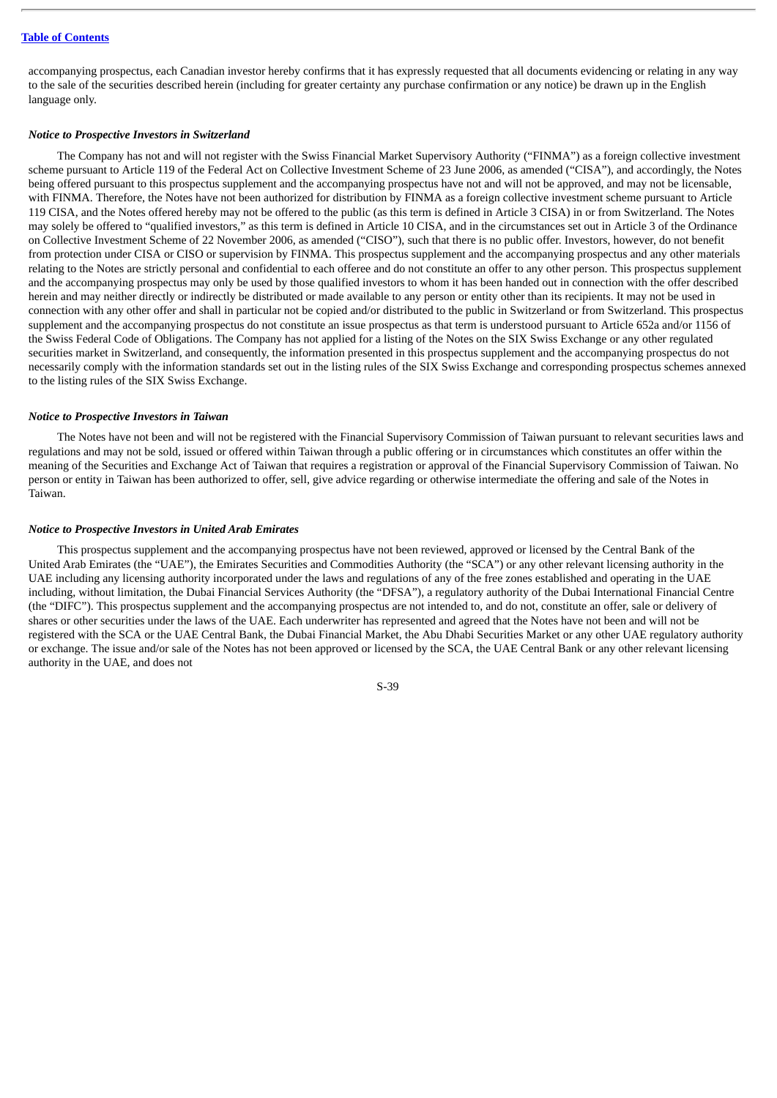accompanying prospectus, each Canadian investor hereby confirms that it has expressly requested that all documents evidencing or relating in any way to the sale of the securities described herein (including for greater certainty any purchase confirmation or any notice) be drawn up in the English language only.

#### *Notice to Prospective Investors in Switzerland*

The Company has not and will not register with the Swiss Financial Market Supervisory Authority ("FINMA") as a foreign collective investment scheme pursuant to Article 119 of the Federal Act on Collective Investment Scheme of 23 June 2006, as amended ("CISA"), and accordingly, the Notes being offered pursuant to this prospectus supplement and the accompanying prospectus have not and will not be approved, and may not be licensable, with FINMA. Therefore, the Notes have not been authorized for distribution by FINMA as a foreign collective investment scheme pursuant to Article 119 CISA, and the Notes offered hereby may not be offered to the public (as this term is defined in Article 3 CISA) in or from Switzerland. The Notes may solely be offered to "qualified investors," as this term is defined in Article 10 CISA, and in the circumstances set out in Article 3 of the Ordinance on Collective Investment Scheme of 22 November 2006, as amended ("CISO"), such that there is no public offer. Investors, however, do not benefit from protection under CISA or CISO or supervision by FINMA. This prospectus supplement and the accompanying prospectus and any other materials relating to the Notes are strictly personal and confidential to each offeree and do not constitute an offer to any other person. This prospectus supplement and the accompanying prospectus may only be used by those qualified investors to whom it has been handed out in connection with the offer described herein and may neither directly or indirectly be distributed or made available to any person or entity other than its recipients. It may not be used in connection with any other offer and shall in particular not be copied and/or distributed to the public in Switzerland or from Switzerland. This prospectus supplement and the accompanying prospectus do not constitute an issue prospectus as that term is understood pursuant to Article 652a and/or 1156 of the Swiss Federal Code of Obligations. The Company has not applied for a listing of the Notes on the SIX Swiss Exchange or any other regulated securities market in Switzerland, and consequently, the information presented in this prospectus supplement and the accompanying prospectus do not necessarily comply with the information standards set out in the listing rules of the SIX Swiss Exchange and corresponding prospectus schemes annexed to the listing rules of the SIX Swiss Exchange.

#### *Notice to Prospective Investors in Taiwan*

The Notes have not been and will not be registered with the Financial Supervisory Commission of Taiwan pursuant to relevant securities laws and regulations and may not be sold, issued or offered within Taiwan through a public offering or in circumstances which constitutes an offer within the meaning of the Securities and Exchange Act of Taiwan that requires a registration or approval of the Financial Supervisory Commission of Taiwan. No person or entity in Taiwan has been authorized to offer, sell, give advice regarding or otherwise intermediate the offering and sale of the Notes in Taiwan.

#### *Notice to Prospective Investors in United Arab Emirates*

This prospectus supplement and the accompanying prospectus have not been reviewed, approved or licensed by the Central Bank of the United Arab Emirates (the "UAE"), the Emirates Securities and Commodities Authority (the "SCA") or any other relevant licensing authority in the UAE including any licensing authority incorporated under the laws and regulations of any of the free zones established and operating in the UAE including, without limitation, the Dubai Financial Services Authority (the "DFSA"), a regulatory authority of the Dubai International Financial Centre (the "DIFC"). This prospectus supplement and the accompanying prospectus are not intended to, and do not, constitute an offer, sale or delivery of shares or other securities under the laws of the UAE. Each underwriter has represented and agreed that the Notes have not been and will not be registered with the SCA or the UAE Central Bank, the Dubai Financial Market, the Abu Dhabi Securities Market or any other UAE regulatory authority or exchange. The issue and/or sale of the Notes has not been approved or licensed by the SCA, the UAE Central Bank or any other relevant licensing authority in the UAE, and does not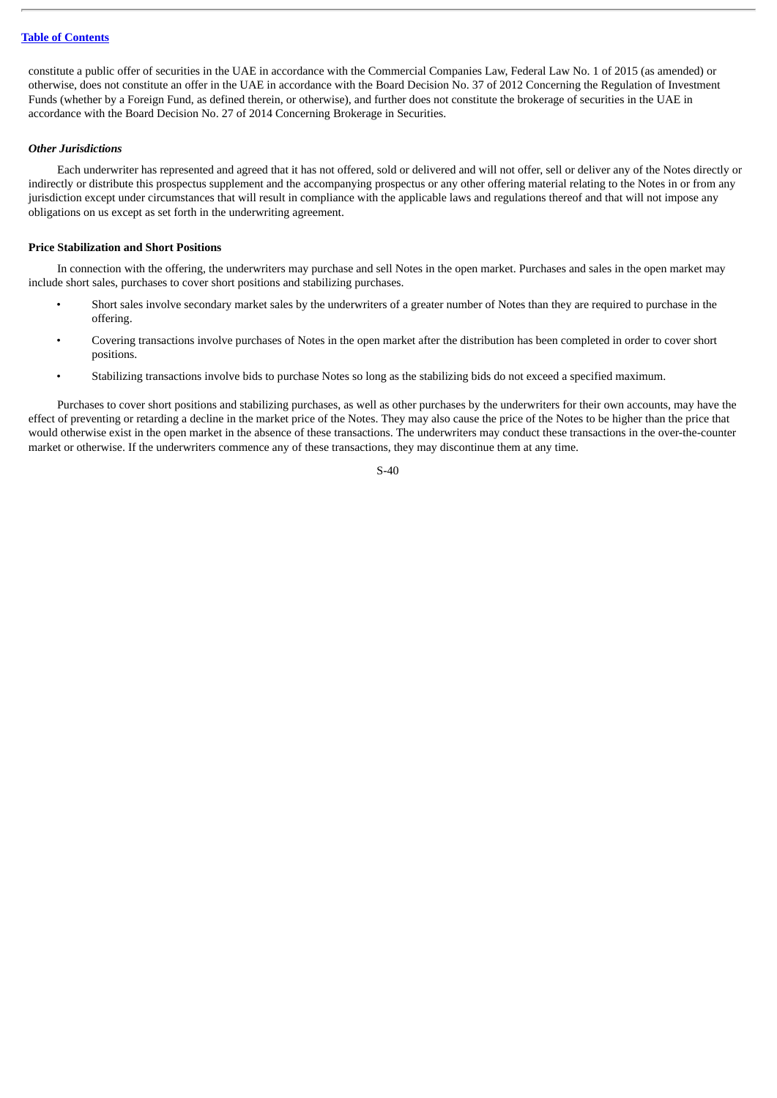constitute a public offer of securities in the UAE in accordance with the Commercial Companies Law, Federal Law No. 1 of 2015 (as amended) or otherwise, does not constitute an offer in the UAE in accordance with the Board Decision No. 37 of 2012 Concerning the Regulation of Investment Funds (whether by a Foreign Fund, as defined therein, or otherwise), and further does not constitute the brokerage of securities in the UAE in accordance with the Board Decision No. 27 of 2014 Concerning Brokerage in Securities.

## *Other Jurisdictions*

Each underwriter has represented and agreed that it has not offered, sold or delivered and will not offer, sell or deliver any of the Notes directly or indirectly or distribute this prospectus supplement and the accompanying prospectus or any other offering material relating to the Notes in or from any jurisdiction except under circumstances that will result in compliance with the applicable laws and regulations thereof and that will not impose any obligations on us except as set forth in the underwriting agreement.

### **Price Stabilization and Short Positions**

In connection with the offering, the underwriters may purchase and sell Notes in the open market. Purchases and sales in the open market may include short sales, purchases to cover short positions and stabilizing purchases.

- Short sales involve secondary market sales by the underwriters of a greater number of Notes than they are required to purchase in the offering.
- Covering transactions involve purchases of Notes in the open market after the distribution has been completed in order to cover short positions.
- Stabilizing transactions involve bids to purchase Notes so long as the stabilizing bids do not exceed a specified maximum.

Purchases to cover short positions and stabilizing purchases, as well as other purchases by the underwriters for their own accounts, may have the effect of preventing or retarding a decline in the market price of the Notes. They may also cause the price of the Notes to be higher than the price that would otherwise exist in the open market in the absence of these transactions. The underwriters may conduct these transactions in the over-the-counter market or otherwise. If the underwriters commence any of these transactions, they may discontinue them at any time.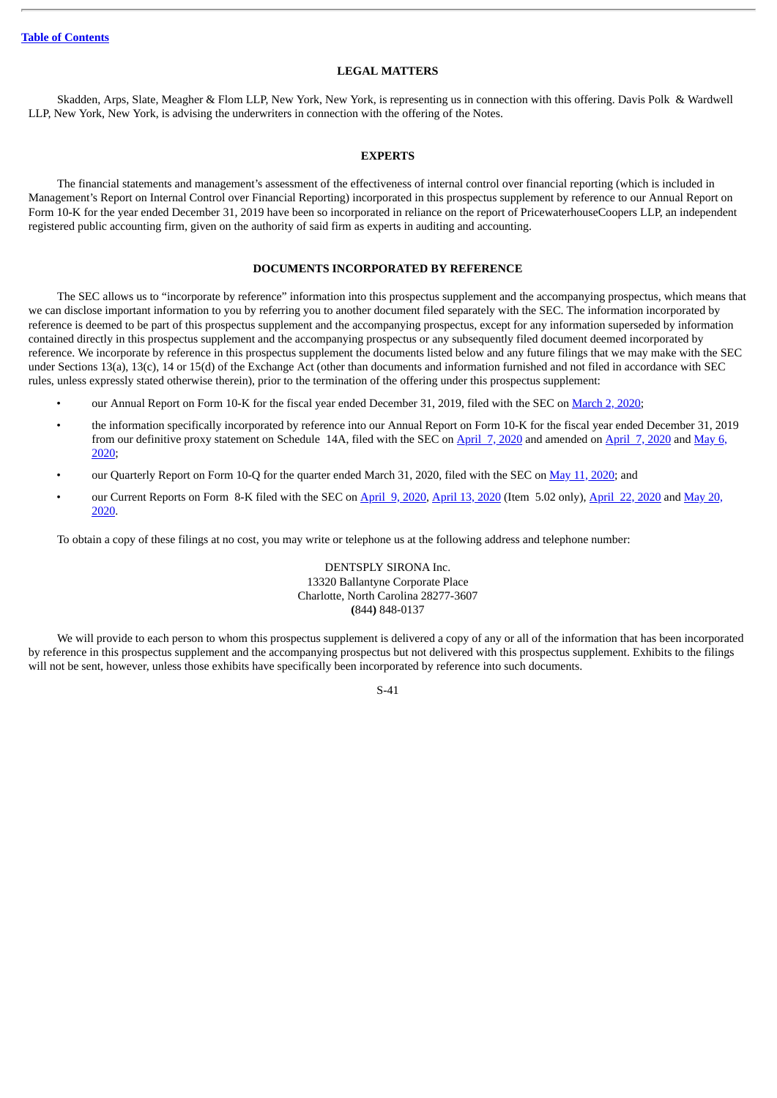#### **LEGAL MATTERS**

<span id="page-45-0"></span>Skadden, Arps, Slate, Meagher & Flom LLP, New York, New York, is representing us in connection with this offering. Davis Polk & Wardwell LLP, New York, New York, is advising the underwriters in connection with the offering of the Notes.

## **EXPERTS**

<span id="page-45-1"></span>The financial statements and management's assessment of the effectiveness of internal control over financial reporting (which is included in Management's Report on Internal Control over Financial Reporting) incorporated in this prospectus supplement by reference to our Annual Report on Form 10-K for the year ended December 31, 2019 have been so incorporated in reliance on the report of PricewaterhouseCoopers LLP, an independent registered public accounting firm, given on the authority of said firm as experts in auditing and accounting.

## **DOCUMENTS INCORPORATED BY REFERENCE**

<span id="page-45-2"></span>The SEC allows us to "incorporate by reference" information into this prospectus supplement and the accompanying prospectus, which means that we can disclose important information to you by referring you to another document filed separately with the SEC. The information incorporated by reference is deemed to be part of this prospectus supplement and the accompanying prospectus, except for any information superseded by information contained directly in this prospectus supplement and the accompanying prospectus or any subsequently filed document deemed incorporated by reference. We incorporate by reference in this prospectus supplement the documents listed below and any future filings that we may make with the SEC under Sections 13(a), 13(c), 14 or 15(d) of the Exchange Act (other than documents and information furnished and not filed in accordance with SEC rules, unless expressly stated otherwise therein), prior to the termination of the offering under this prospectus supplement:

- our Annual Report on Form 10-K for the fiscal year ended December 31, 2019, filed with the SEC on [March](http://www.sec.gov/ix?doc=/Archives/edgar/data/818479/000081847920000006/xray-20191231.htm) 2, 2020;
- the information specifically incorporated by reference into our Annual Report on Form 10-K for the fiscal year ended December 31, 2019 from our [definitive](http://www.sec.gov/Archives/edgar/data/818479/000119312520134414/d925994ddefa14a.htm) proxy statement on Schedule 14A, filed with the SEC on [April](http://www.sec.gov/Archives/edgar/data/818479/000119312520100463/d865047ddef14a.htm) 7, 2020 and amended on [April](http://www.sec.gov/Archives/edgar/data/818479/000119312520100468/d865047ddefa14a.htm) 7, 2020 and May 6, 2020;
- our Quarterly Report on Form 10-Q for the quarter ended March 31, [2020](http://www.sec.gov/ix?doc=/Archives/edgar/data/818479/000081847920000023/xray-20200331.htm), filed with the SEC on May 11, 2020; and
- our Current [Reports](http://www.sec.gov/ix?doc=/Archives/edgar/data/818479/000081847920000025/xray-20200520.htm) on Form 8-K filed with the SEC on [April](http://www.sec.gov/ix?doc=/Archives/edgar/data/818479/000081847920000017/xray-20200417.htm) 9, 2020, April 13, 2020 (Item 5.02 only), April 22, 2020 and May 20, 2020.

To obtain a copy of these filings at no cost, you may write or telephone us at the following address and telephone number:

## DENTSPLY SIRONA Inc. 13320 Ballantyne Corporate Place Charlotte, North Carolina 28277-3607 **(**844**)** 848-0137

We will provide to each person to whom this prospectus supplement is delivered a copy of any or all of the information that has been incorporated by reference in this prospectus supplement and the accompanying prospectus but not delivered with this prospectus supplement. Exhibits to the filings will not be sent, however, unless those exhibits have specifically been incorporated by reference into such documents.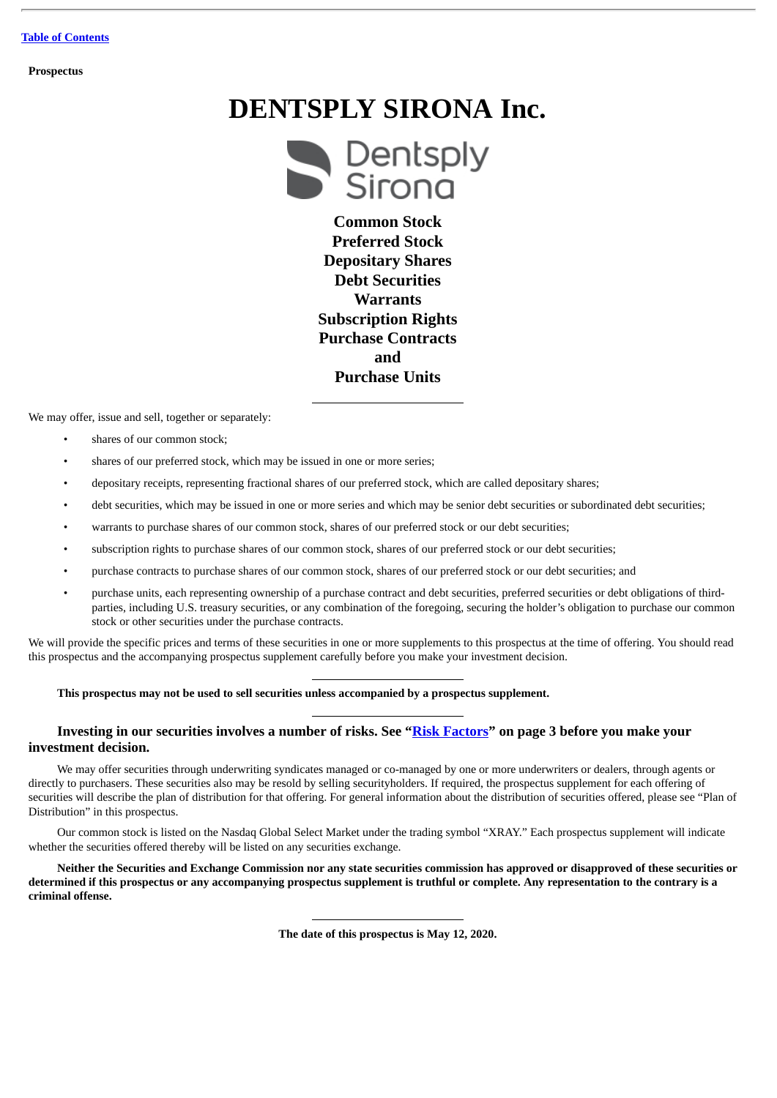**Prospectus**

# **DENTSPLY SIRONA Inc.**



**Common Stock Preferred Stock Depositary Shares Debt Securities Warrants Subscription Rights Purchase Contracts and Purchase Units**

We may offer, issue and sell, together or separately:

- shares of our common stock;
- shares of our preferred stock, which may be issued in one or more series;
- depositary receipts, representing fractional shares of our preferred stock, which are called depositary shares;
- debt securities, which may be issued in one or more series and which may be senior debt securities or subordinated debt securities;
- warrants to purchase shares of our common stock, shares of our preferred stock or our debt securities;
- subscription rights to purchase shares of our common stock, shares of our preferred stock or our debt securities;
- purchase contracts to purchase shares of our common stock, shares of our preferred stock or our debt securities; and
- purchase units, each representing ownership of a purchase contract and debt securities, preferred securities or debt obligations of thirdparties, including U.S. treasury securities, or any combination of the foregoing, securing the holder's obligation to purchase our common stock or other securities under the purchase contracts.

We will provide the specific prices and terms of these securities in one or more supplements to this prospectus at the time of offering. You should read this prospectus and the accompanying prospectus supplement carefully before you make your investment decision.

## **This prospectus may not be used to sell securities unless accompanied by a prospectus supplement.**

## **Investing in our securities involves a number of risks. See "[Risk Factors](#page-50-2)" on page 3 before you make your investment decision.**

We may offer securities through underwriting syndicates managed or co-managed by one or more underwriters or dealers, through agents or directly to purchasers. These securities also may be resold by selling securityholders. If required, the prospectus supplement for each offering of securities will describe the plan of distribution for that offering. For general information about the distribution of securities offered, please see "Plan of Distribution" in this prospectus.

Our common stock is listed on the Nasdaq Global Select Market under the trading symbol "XRAY." Each prospectus supplement will indicate whether the securities offered thereby will be listed on any securities exchange.

Neither the Securities and Exchange Commission nor any state securities commission has approved or disapproved of these securities or determined if this prospectus or any accompanying prospectus supplement is truthful or complete. Any representation to the contrary is a **criminal offense.**

**The date of this prospectus is May 12, 2020.**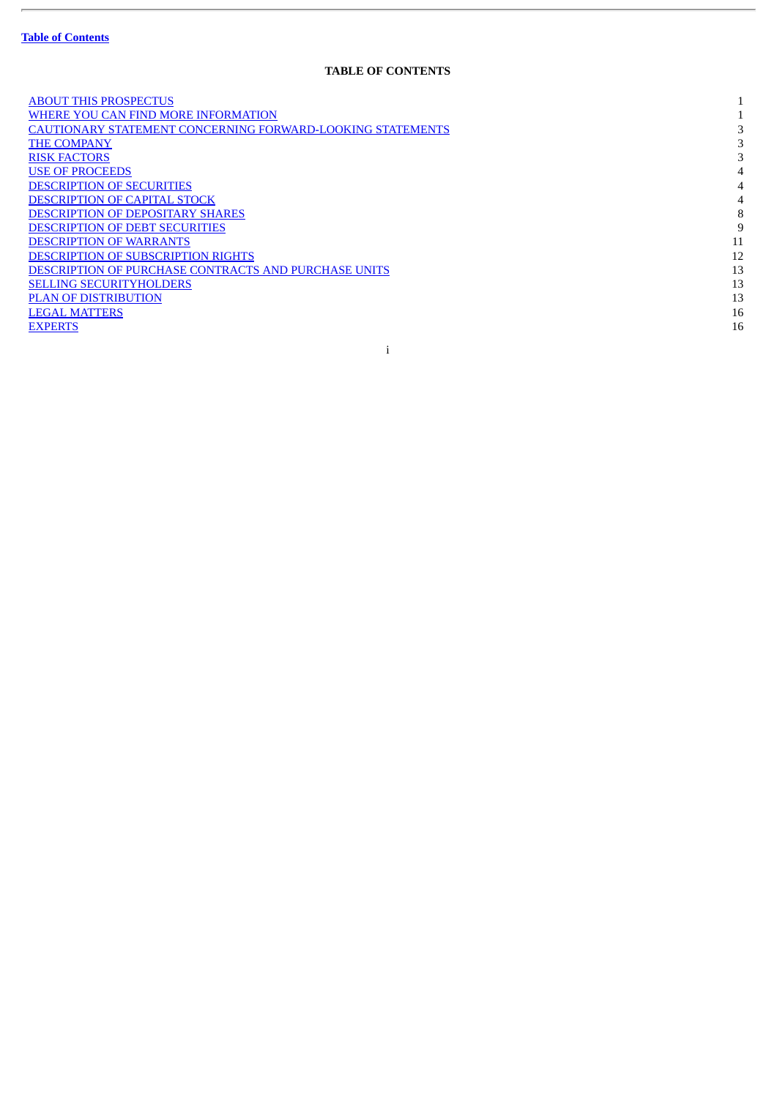$\overline{a}$ 

## **TABLE OF CONTENTS**

| <b>ABOUT THIS PROSPECTUS</b>                                      |    |
|-------------------------------------------------------------------|----|
| WHERE YOU CAN FIND MORE INFORMATION                               |    |
| <b>CAUTIONARY STATEMENT CONCERNING FORWARD-LOOKING STATEMENTS</b> |    |
| <b>THE COMPANY</b>                                                |    |
| <b>RISK FACTORS</b>                                               |    |
| <b>USE OF PROCEEDS</b>                                            |    |
| <b>DESCRIPTION OF SECURITIES</b>                                  |    |
| <b>DESCRIPTION OF CAPITAL STOCK</b>                               |    |
| <b>DESCRIPTION OF DEPOSITARY SHARES</b>                           | 8  |
| <b>DESCRIPTION OF DEBT SECURITIES</b>                             | 9  |
| <b>DESCRIPTION OF WARRANTS</b>                                    | 11 |
| <b>DESCRIPTION OF SUBSCRIPTION RIGHTS</b>                         | 12 |
| <b>DESCRIPTION OF PURCHASE CONTRACTS AND PURCHASE UNITS</b>       | 13 |
| <b>SELLING SECURITYHOLDERS</b>                                    | 13 |
| <b>PLAN OF DISTRIBUTION</b>                                       | 13 |
| <b>LEGAL MATTERS</b>                                              | 16 |
| <b>EXPERTS</b>                                                    | 16 |

i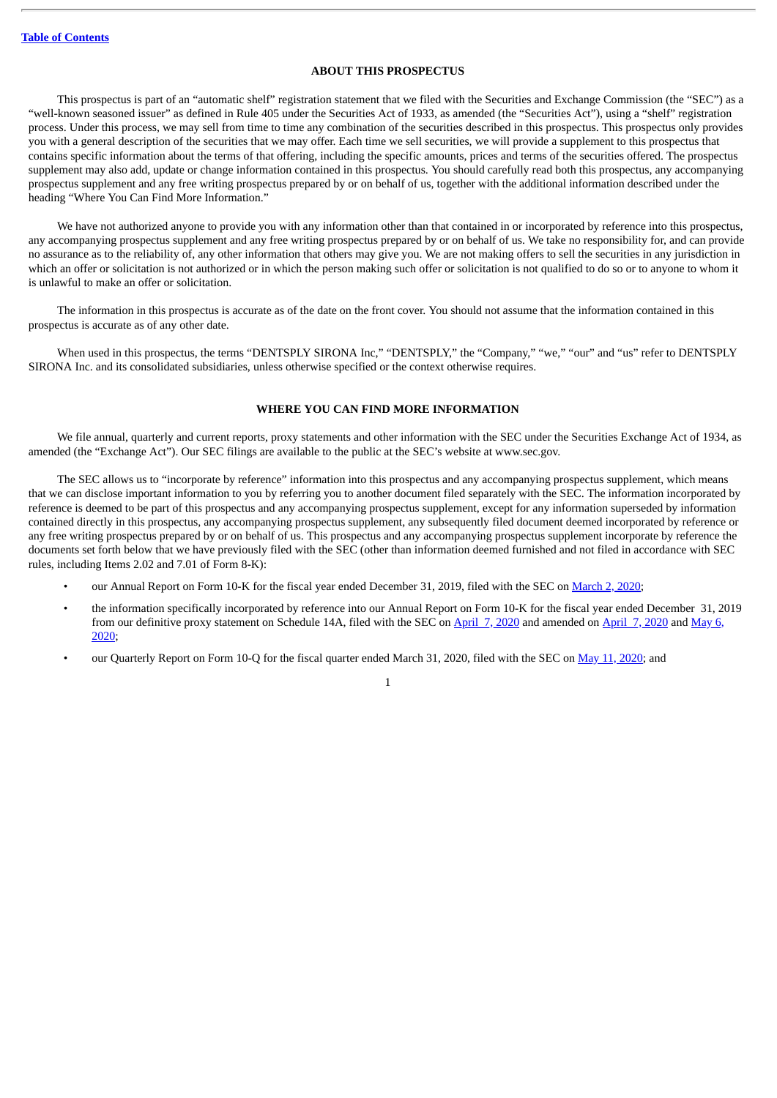## **ABOUT THIS PROSPECTUS**

<span id="page-48-0"></span>This prospectus is part of an "automatic shelf" registration statement that we filed with the Securities and Exchange Commission (the "SEC") as a "well-known seasoned issuer" as defined in Rule 405 under the Securities Act of 1933, as amended (the "Securities Act"), using a "shelf" registration process. Under this process, we may sell from time to time any combination of the securities described in this prospectus. This prospectus only provides you with a general description of the securities that we may offer. Each time we sell securities, we will provide a supplement to this prospectus that contains specific information about the terms of that offering, including the specific amounts, prices and terms of the securities offered. The prospectus supplement may also add, update or change information contained in this prospectus. You should carefully read both this prospectus, any accompanying prospectus supplement and any free writing prospectus prepared by or on behalf of us, together with the additional information described under the heading "Where You Can Find More Information."

We have not authorized anyone to provide you with any information other than that contained in or incorporated by reference into this prospectus, any accompanying prospectus supplement and any free writing prospectus prepared by or on behalf of us. We take no responsibility for, and can provide no assurance as to the reliability of, any other information that others may give you. We are not making offers to sell the securities in any jurisdiction in which an offer or solicitation is not authorized or in which the person making such offer or solicitation is not qualified to do so or to anyone to whom it is unlawful to make an offer or solicitation.

The information in this prospectus is accurate as of the date on the front cover. You should not assume that the information contained in this prospectus is accurate as of any other date.

When used in this prospectus, the terms "DENTSPLY SIRONA Inc," "DENTSPLY," the "Company," "we," "our" and "us" refer to DENTSPLY SIRONA Inc. and its consolidated subsidiaries, unless otherwise specified or the context otherwise requires.

## **WHERE YOU CAN FIND MORE INFORMATION**

<span id="page-48-1"></span>We file annual, quarterly and current reports, proxy statements and other information with the SEC under the Securities Exchange Act of 1934, as amended (the "Exchange Act"). Our SEC filings are available to the public at the SEC's website at www.sec.gov.

The SEC allows us to "incorporate by reference" information into this prospectus and any accompanying prospectus supplement, which means that we can disclose important information to you by referring you to another document filed separately with the SEC. The information incorporated by reference is deemed to be part of this prospectus and any accompanying prospectus supplement, except for any information superseded by information contained directly in this prospectus, any accompanying prospectus supplement, any subsequently filed document deemed incorporated by reference or any free writing prospectus prepared by or on behalf of us. This prospectus and any accompanying prospectus supplement incorporate by reference the documents set forth below that we have previously filed with the SEC (other than information deemed furnished and not filed in accordance with SEC rules, including Items 2.02 and 7.01 of Form 8-K):

- our Annual Report on Form 10-K for the fiscal year ended December 31, 2019, filed with the SEC on [March](http://www.sec.gov/ix?doc=/Archives/edgar/data/818479/000081847920000006/xray-20191231.htm) 2, 2020;
- the information specifically incorporated by reference into our Annual Report on Form 10-K for the fiscal year ended December 31, 2019 from our [definitive](http://www.sec.gov/Archives/edgar/data/818479/000119312520134414/d925994ddefa14a.htm) proxy statement on Schedule 14A, filed with the SEC on [April](http://www.sec.gov/Archives/edgar/data/818479/000119312520100468/d865047ddefa14a.htm) 7, 2020 and amended on April 7, 2020 and May 6, 2020;
- our Quarterly Report on Form 10-Q for the fiscal quarter ended March 31, 2020, filed with the SEC on May 11, [2020;](http://www.sec.gov/ix?doc=/Archives/edgar/data/818479/000081847920000023/xray-20200331.htm) and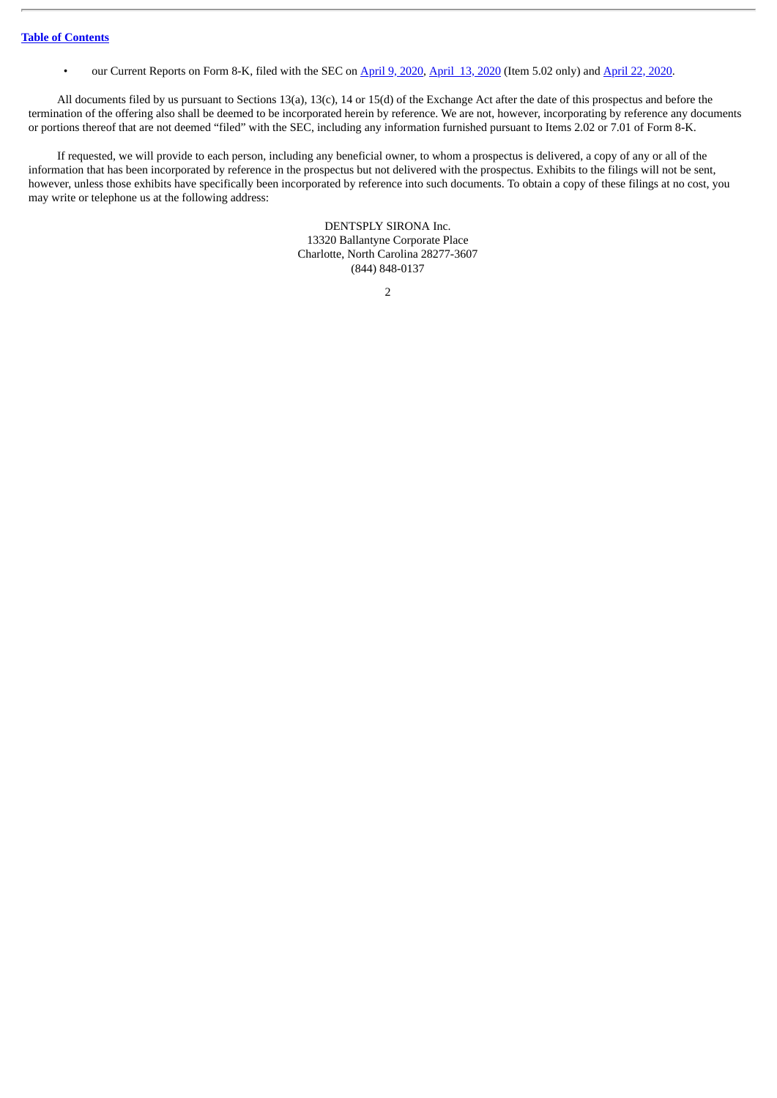• our Current Reports on Form 8-K, filed with the SEC on [April](http://www.sec.gov/ix?doc=/Archives/edgar/data/818479/000081847920000017/xray-20200417.htm) 9, 2020, April 13, 2020 (Item 5.02 only) and April 22, 2020.

All documents filed by us pursuant to Sections 13(a), 13(c), 14 or 15(d) of the Exchange Act after the date of this prospectus and before the termination of the offering also shall be deemed to be incorporated herein by reference. We are not, however, incorporating by reference any documents or portions thereof that are not deemed "filed" with the SEC, including any information furnished pursuant to Items 2.02 or 7.01 of Form 8-K.

If requested, we will provide to each person, including any beneficial owner, to whom a prospectus is delivered, a copy of any or all of the information that has been incorporated by reference in the prospectus but not delivered with the prospectus. Exhibits to the filings will not be sent, however, unless those exhibits have specifically been incorporated by reference into such documents. To obtain a copy of these filings at no cost, you may write or telephone us at the following address:

> DENTSPLY SIRONA Inc. 13320 Ballantyne Corporate Place Charlotte, North Carolina 28277-3607 (844) 848-0137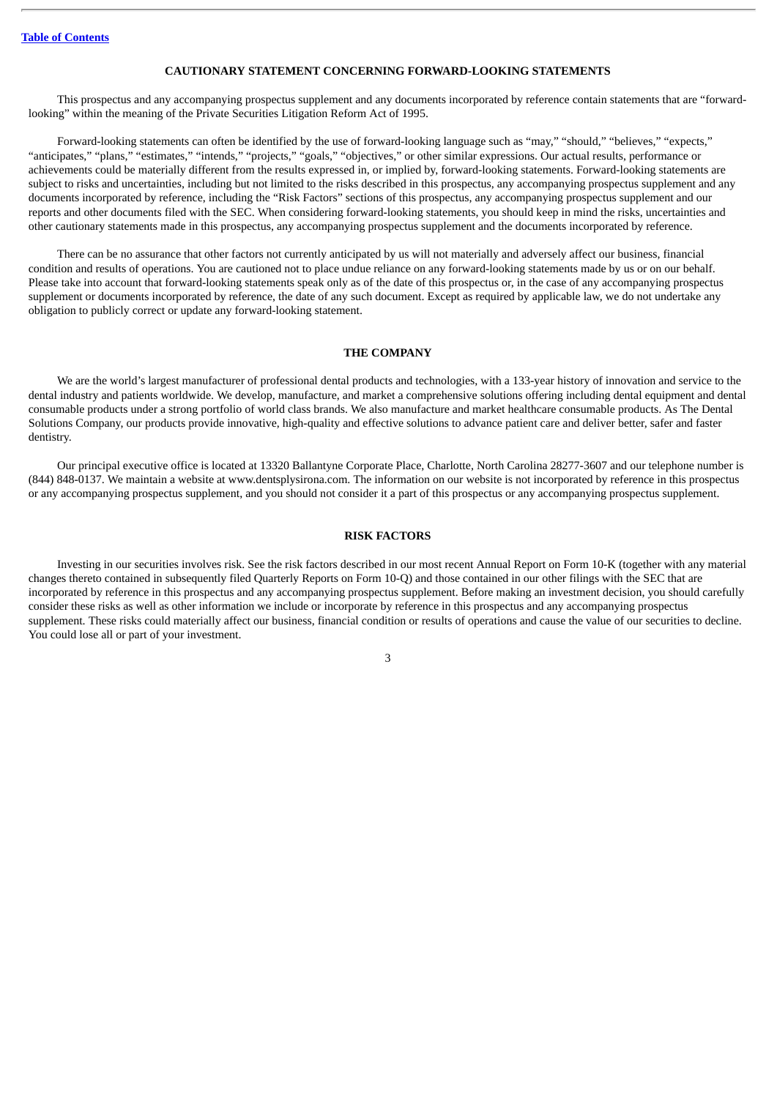#### **CAUTIONARY STATEMENT CONCERNING FORWARD-LOOKING STATEMENTS**

<span id="page-50-0"></span>This prospectus and any accompanying prospectus supplement and any documents incorporated by reference contain statements that are "forwardlooking" within the meaning of the Private Securities Litigation Reform Act of 1995.

Forward-looking statements can often be identified by the use of forward-looking language such as "may," "should," "believes," "expects," "anticipates," "plans," "estimates," "intends," "projects," "goals," "objectives," or other similar expressions. Our actual results, performance or achievements could be materially different from the results expressed in, or implied by, forward-looking statements. Forward-looking statements are subject to risks and uncertainties, including but not limited to the risks described in this prospectus, any accompanying prospectus supplement and any documents incorporated by reference, including the "Risk Factors" sections of this prospectus, any accompanying prospectus supplement and our reports and other documents filed with the SEC. When considering forward-looking statements, you should keep in mind the risks, uncertainties and other cautionary statements made in this prospectus, any accompanying prospectus supplement and the documents incorporated by reference.

There can be no assurance that other factors not currently anticipated by us will not materially and adversely affect our business, financial condition and results of operations. You are cautioned not to place undue reliance on any forward-looking statements made by us or on our behalf. Please take into account that forward-looking statements speak only as of the date of this prospectus or, in the case of any accompanying prospectus supplement or documents incorporated by reference, the date of any such document. Except as required by applicable law, we do not undertake any obligation to publicly correct or update any forward-looking statement.

## **THE COMPANY**

<span id="page-50-1"></span>We are the world's largest manufacturer of professional dental products and technologies, with a 133-year history of innovation and service to the dental industry and patients worldwide. We develop, manufacture, and market a comprehensive solutions offering including dental equipment and dental consumable products under a strong portfolio of world class brands. We also manufacture and market healthcare consumable products. As The Dental Solutions Company, our products provide innovative, high-quality and effective solutions to advance patient care and deliver better, safer and faster dentistry.

Our principal executive office is located at 13320 Ballantyne Corporate Place, Charlotte, North Carolina 28277-3607 and our telephone number is (844) 848-0137. We maintain a website at www.dentsplysirona.com. The information on our website is not incorporated by reference in this prospectus or any accompanying prospectus supplement, and you should not consider it a part of this prospectus or any accompanying prospectus supplement.

## **RISK FACTORS**

<span id="page-50-2"></span>Investing in our securities involves risk. See the risk factors described in our most recent Annual Report on Form 10-K (together with any material changes thereto contained in subsequently filed Quarterly Reports on Form 10-Q) and those contained in our other filings with the SEC that are incorporated by reference in this prospectus and any accompanying prospectus supplement. Before making an investment decision, you should carefully consider these risks as well as other information we include or incorporate by reference in this prospectus and any accompanying prospectus supplement. These risks could materially affect our business, financial condition or results of operations and cause the value of our securities to decline. You could lose all or part of your investment.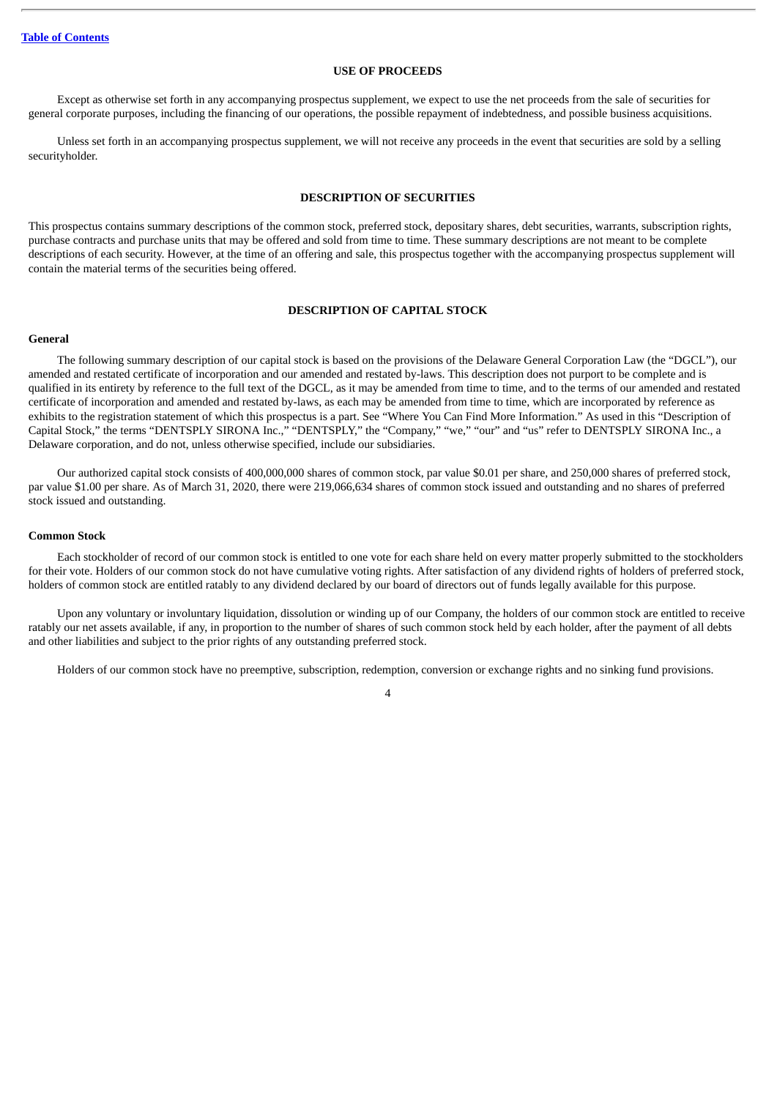## **USE OF PROCEEDS**

<span id="page-51-0"></span>Except as otherwise set forth in any accompanying prospectus supplement, we expect to use the net proceeds from the sale of securities for general corporate purposes, including the financing of our operations, the possible repayment of indebtedness, and possible business acquisitions.

Unless set forth in an accompanying prospectus supplement, we will not receive any proceeds in the event that securities are sold by a selling securityholder.

#### **DESCRIPTION OF SECURITIES**

<span id="page-51-1"></span>This prospectus contains summary descriptions of the common stock, preferred stock, depositary shares, debt securities, warrants, subscription rights, purchase contracts and purchase units that may be offered and sold from time to time. These summary descriptions are not meant to be complete descriptions of each security. However, at the time of an offering and sale, this prospectus together with the accompanying prospectus supplement will contain the material terms of the securities being offered.

#### **DESCRIPTION OF CAPITAL STOCK**

#### <span id="page-51-2"></span>**General**

The following summary description of our capital stock is based on the provisions of the Delaware General Corporation Law (the "DGCL"), our amended and restated certificate of incorporation and our amended and restated by-laws. This description does not purport to be complete and is qualified in its entirety by reference to the full text of the DGCL, as it may be amended from time to time, and to the terms of our amended and restated certificate of incorporation and amended and restated by-laws, as each may be amended from time to time, which are incorporated by reference as exhibits to the registration statement of which this prospectus is a part. See "Where You Can Find More Information." As used in this "Description of Capital Stock," the terms "DENTSPLY SIRONA Inc.," "DENTSPLY," the "Company," "we," "our" and "us" refer to DENTSPLY SIRONA Inc., a Delaware corporation, and do not, unless otherwise specified, include our subsidiaries.

Our authorized capital stock consists of 400,000,000 shares of common stock, par value \$0.01 per share, and 250,000 shares of preferred stock, par value \$1.00 per share. As of March 31, 2020, there were 219,066,634 shares of common stock issued and outstanding and no shares of preferred stock issued and outstanding.

## **Common Stock**

Each stockholder of record of our common stock is entitled to one vote for each share held on every matter properly submitted to the stockholders for their vote. Holders of our common stock do not have cumulative voting rights. After satisfaction of any dividend rights of holders of preferred stock, holders of common stock are entitled ratably to any dividend declared by our board of directors out of funds legally available for this purpose.

Upon any voluntary or involuntary liquidation, dissolution or winding up of our Company, the holders of our common stock are entitled to receive ratably our net assets available, if any, in proportion to the number of shares of such common stock held by each holder, after the payment of all debts and other liabilities and subject to the prior rights of any outstanding preferred stock.

Holders of our common stock have no preemptive, subscription, redemption, conversion or exchange rights and no sinking fund provisions.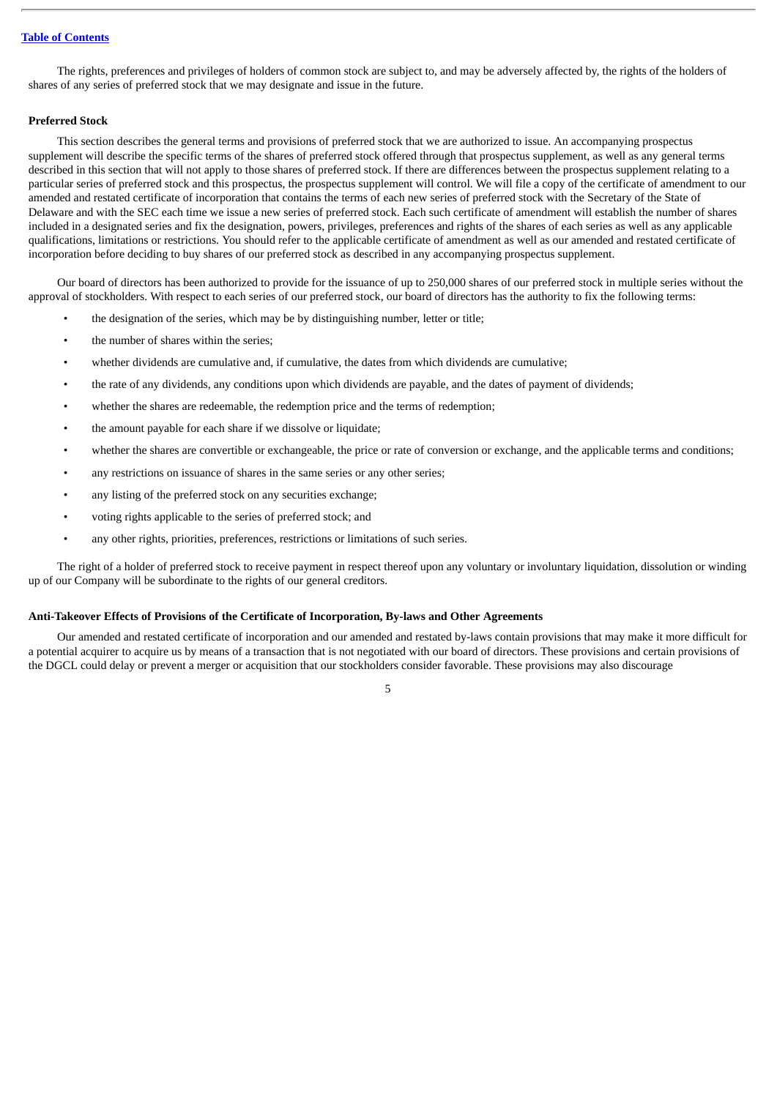The rights, preferences and privileges of holders of common stock are subject to, and may be adversely affected by, the rights of the holders of shares of any series of preferred stock that we may designate and issue in the future.

#### **Preferred Stock**

This section describes the general terms and provisions of preferred stock that we are authorized to issue. An accompanying prospectus supplement will describe the specific terms of the shares of preferred stock offered through that prospectus supplement, as well as any general terms described in this section that will not apply to those shares of preferred stock. If there are differences between the prospectus supplement relating to a particular series of preferred stock and this prospectus, the prospectus supplement will control. We will file a copy of the certificate of amendment to our amended and restated certificate of incorporation that contains the terms of each new series of preferred stock with the Secretary of the State of Delaware and with the SEC each time we issue a new series of preferred stock. Each such certificate of amendment will establish the number of shares included in a designated series and fix the designation, powers, privileges, preferences and rights of the shares of each series as well as any applicable qualifications, limitations or restrictions. You should refer to the applicable certificate of amendment as well as our amended and restated certificate of incorporation before deciding to buy shares of our preferred stock as described in any accompanying prospectus supplement.

Our board of directors has been authorized to provide for the issuance of up to 250,000 shares of our preferred stock in multiple series without the approval of stockholders. With respect to each series of our preferred stock, our board of directors has the authority to fix the following terms:

- the designation of the series, which may be by distinguishing number, letter or title;
- the number of shares within the series;
- whether dividends are cumulative and, if cumulative, the dates from which dividends are cumulative;
- the rate of any dividends, any conditions upon which dividends are payable, and the dates of payment of dividends;
- whether the shares are redeemable, the redemption price and the terms of redemption;
- the amount payable for each share if we dissolve or liquidate;
- whether the shares are convertible or exchangeable, the price or rate of conversion or exchange, and the applicable terms and conditions;
- any restrictions on issuance of shares in the same series or any other series;
- any listing of the preferred stock on any securities exchange;
- voting rights applicable to the series of preferred stock; and
- any other rights, priorities, preferences, restrictions or limitations of such series.

The right of a holder of preferred stock to receive payment in respect thereof upon any voluntary or involuntary liquidation, dissolution or winding up of our Company will be subordinate to the rights of our general creditors.

## **Anti-Takeover Effects of Provisions of the Certificate of Incorporation, By-laws and Other Agreements**

Our amended and restated certificate of incorporation and our amended and restated by-laws contain provisions that may make it more difficult for a potential acquirer to acquire us by means of a transaction that is not negotiated with our board of directors. These provisions and certain provisions of the DGCL could delay or prevent a merger or acquisition that our stockholders consider favorable. These provisions may also discourage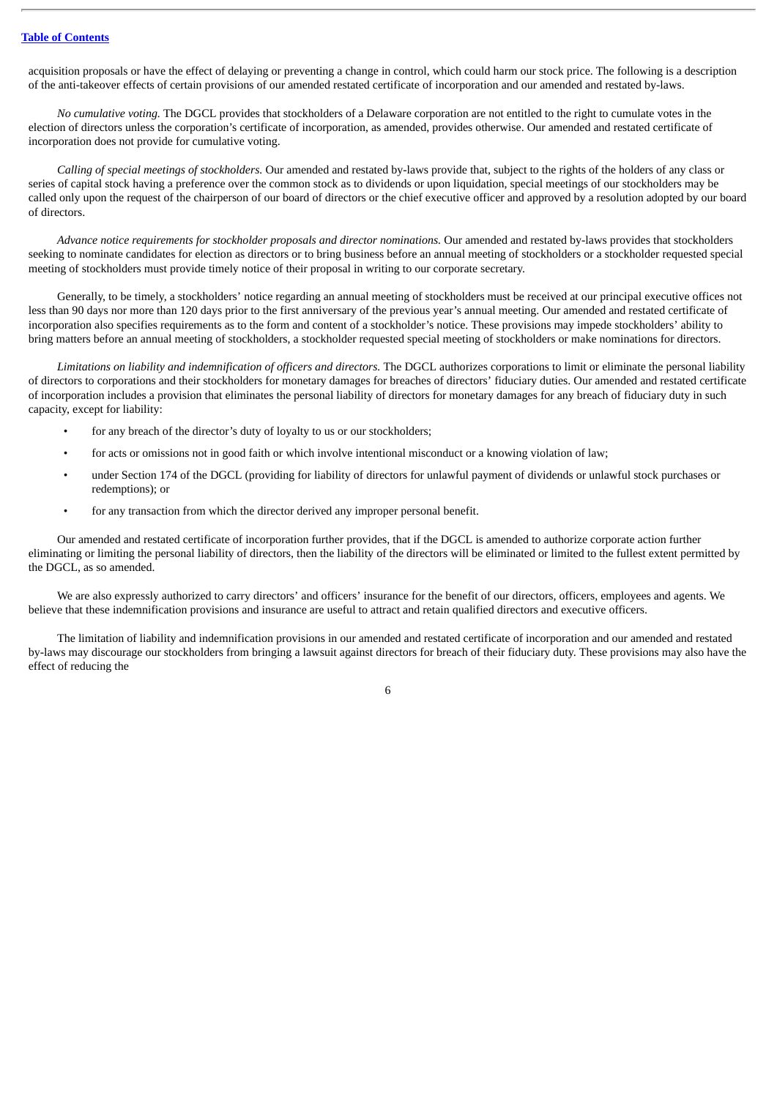acquisition proposals or have the effect of delaying or preventing a change in control, which could harm our stock price. The following is a description of the anti-takeover effects of certain provisions of our amended restated certificate of incorporation and our amended and restated by-laws.

*No cumulative voting.* The DGCL provides that stockholders of a Delaware corporation are not entitled to the right to cumulate votes in the election of directors unless the corporation's certificate of incorporation, as amended, provides otherwise. Our amended and restated certificate of incorporation does not provide for cumulative voting.

*Calling of special meetings of stockholders.* Our amended and restated by-laws provide that, subject to the rights of the holders of any class or series of capital stock having a preference over the common stock as to dividends or upon liquidation, special meetings of our stockholders may be called only upon the request of the chairperson of our board of directors or the chief executive officer and approved by a resolution adopted by our board of directors.

*Advance notice requirements for stockholder proposals and director nominations.* Our amended and restated by-laws provides that stockholders seeking to nominate candidates for election as directors or to bring business before an annual meeting of stockholders or a stockholder requested special meeting of stockholders must provide timely notice of their proposal in writing to our corporate secretary.

Generally, to be timely, a stockholders' notice regarding an annual meeting of stockholders must be received at our principal executive offices not less than 90 days nor more than 120 days prior to the first anniversary of the previous year's annual meeting. Our amended and restated certificate of incorporation also specifies requirements as to the form and content of a stockholder's notice. These provisions may impede stockholders' ability to bring matters before an annual meeting of stockholders, a stockholder requested special meeting of stockholders or make nominations for directors.

*Limitations on liability and indemnification of officers and directors.* The DGCL authorizes corporations to limit or eliminate the personal liability of directors to corporations and their stockholders for monetary damages for breaches of directors' fiduciary duties. Our amended and restated certificate of incorporation includes a provision that eliminates the personal liability of directors for monetary damages for any breach of fiduciary duty in such capacity, except for liability:

- for any breach of the director's duty of loyalty to us or our stockholders;
- for acts or omissions not in good faith or which involve intentional misconduct or a knowing violation of law;
- under Section 174 of the DGCL (providing for liability of directors for unlawful payment of dividends or unlawful stock purchases or redemptions); or
- for any transaction from which the director derived any improper personal benefit.

Our amended and restated certificate of incorporation further provides, that if the DGCL is amended to authorize corporate action further eliminating or limiting the personal liability of directors, then the liability of the directors will be eliminated or limited to the fullest extent permitted by the DGCL, as so amended.

We are also expressly authorized to carry directors' and officers' insurance for the benefit of our directors, officers, employees and agents. We believe that these indemnification provisions and insurance are useful to attract and retain qualified directors and executive officers.

The limitation of liability and indemnification provisions in our amended and restated certificate of incorporation and our amended and restated by-laws may discourage our stockholders from bringing a lawsuit against directors for breach of their fiduciary duty. These provisions may also have the effect of reducing the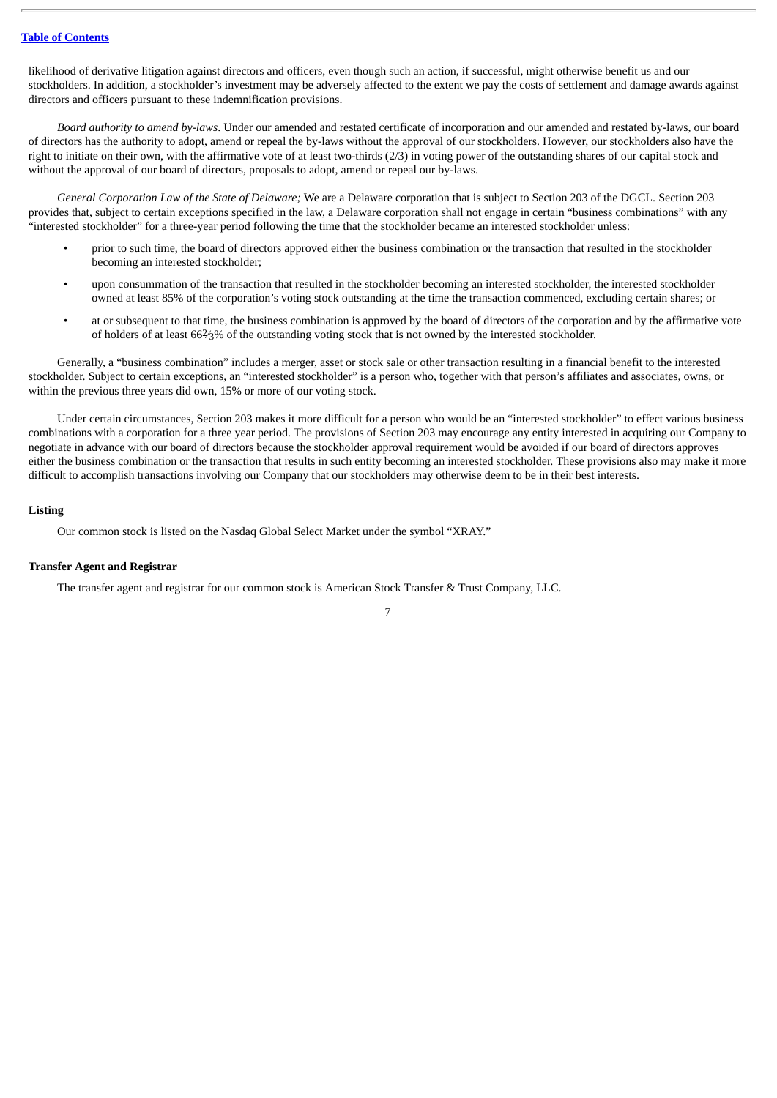likelihood of derivative litigation against directors and officers, even though such an action, if successful, might otherwise benefit us and our stockholders. In addition, a stockholder's investment may be adversely affected to the extent we pay the costs of settlement and damage awards against directors and officers pursuant to these indemnification provisions.

*Board authority to amend by-laws*. Under our amended and restated certificate of incorporation and our amended and restated by-laws, our board of directors has the authority to adopt, amend or repeal the by-laws without the approval of our stockholders. However, our stockholders also have the right to initiate on their own, with the affirmative vote of at least two-thirds (2/3) in voting power of the outstanding shares of our capital stock and without the approval of our board of directors, proposals to adopt, amend or repeal our by-laws.

*General Corporation Law of the State of Delaware;* We are a Delaware corporation that is subject to Section 203 of the DGCL. Section 203 provides that, subject to certain exceptions specified in the law, a Delaware corporation shall not engage in certain "business combinations" with any "interested stockholder" for a three-year period following the time that the stockholder became an interested stockholder unless:

- prior to such time, the board of directors approved either the business combination or the transaction that resulted in the stockholder becoming an interested stockholder;
- upon consummation of the transaction that resulted in the stockholder becoming an interested stockholder, the interested stockholder owned at least 85% of the corporation's voting stock outstanding at the time the transaction commenced, excluding certain shares; or
- at or subsequent to that time, the business combination is approved by the board of directors of the corporation and by the affirmative vote of holders of at least 662⁄3% of the outstanding voting stock that is not owned by the interested stockholder.

Generally, a "business combination" includes a merger, asset or stock sale or other transaction resulting in a financial benefit to the interested stockholder. Subject to certain exceptions, an "interested stockholder" is a person who, together with that person's affiliates and associates, owns, or within the previous three years did own, 15% or more of our voting stock.

Under certain circumstances, Section 203 makes it more difficult for a person who would be an "interested stockholder" to effect various business combinations with a corporation for a three year period. The provisions of Section 203 may encourage any entity interested in acquiring our Company to negotiate in advance with our board of directors because the stockholder approval requirement would be avoided if our board of directors approves either the business combination or the transaction that results in such entity becoming an interested stockholder. These provisions also may make it more difficult to accomplish transactions involving our Company that our stockholders may otherwise deem to be in their best interests.

## **Listing**

Our common stock is listed on the Nasdaq Global Select Market under the symbol "XRAY."

## **Transfer Agent and Registrar**

The transfer agent and registrar for our common stock is American Stock Transfer & Trust Company, LLC.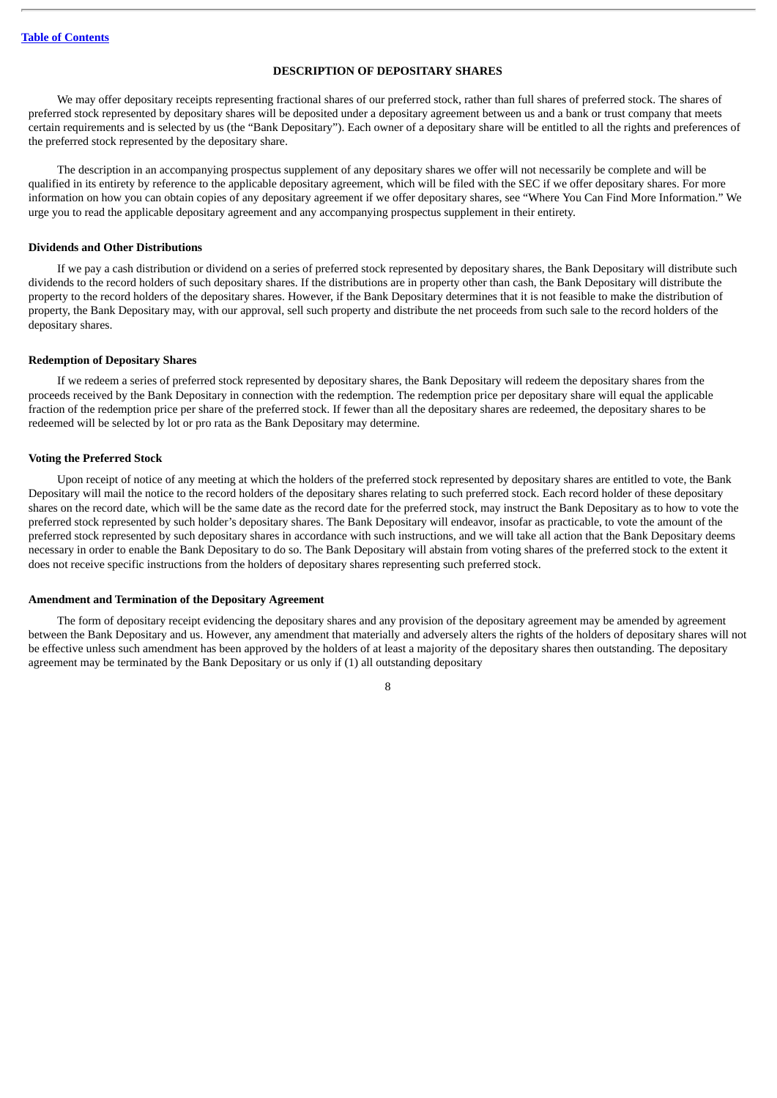## **DESCRIPTION OF DEPOSITARY SHARES**

<span id="page-55-0"></span>We may offer depositary receipts representing fractional shares of our preferred stock, rather than full shares of preferred stock. The shares of preferred stock represented by depositary shares will be deposited under a depositary agreement between us and a bank or trust company that meets certain requirements and is selected by us (the "Bank Depositary"). Each owner of a depositary share will be entitled to all the rights and preferences of the preferred stock represented by the depositary share.

The description in an accompanying prospectus supplement of any depositary shares we offer will not necessarily be complete and will be qualified in its entirety by reference to the applicable depositary agreement, which will be filed with the SEC if we offer depositary shares. For more information on how you can obtain copies of any depositary agreement if we offer depositary shares, see "Where You Can Find More Information." We urge you to read the applicable depositary agreement and any accompanying prospectus supplement in their entirety.

#### **Dividends and Other Distributions**

If we pay a cash distribution or dividend on a series of preferred stock represented by depositary shares, the Bank Depositary will distribute such dividends to the record holders of such depositary shares. If the distributions are in property other than cash, the Bank Depositary will distribute the property to the record holders of the depositary shares. However, if the Bank Depositary determines that it is not feasible to make the distribution of property, the Bank Depositary may, with our approval, sell such property and distribute the net proceeds from such sale to the record holders of the depositary shares.

## **Redemption of Depositary Shares**

If we redeem a series of preferred stock represented by depositary shares, the Bank Depositary will redeem the depositary shares from the proceeds received by the Bank Depositary in connection with the redemption. The redemption price per depositary share will equal the applicable fraction of the redemption price per share of the preferred stock. If fewer than all the depositary shares are redeemed, the depositary shares to be redeemed will be selected by lot or pro rata as the Bank Depositary may determine.

#### **Voting the Preferred Stock**

Upon receipt of notice of any meeting at which the holders of the preferred stock represented by depositary shares are entitled to vote, the Bank Depositary will mail the notice to the record holders of the depositary shares relating to such preferred stock. Each record holder of these depositary shares on the record date, which will be the same date as the record date for the preferred stock, may instruct the Bank Depositary as to how to vote the preferred stock represented by such holder's depositary shares. The Bank Depositary will endeavor, insofar as practicable, to vote the amount of the preferred stock represented by such depositary shares in accordance with such instructions, and we will take all action that the Bank Depositary deems necessary in order to enable the Bank Depositary to do so. The Bank Depositary will abstain from voting shares of the preferred stock to the extent it does not receive specific instructions from the holders of depositary shares representing such preferred stock.

#### **Amendment and Termination of the Depositary Agreement**

The form of depositary receipt evidencing the depositary shares and any provision of the depositary agreement may be amended by agreement between the Bank Depositary and us. However, any amendment that materially and adversely alters the rights of the holders of depositary shares will not be effective unless such amendment has been approved by the holders of at least a majority of the depositary shares then outstanding. The depositary agreement may be terminated by the Bank Depositary or us only if (1) all outstanding depositary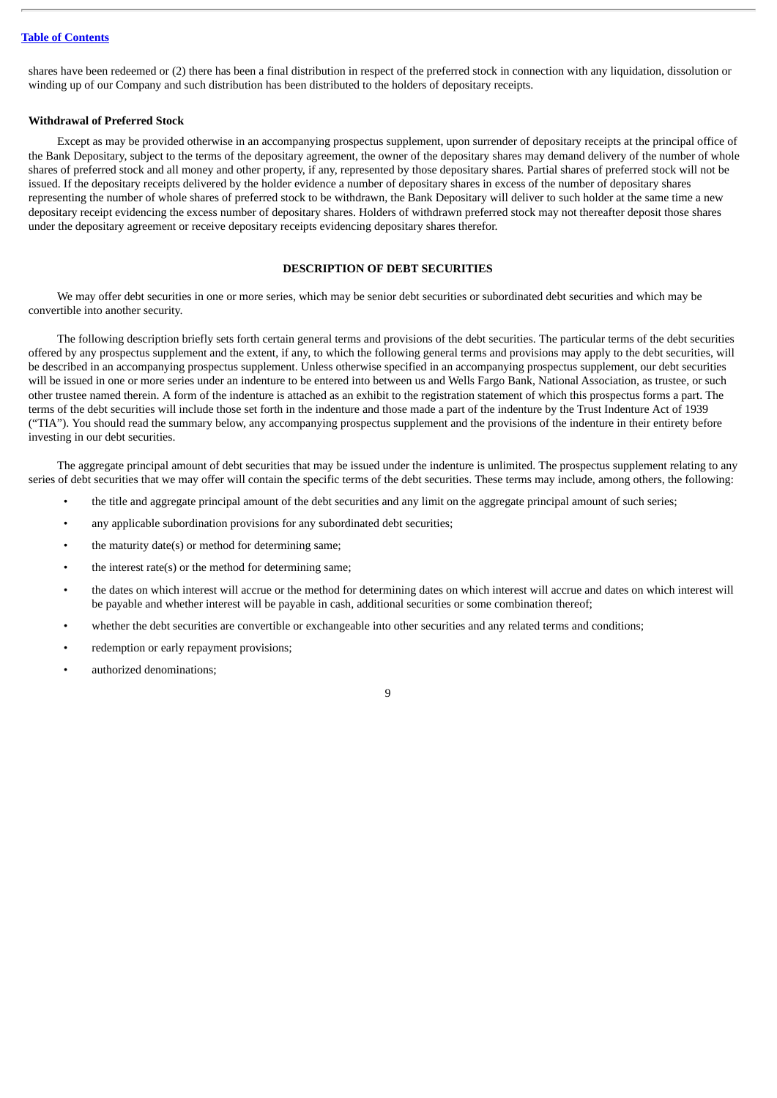shares have been redeemed or (2) there has been a final distribution in respect of the preferred stock in connection with any liquidation, dissolution or winding up of our Company and such distribution has been distributed to the holders of depositary receipts.

#### **Withdrawal of Preferred Stock**

Except as may be provided otherwise in an accompanying prospectus supplement, upon surrender of depositary receipts at the principal office of the Bank Depositary, subject to the terms of the depositary agreement, the owner of the depositary shares may demand delivery of the number of whole shares of preferred stock and all money and other property, if any, represented by those depositary shares. Partial shares of preferred stock will not be issued. If the depositary receipts delivered by the holder evidence a number of depositary shares in excess of the number of depositary shares representing the number of whole shares of preferred stock to be withdrawn, the Bank Depositary will deliver to such holder at the same time a new depositary receipt evidencing the excess number of depositary shares. Holders of withdrawn preferred stock may not thereafter deposit those shares under the depositary agreement or receive depositary receipts evidencing depositary shares therefor.

## **DESCRIPTION OF DEBT SECURITIES**

<span id="page-56-0"></span>We may offer debt securities in one or more series, which may be senior debt securities or subordinated debt securities and which may be convertible into another security.

The following description briefly sets forth certain general terms and provisions of the debt securities. The particular terms of the debt securities offered by any prospectus supplement and the extent, if any, to which the following general terms and provisions may apply to the debt securities, will be described in an accompanying prospectus supplement. Unless otherwise specified in an accompanying prospectus supplement, our debt securities will be issued in one or more series under an indenture to be entered into between us and Wells Fargo Bank, National Association, as trustee, or such other trustee named therein. A form of the indenture is attached as an exhibit to the registration statement of which this prospectus forms a part. The terms of the debt securities will include those set forth in the indenture and those made a part of the indenture by the Trust Indenture Act of 1939 ("TIA"). You should read the summary below, any accompanying prospectus supplement and the provisions of the indenture in their entirety before investing in our debt securities.

The aggregate principal amount of debt securities that may be issued under the indenture is unlimited. The prospectus supplement relating to any series of debt securities that we may offer will contain the specific terms of the debt securities. These terms may include, among others, the following:

- the title and aggregate principal amount of the debt securities and any limit on the aggregate principal amount of such series;
- any applicable subordination provisions for any subordinated debt securities;
- the maturity date(s) or method for determining same;
- the interest rate(s) or the method for determining same;
- the dates on which interest will accrue or the method for determining dates on which interest will accrue and dates on which interest will be payable and whether interest will be payable in cash, additional securities or some combination thereof;
- whether the debt securities are convertible or exchangeable into other securities and any related terms and conditions;
- redemption or early repayment provisions;
- authorized denominations;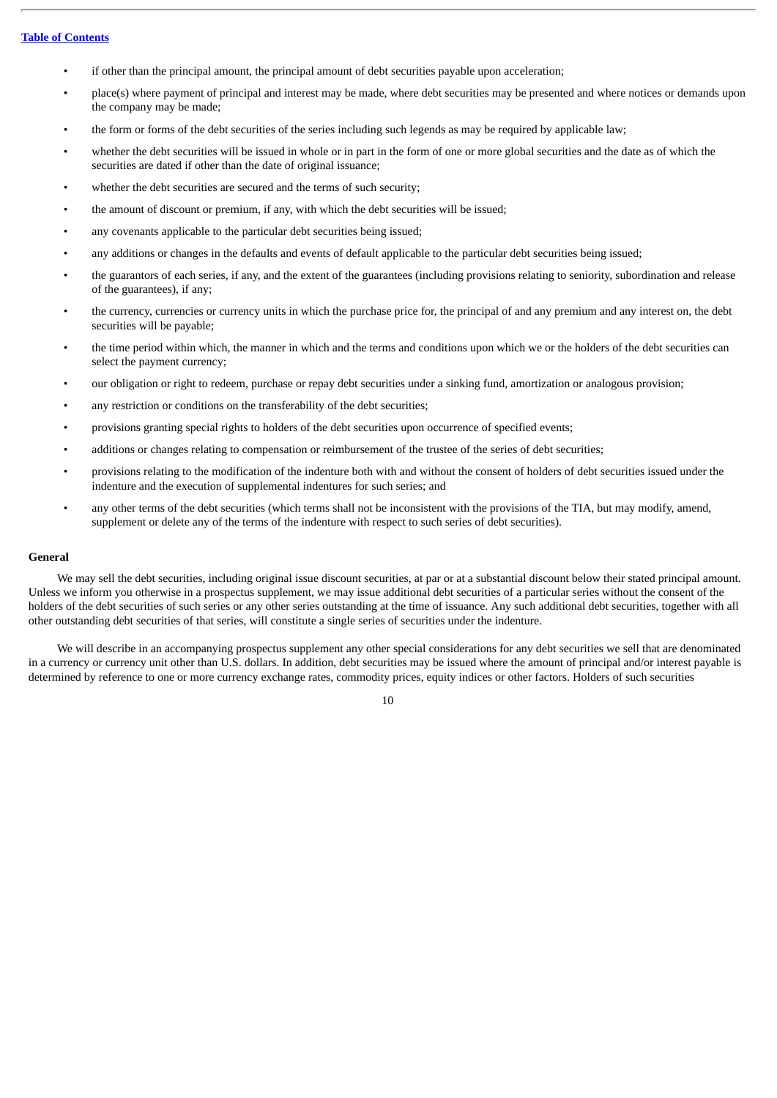- if other than the principal amount, the principal amount of debt securities payable upon acceleration;
- place(s) where payment of principal and interest may be made, where debt securities may be presented and where notices or demands upon the company may be made;
- the form or forms of the debt securities of the series including such legends as may be required by applicable law;
- whether the debt securities will be issued in whole or in part in the form of one or more global securities and the date as of which the securities are dated if other than the date of original issuance;
- whether the debt securities are secured and the terms of such security;
- the amount of discount or premium, if any, with which the debt securities will be issued;
- any covenants applicable to the particular debt securities being issued;
- any additions or changes in the defaults and events of default applicable to the particular debt securities being issued;
- the guarantors of each series, if any, and the extent of the guarantees (including provisions relating to seniority, subordination and release of the guarantees), if any;
- the currency, currencies or currency units in which the purchase price for, the principal of and any premium and any interest on, the debt securities will be payable;
- the time period within which, the manner in which and the terms and conditions upon which we or the holders of the debt securities can select the payment currency;
- our obligation or right to redeem, purchase or repay debt securities under a sinking fund, amortization or analogous provision;
- any restriction or conditions on the transferability of the debt securities;
- provisions granting special rights to holders of the debt securities upon occurrence of specified events;
- additions or changes relating to compensation or reimbursement of the trustee of the series of debt securities;
- provisions relating to the modification of the indenture both with and without the consent of holders of debt securities issued under the indenture and the execution of supplemental indentures for such series; and
- any other terms of the debt securities (which terms shall not be inconsistent with the provisions of the TIA, but may modify, amend, supplement or delete any of the terms of the indenture with respect to such series of debt securities).

#### **General**

We may sell the debt securities, including original issue discount securities, at par or at a substantial discount below their stated principal amount. Unless we inform you otherwise in a prospectus supplement, we may issue additional debt securities of a particular series without the consent of the holders of the debt securities of such series or any other series outstanding at the time of issuance. Any such additional debt securities, together with all other outstanding debt securities of that series, will constitute a single series of securities under the indenture.

We will describe in an accompanying prospectus supplement any other special considerations for any debt securities we sell that are denominated in a currency or currency unit other than U.S. dollars. In addition, debt securities may be issued where the amount of principal and/or interest payable is determined by reference to one or more currency exchange rates, commodity prices, equity indices or other factors. Holders of such securities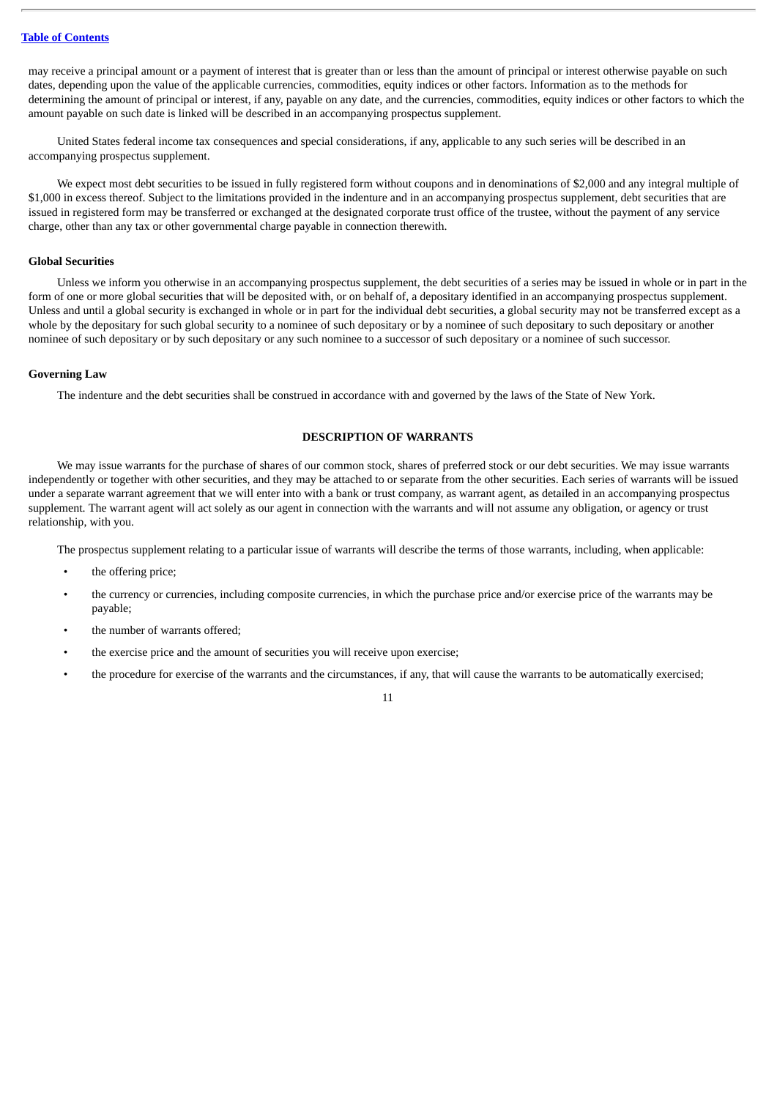may receive a principal amount or a payment of interest that is greater than or less than the amount of principal or interest otherwise payable on such dates, depending upon the value of the applicable currencies, commodities, equity indices or other factors. Information as to the methods for determining the amount of principal or interest, if any, payable on any date, and the currencies, commodities, equity indices or other factors to which the amount payable on such date is linked will be described in an accompanying prospectus supplement.

United States federal income tax consequences and special considerations, if any, applicable to any such series will be described in an accompanying prospectus supplement.

We expect most debt securities to be issued in fully registered form without coupons and in denominations of \$2,000 and any integral multiple of \$1,000 in excess thereof. Subject to the limitations provided in the indenture and in an accompanying prospectus supplement, debt securities that are issued in registered form may be transferred or exchanged at the designated corporate trust office of the trustee, without the payment of any service charge, other than any tax or other governmental charge payable in connection therewith.

## **Global Securities**

Unless we inform you otherwise in an accompanying prospectus supplement, the debt securities of a series may be issued in whole or in part in the form of one or more global securities that will be deposited with, or on behalf of, a depositary identified in an accompanying prospectus supplement. Unless and until a global security is exchanged in whole or in part for the individual debt securities, a global security may not be transferred except as a whole by the depositary for such global security to a nominee of such depositary or by a nominee of such depositary to such depositary or another nominee of such depositary or by such depositary or any such nominee to a successor of such depositary or a nominee of such successor.

#### **Governing Law**

The indenture and the debt securities shall be construed in accordance with and governed by the laws of the State of New York.

## **DESCRIPTION OF WARRANTS**

<span id="page-58-0"></span>We may issue warrants for the purchase of shares of our common stock, shares of preferred stock or our debt securities. We may issue warrants independently or together with other securities, and they may be attached to or separate from the other securities. Each series of warrants will be issued under a separate warrant agreement that we will enter into with a bank or trust company, as warrant agent, as detailed in an accompanying prospectus supplement. The warrant agent will act solely as our agent in connection with the warrants and will not assume any obligation, or agency or trust relationship, with you.

The prospectus supplement relating to a particular issue of warrants will describe the terms of those warrants, including, when applicable:

- the offering price;
- the currency or currencies, including composite currencies, in which the purchase price and/or exercise price of the warrants may be payable;
- the number of warrants offered;
- the exercise price and the amount of securities you will receive upon exercise;
- the procedure for exercise of the warrants and the circumstances, if any, that will cause the warrants to be automatically exercised;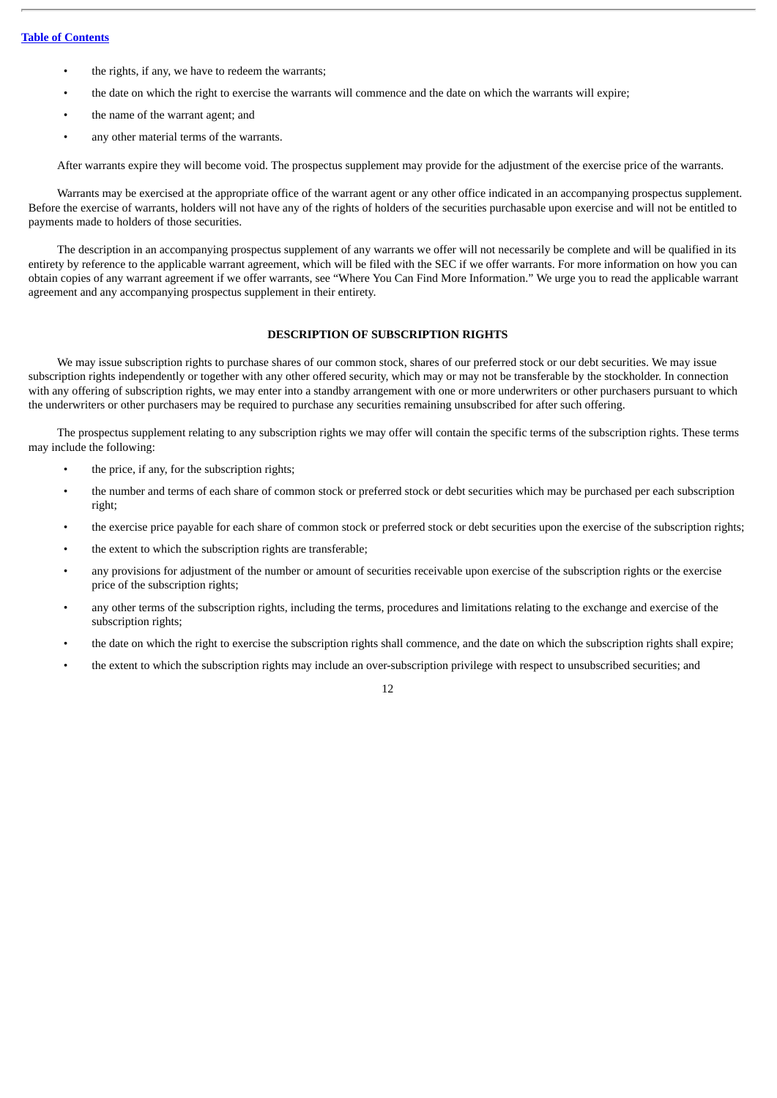- the rights, if any, we have to redeem the warrants;
- the date on which the right to exercise the warrants will commence and the date on which the warrants will expire;
- the name of the warrant agent; and
- any other material terms of the warrants.

After warrants expire they will become void. The prospectus supplement may provide for the adjustment of the exercise price of the warrants.

Warrants may be exercised at the appropriate office of the warrant agent or any other office indicated in an accompanying prospectus supplement. Before the exercise of warrants, holders will not have any of the rights of holders of the securities purchasable upon exercise and will not be entitled to payments made to holders of those securities.

The description in an accompanying prospectus supplement of any warrants we offer will not necessarily be complete and will be qualified in its entirety by reference to the applicable warrant agreement, which will be filed with the SEC if we offer warrants. For more information on how you can obtain copies of any warrant agreement if we offer warrants, see "Where You Can Find More Information." We urge you to read the applicable warrant agreement and any accompanying prospectus supplement in their entirety.

## **DESCRIPTION OF SUBSCRIPTION RIGHTS**

<span id="page-59-0"></span>We may issue subscription rights to purchase shares of our common stock, shares of our preferred stock or our debt securities. We may issue subscription rights independently or together with any other offered security, which may or may not be transferable by the stockholder. In connection with any offering of subscription rights, we may enter into a standby arrangement with one or more underwriters or other purchasers pursuant to which the underwriters or other purchasers may be required to purchase any securities remaining unsubscribed for after such offering.

The prospectus supplement relating to any subscription rights we may offer will contain the specific terms of the subscription rights. These terms may include the following:

- the price, if any, for the subscription rights;
- the number and terms of each share of common stock or preferred stock or debt securities which may be purchased per each subscription right;
- the exercise price payable for each share of common stock or preferred stock or debt securities upon the exercise of the subscription rights;
- the extent to which the subscription rights are transferable;
- any provisions for adjustment of the number or amount of securities receivable upon exercise of the subscription rights or the exercise price of the subscription rights;
- any other terms of the subscription rights, including the terms, procedures and limitations relating to the exchange and exercise of the subscription rights;
- the date on which the right to exercise the subscription rights shall commence, and the date on which the subscription rights shall expire;
- the extent to which the subscription rights may include an over-subscription privilege with respect to unsubscribed securities; and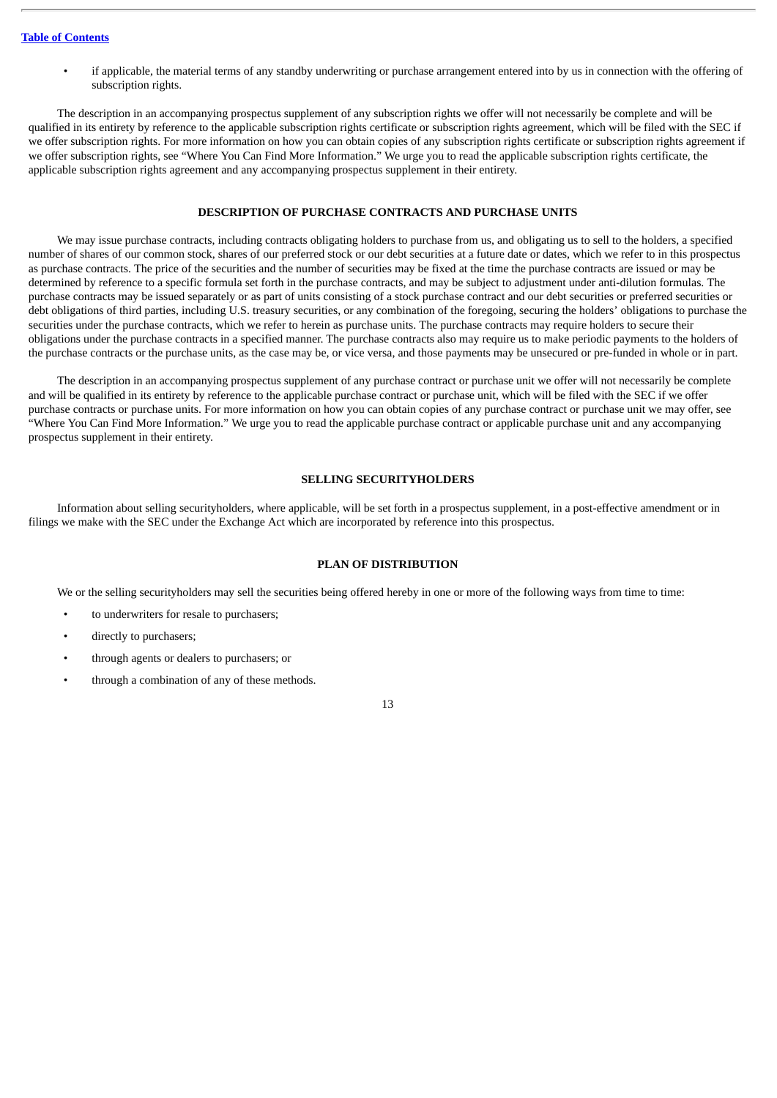• if applicable, the material terms of any standby underwriting or purchase arrangement entered into by us in connection with the offering of subscription rights.

The description in an accompanying prospectus supplement of any subscription rights we offer will not necessarily be complete and will be qualified in its entirety by reference to the applicable subscription rights certificate or subscription rights agreement, which will be filed with the SEC if we offer subscription rights. For more information on how you can obtain copies of any subscription rights certificate or subscription rights agreement if we offer subscription rights, see "Where You Can Find More Information." We urge you to read the applicable subscription rights certificate, the applicable subscription rights agreement and any accompanying prospectus supplement in their entirety.

#### **DESCRIPTION OF PURCHASE CONTRACTS AND PURCHASE UNITS**

<span id="page-60-0"></span>We may issue purchase contracts, including contracts obligating holders to purchase from us, and obligating us to sell to the holders, a specified number of shares of our common stock, shares of our preferred stock or our debt securities at a future date or dates, which we refer to in this prospectus as purchase contracts. The price of the securities and the number of securities may be fixed at the time the purchase contracts are issued or may be determined by reference to a specific formula set forth in the purchase contracts, and may be subject to adjustment under anti-dilution formulas. The purchase contracts may be issued separately or as part of units consisting of a stock purchase contract and our debt securities or preferred securities or debt obligations of third parties, including U.S. treasury securities, or any combination of the foregoing, securing the holders' obligations to purchase the securities under the purchase contracts, which we refer to herein as purchase units. The purchase contracts may require holders to secure their obligations under the purchase contracts in a specified manner. The purchase contracts also may require us to make periodic payments to the holders of the purchase contracts or the purchase units, as the case may be, or vice versa, and those payments may be unsecured or pre-funded in whole or in part.

The description in an accompanying prospectus supplement of any purchase contract or purchase unit we offer will not necessarily be complete and will be qualified in its entirety by reference to the applicable purchase contract or purchase unit, which will be filed with the SEC if we offer purchase contracts or purchase units. For more information on how you can obtain copies of any purchase contract or purchase unit we may offer, see "Where You Can Find More Information." We urge you to read the applicable purchase contract or applicable purchase unit and any accompanying prospectus supplement in their entirety.

## **SELLING SECURITYHOLDERS**

<span id="page-60-1"></span>Information about selling securityholders, where applicable, will be set forth in a prospectus supplement, in a post-effective amendment or in filings we make with the SEC under the Exchange Act which are incorporated by reference into this prospectus.

## **PLAN OF DISTRIBUTION**

<span id="page-60-2"></span>We or the selling securityholders may sell the securities being offered hereby in one or more of the following ways from time to time:

- to underwriters for resale to purchasers;
- directly to purchasers;
- through agents or dealers to purchasers; or
- through a combination of any of these methods.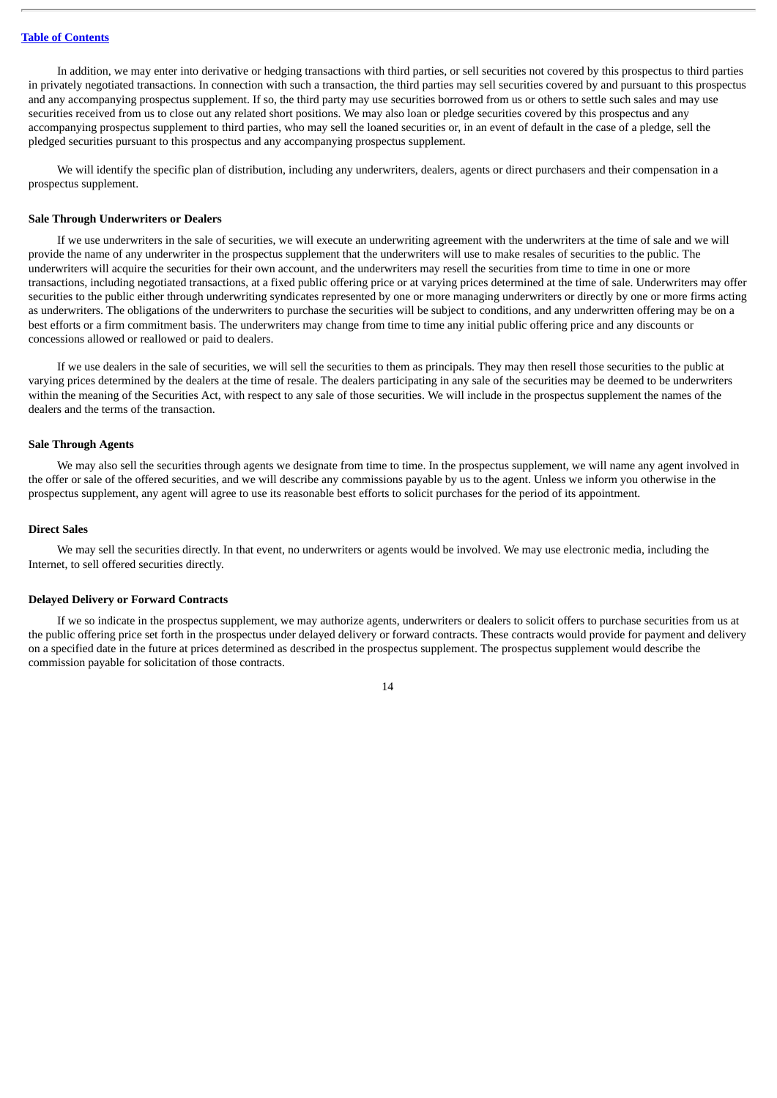In addition, we may enter into derivative or hedging transactions with third parties, or sell securities not covered by this prospectus to third parties in privately negotiated transactions. In connection with such a transaction, the third parties may sell securities covered by and pursuant to this prospectus and any accompanying prospectus supplement. If so, the third party may use securities borrowed from us or others to settle such sales and may use securities received from us to close out any related short positions. We may also loan or pledge securities covered by this prospectus and any accompanying prospectus supplement to third parties, who may sell the loaned securities or, in an event of default in the case of a pledge, sell the pledged securities pursuant to this prospectus and any accompanying prospectus supplement.

We will identify the specific plan of distribution, including any underwriters, dealers, agents or direct purchasers and their compensation in a prospectus supplement.

#### **Sale Through Underwriters or Dealers**

If we use underwriters in the sale of securities, we will execute an underwriting agreement with the underwriters at the time of sale and we will provide the name of any underwriter in the prospectus supplement that the underwriters will use to make resales of securities to the public. The underwriters will acquire the securities for their own account, and the underwriters may resell the securities from time to time in one or more transactions, including negotiated transactions, at a fixed public offering price or at varying prices determined at the time of sale. Underwriters may offer securities to the public either through underwriting syndicates represented by one or more managing underwriters or directly by one or more firms acting as underwriters. The obligations of the underwriters to purchase the securities will be subject to conditions, and any underwritten offering may be on a best efforts or a firm commitment basis. The underwriters may change from time to time any initial public offering price and any discounts or concessions allowed or reallowed or paid to dealers.

If we use dealers in the sale of securities, we will sell the securities to them as principals. They may then resell those securities to the public at varying prices determined by the dealers at the time of resale. The dealers participating in any sale of the securities may be deemed to be underwriters within the meaning of the Securities Act, with respect to any sale of those securities. We will include in the prospectus supplement the names of the dealers and the terms of the transaction.

#### **Sale Through Agents**

We may also sell the securities through agents we designate from time to time. In the prospectus supplement, we will name any agent involved in the offer or sale of the offered securities, and we will describe any commissions payable by us to the agent. Unless we inform you otherwise in the prospectus supplement, any agent will agree to use its reasonable best efforts to solicit purchases for the period of its appointment.

#### **Direct Sales**

We may sell the securities directly. In that event, no underwriters or agents would be involved. We may use electronic media, including the Internet, to sell offered securities directly.

#### **Delayed Delivery or Forward Contracts**

If we so indicate in the prospectus supplement, we may authorize agents, underwriters or dealers to solicit offers to purchase securities from us at the public offering price set forth in the prospectus under delayed delivery or forward contracts. These contracts would provide for payment and delivery on a specified date in the future at prices determined as described in the prospectus supplement. The prospectus supplement would describe the commission payable for solicitation of those contracts.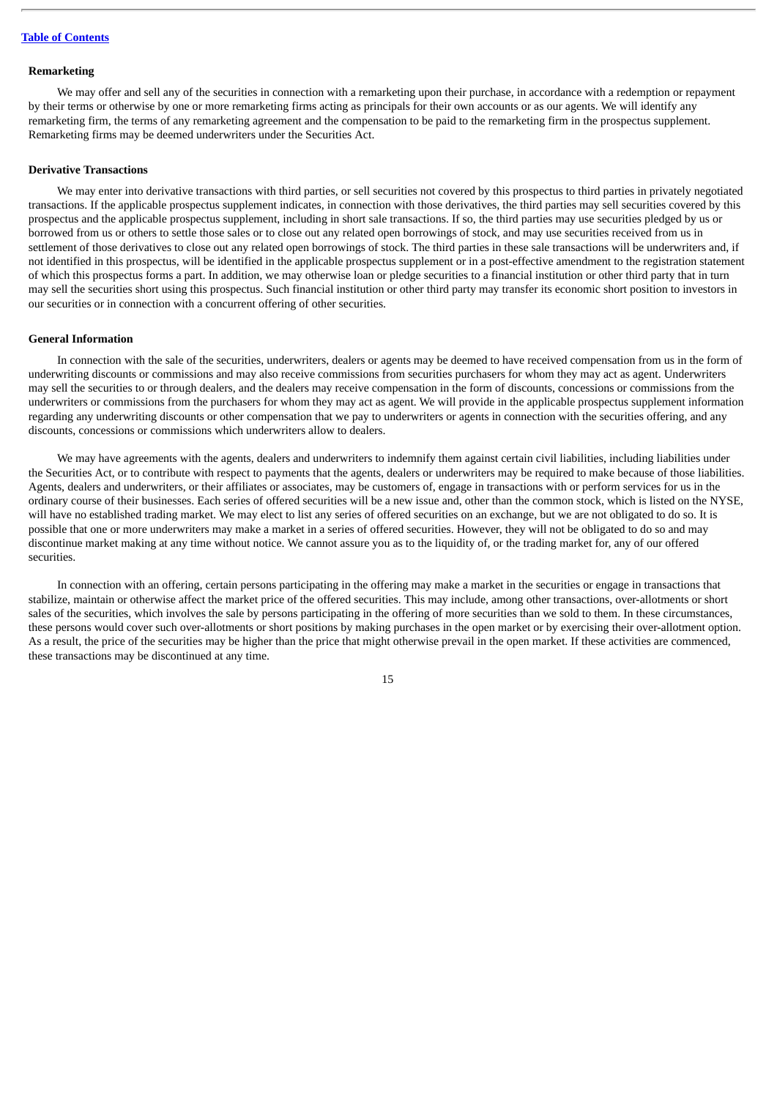#### **Remarketing**

We may offer and sell any of the securities in connection with a remarketing upon their purchase, in accordance with a redemption or repayment by their terms or otherwise by one or more remarketing firms acting as principals for their own accounts or as our agents. We will identify any remarketing firm, the terms of any remarketing agreement and the compensation to be paid to the remarketing firm in the prospectus supplement. Remarketing firms may be deemed underwriters under the Securities Act.

#### **Derivative Transactions**

We may enter into derivative transactions with third parties, or sell securities not covered by this prospectus to third parties in privately negotiated transactions. If the applicable prospectus supplement indicates, in connection with those derivatives, the third parties may sell securities covered by this prospectus and the applicable prospectus supplement, including in short sale transactions. If so, the third parties may use securities pledged by us or borrowed from us or others to settle those sales or to close out any related open borrowings of stock, and may use securities received from us in settlement of those derivatives to close out any related open borrowings of stock. The third parties in these sale transactions will be underwriters and, if not identified in this prospectus, will be identified in the applicable prospectus supplement or in a post-effective amendment to the registration statement of which this prospectus forms a part. In addition, we may otherwise loan or pledge securities to a financial institution or other third party that in turn may sell the securities short using this prospectus. Such financial institution or other third party may transfer its economic short position to investors in our securities or in connection with a concurrent offering of other securities.

#### **General Information**

In connection with the sale of the securities, underwriters, dealers or agents may be deemed to have received compensation from us in the form of underwriting discounts or commissions and may also receive commissions from securities purchasers for whom they may act as agent. Underwriters may sell the securities to or through dealers, and the dealers may receive compensation in the form of discounts, concessions or commissions from the underwriters or commissions from the purchasers for whom they may act as agent. We will provide in the applicable prospectus supplement information regarding any underwriting discounts or other compensation that we pay to underwriters or agents in connection with the securities offering, and any discounts, concessions or commissions which underwriters allow to dealers.

We may have agreements with the agents, dealers and underwriters to indemnify them against certain civil liabilities, including liabilities under the Securities Act, or to contribute with respect to payments that the agents, dealers or underwriters may be required to make because of those liabilities. Agents, dealers and underwriters, or their affiliates or associates, may be customers of, engage in transactions with or perform services for us in the ordinary course of their businesses. Each series of offered securities will be a new issue and, other than the common stock, which is listed on the NYSE, will have no established trading market. We may elect to list any series of offered securities on an exchange, but we are not obligated to do so. It is possible that one or more underwriters may make a market in a series of offered securities. However, they will not be obligated to do so and may discontinue market making at any time without notice. We cannot assure you as to the liquidity of, or the trading market for, any of our offered securities.

In connection with an offering, certain persons participating in the offering may make a market in the securities or engage in transactions that stabilize, maintain or otherwise affect the market price of the offered securities. This may include, among other transactions, over-allotments or short sales of the securities, which involves the sale by persons participating in the offering of more securities than we sold to them. In these circumstances, these persons would cover such over-allotments or short positions by making purchases in the open market or by exercising their over-allotment option. As a result, the price of the securities may be higher than the price that might otherwise prevail in the open market. If these activities are commenced, these transactions may be discontinued at any time.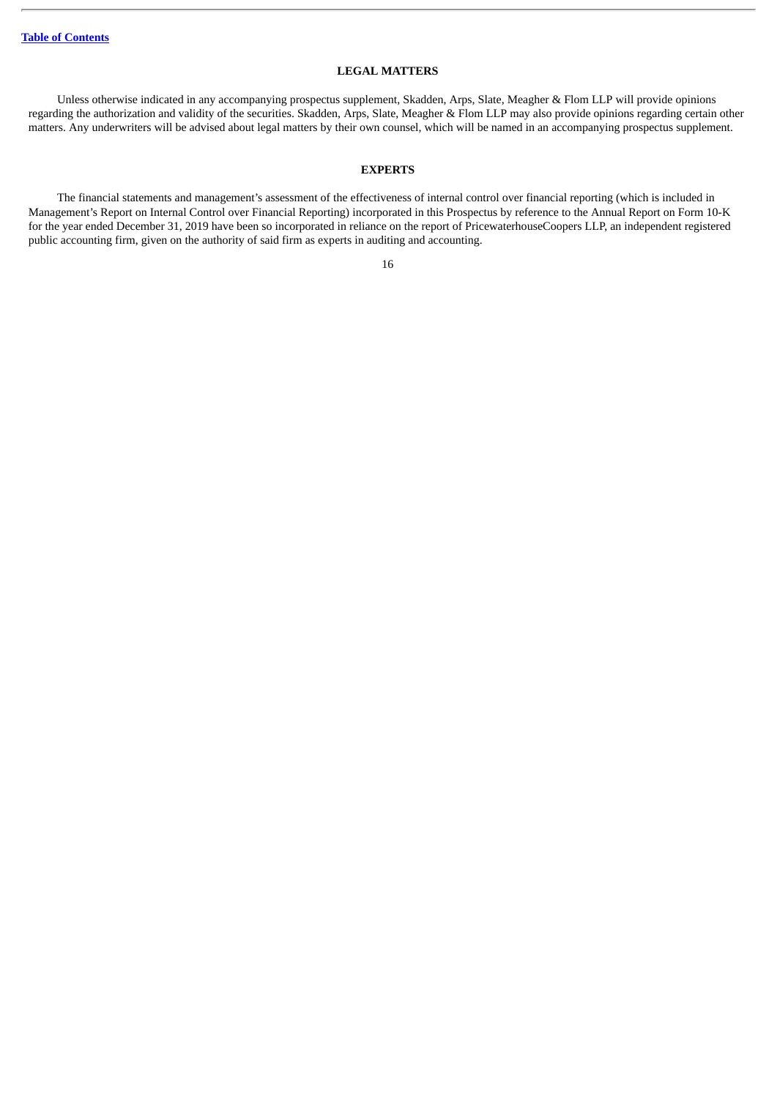## **LEGAL MATTERS**

<span id="page-63-0"></span>Unless otherwise indicated in any accompanying prospectus supplement, Skadden, Arps, Slate, Meagher & Flom LLP will provide opinions regarding the authorization and validity of the securities. Skadden, Arps, Slate, Meagher & Flom LLP may also provide opinions regarding certain other matters. Any underwriters will be advised about legal matters by their own counsel, which will be named in an accompanying prospectus supplement.

## **EXPERTS**

<span id="page-63-1"></span>The financial statements and management's assessment of the effectiveness of internal control over financial reporting (which is included in Management's Report on Internal Control over Financial Reporting) incorporated in this Prospectus by reference to the Annual Report on Form 10-K for the year ended December 31, 2019 have been so incorporated in reliance on the report of PricewaterhouseCoopers LLP, an independent registered public accounting firm, given on the authority of said firm as experts in auditing and accounting.